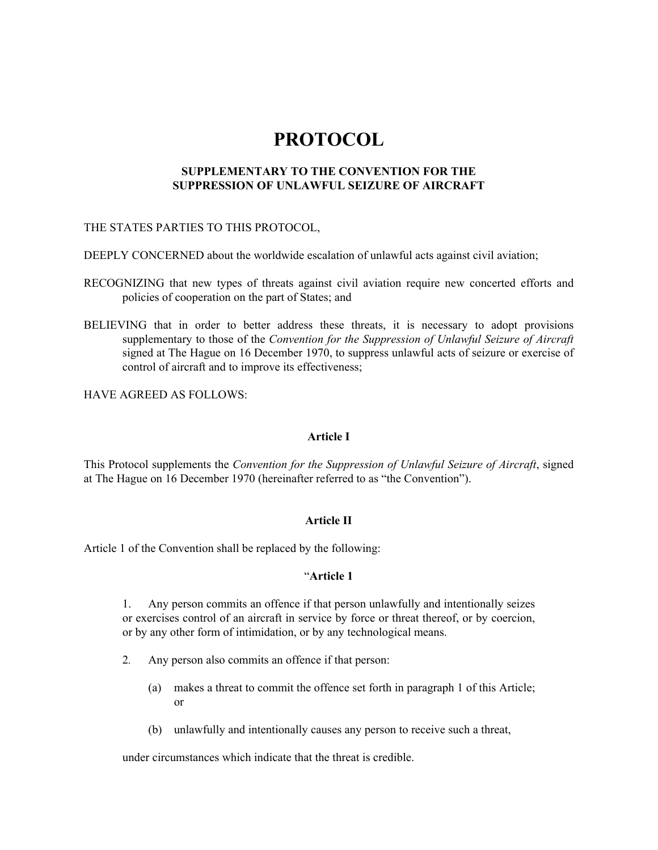# **PROTOCOL**

## **SUPPLEMENTARY TO THE CONVENTION FOR THE SUPPRESSION OF UNLAWFUL SEIZURE OF AIRCRAFT**

## THE STATES PARTIES TO THIS PROTOCOL,

DEEPLY CONCERNED about the worldwide escalation of unlawful acts against civil aviation;

- RECOGNIZING that new types of threats against civil aviation require new concerted efforts and policies of cooperation on the part of States; and
- BELIEVING that in order to better address these threats, it is necessary to adopt provisions supplementary to those of the *Convention for the Suppression of Unlawful Seizure of Aircraft*  signed at The Hague on 16 December 1970, to suppress unlawful acts of seizure or exercise of control of aircraft and to improve its effectiveness;

HAVE AGREED AS FOLLOWS:

## **Article I**

This Protocol supplements the *Convention for the Suppression of Unlawful Seizure of Aircraft*, signed at The Hague on 16 December 1970 (hereinafter referred to as "the Convention").

## **Article II**

Article 1 of the Convention shall be replaced by the following:

## "**Article 1**

1. Any person commits an offence if that person unlawfully and intentionally seizes or exercises control of an aircraft in service by force or threat thereof, or by coercion, or by any other form of intimidation, or by any technological means.

- 2*.* Any person also commits an offence if that person:
	- (a) makes a threat to commit the offence set forth in paragraph 1 of this Article; or
	- (b) unlawfully and intentionally causes any person to receive such a threat,

under circumstances which indicate that the threat is credible.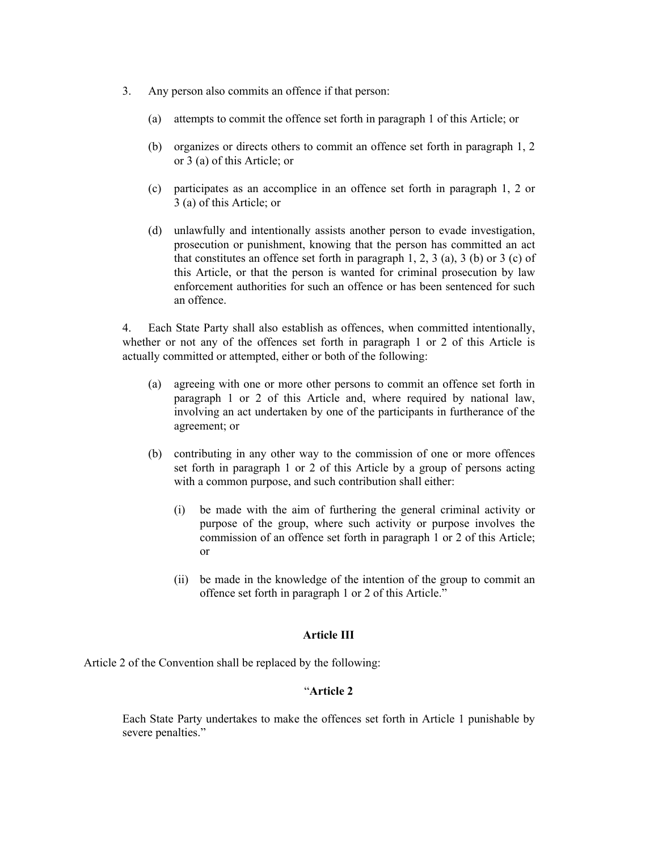- 3. Any person also commits an offence if that person:
	- (a) attempts to commit the offence set forth in paragraph 1 of this Article; or
	- (b) organizes or directs others to commit an offence set forth in paragraph 1, 2 or 3 (a) of this Article; or
	- (c) participates as an accomplice in an offence set forth in paragraph 1, 2 or 3 (a) of this Article; or
	- (d) unlawfully and intentionally assists another person to evade investigation, prosecution or punishment, knowing that the person has committed an act that constitutes an offence set forth in paragraph  $1, 2, 3$  (a),  $3$  (b) or  $3$  (c) of this Article, or that the person is wanted for criminal prosecution by law enforcement authorities for such an offence or has been sentenced for such an offence.

4. Each State Party shall also establish as offences, when committed intentionally, whether or not any of the offences set forth in paragraph 1 or 2 of this Article is actually committed or attempted, either or both of the following:

- (a) agreeing with one or more other persons to commit an offence set forth in paragraph 1 or 2 of this Article and, where required by national law, involving an act undertaken by one of the participants in furtherance of the agreement; or
- (b) contributing in any other way to the commission of one or more offences set forth in paragraph 1 or 2 of this Article by a group of persons acting with a common purpose, and such contribution shall either:
	- (i) be made with the aim of furthering the general criminal activity or purpose of the group, where such activity or purpose involves the commission of an offence set forth in paragraph 1 or 2 of this Article; or
	- (ii) be made in the knowledge of the intention of the group to commit an offence set forth in paragraph 1 or 2 of this Article."

#### **Article III**

Article 2 of the Convention shall be replaced by the following:

# "**Article 2**

Each State Party undertakes to make the offences set forth in Article 1 punishable by severe penalties."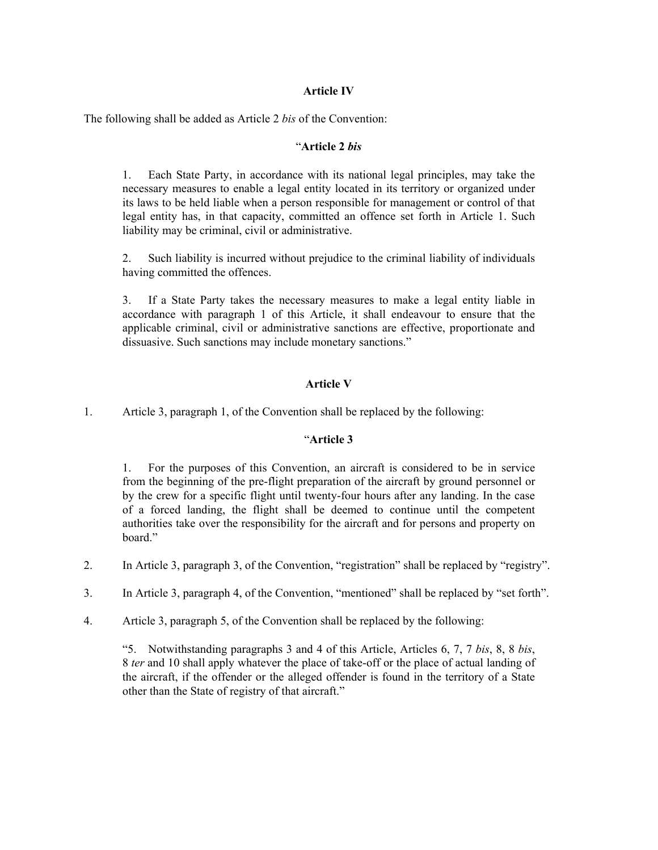# **Article IV**

The following shall be added as Article 2 *bis* of the Convention:

## "**Article 2** *bis*

1. Each State Party, in accordance with its national legal principles, may take the necessary measures to enable a legal entity located in its territory or organized under its laws to be held liable when a person responsible for management or control of that legal entity has, in that capacity, committed an offence set forth in Article 1. Such liability may be criminal, civil or administrative.

2. Such liability is incurred without prejudice to the criminal liability of individuals having committed the offences.

3. If a State Party takes the necessary measures to make a legal entity liable in accordance with paragraph 1 of this Article, it shall endeavour to ensure that the applicable criminal, civil or administrative sanctions are effective, proportionate and dissuasive. Such sanctions may include monetary sanctions."

# **Article V**

1. Article 3, paragraph 1, of the Convention shall be replaced by the following:

## "**Article 3**

1. For the purposes of this Convention, an aircraft is considered to be in service from the beginning of the pre-flight preparation of the aircraft by ground personnel or by the crew for a specific flight until twenty-four hours after any landing. In the case of a forced landing, the flight shall be deemed to continue until the competent authorities take over the responsibility for the aircraft and for persons and property on board."

- 2. In Article 3, paragraph 3, of the Convention, "registration" shall be replaced by "registry".
- 3. In Article 3, paragraph 4, of the Convention, "mentioned" shall be replaced by "set forth".
- 4. Article 3, paragraph 5, of the Convention shall be replaced by the following:

"5. Notwithstanding paragraphs 3 and 4 of this Article, Articles 6, 7, 7 *bis*, 8, 8 *bis*, 8 *ter* and 10 shall apply whatever the place of take-off or the place of actual landing of the aircraft, if the offender or the alleged offender is found in the territory of a State other than the State of registry of that aircraft."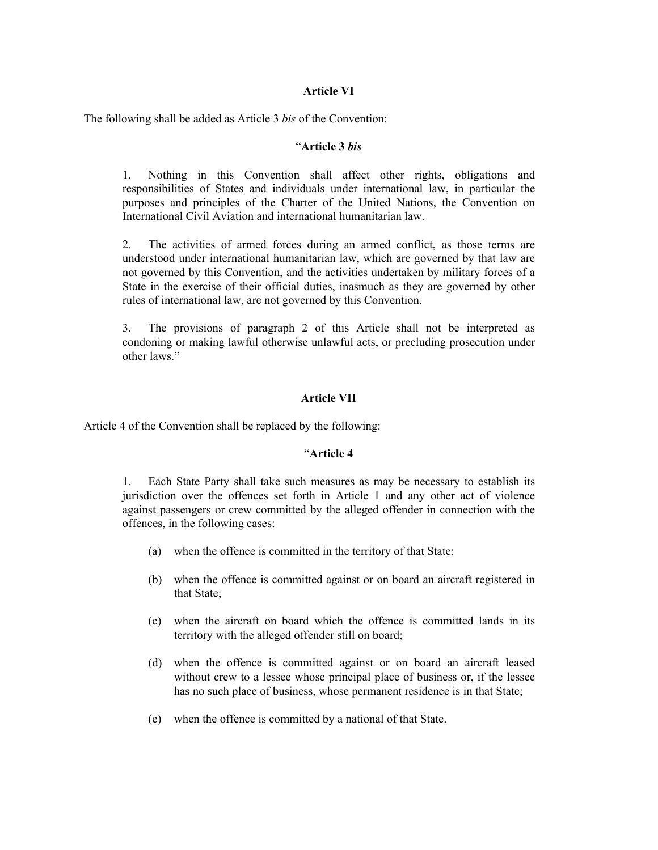## **Article VI**

The following shall be added as Article 3 *bis* of the Convention:

## "**Article 3** *bis*

1. Nothing in this Convention shall affect other rights, obligations and responsibilities of States and individuals under international law, in particular the purposes and principles of the Charter of the United Nations, the Convention on International Civil Aviation and international humanitarian law.

2. The activities of armed forces during an armed conflict, as those terms are understood under international humanitarian law, which are governed by that law are not governed by this Convention, and the activities undertaken by military forces of a State in the exercise of their official duties, inasmuch as they are governed by other rules of international law, are not governed by this Convention.

3. The provisions of paragraph 2 of this Article shall not be interpreted as condoning or making lawful otherwise unlawful acts, or precluding prosecution under other laws."

## **Article VII**

Article 4 of the Convention shall be replaced by the following:

## "**Article 4**

1. Each State Party shall take such measures as may be necessary to establish its jurisdiction over the offences set forth in Article 1 and any other act of violence against passengers or crew committed by the alleged offender in connection with the offences, in the following cases:

- (a) when the offence is committed in the territory of that State;
- (b) when the offence is committed against or on board an aircraft registered in that State;
- (c) when the aircraft on board which the offence is committed lands in its territory with the alleged offender still on board;
- (d) when the offence is committed against or on board an aircraft leased without crew to a lessee whose principal place of business or, if the lessee has no such place of business, whose permanent residence is in that State;
- (e) when the offence is committed by a national of that State.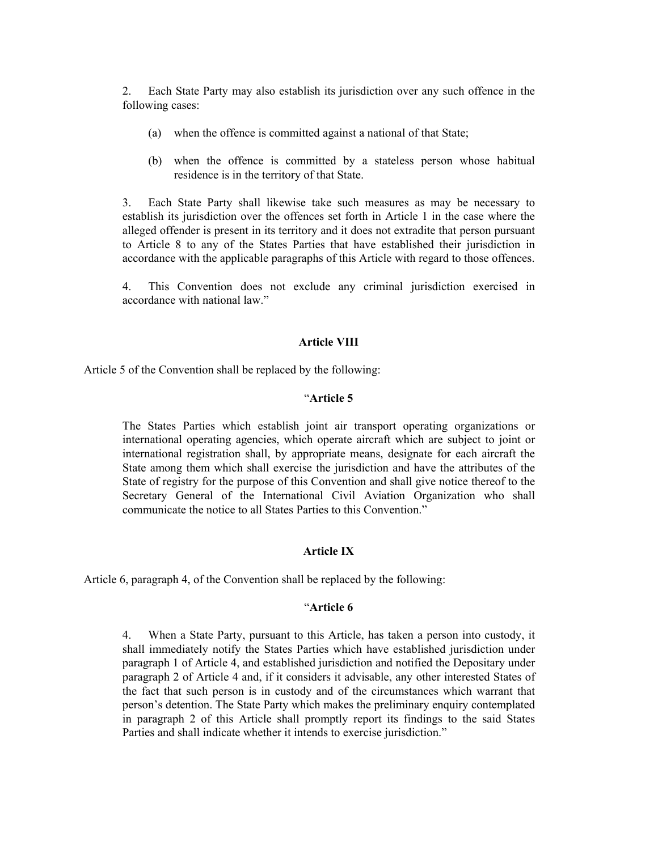2. Each State Party may also establish its jurisdiction over any such offence in the following cases:

- (a) when the offence is committed against a national of that State;
- (b) when the offence is committed by a stateless person whose habitual residence is in the territory of that State.

3. Each State Party shall likewise take such measures as may be necessary to establish its jurisdiction over the offences set forth in Article 1 in the case where the alleged offender is present in its territory and it does not extradite that person pursuant to Article 8 to any of the States Parties that have established their jurisdiction in accordance with the applicable paragraphs of this Article with regard to those offences.

4. This Convention does not exclude any criminal jurisdiction exercised in accordance with national law."

#### **Article VIII**

Article 5 of the Convention shall be replaced by the following:

### "**Article 5**

The States Parties which establish joint air transport operating organizations or international operating agencies, which operate aircraft which are subject to joint or international registration shall, by appropriate means, designate for each aircraft the State among them which shall exercise the jurisdiction and have the attributes of the State of registry for the purpose of this Convention and shall give notice thereof to the Secretary General of the International Civil Aviation Organization who shall communicate the notice to all States Parties to this Convention."

## **Article IX**

Article 6, paragraph 4, of the Convention shall be replaced by the following:

#### "**Article 6**

4. When a State Party, pursuant to this Article, has taken a person into custody, it shall immediately notify the States Parties which have established jurisdiction under paragraph 1 of Article 4, and established jurisdiction and notified the Depositary under paragraph 2 of Article 4 and, if it considers it advisable, any other interested States of the fact that such person is in custody and of the circumstances which warrant that person's detention. The State Party which makes the preliminary enquiry contemplated in paragraph 2 of this Article shall promptly report its findings to the said States Parties and shall indicate whether it intends to exercise jurisdiction."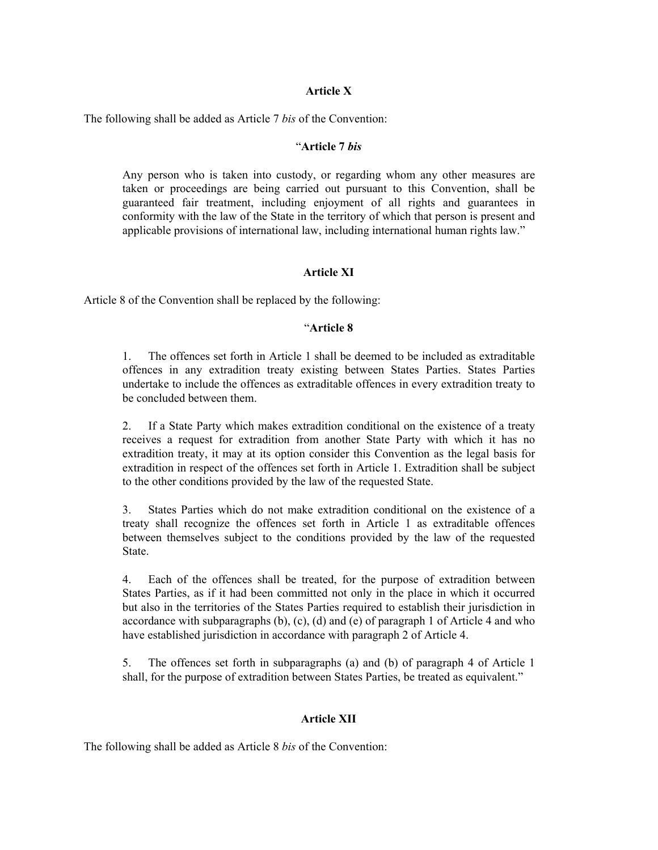## **Article X**

The following shall be added as Article 7 *bis* of the Convention:

## "**Article 7** *bis*

Any person who is taken into custody, or regarding whom any other measures are taken or proceedings are being carried out pursuant to this Convention, shall be guaranteed fair treatment, including enjoyment of all rights and guarantees in conformity with the law of the State in the territory of which that person is present and applicable provisions of international law, including international human rights law."

## **Article XI**

Article 8 of the Convention shall be replaced by the following:

## "**Article 8**

1. The offences set forth in Article 1 shall be deemed to be included as extraditable offences in any extradition treaty existing between States Parties. States Parties undertake to include the offences as extraditable offences in every extradition treaty to be concluded between them.

2. If a State Party which makes extradition conditional on the existence of a treaty receives a request for extradition from another State Party with which it has no extradition treaty, it may at its option consider this Convention as the legal basis for extradition in respect of the offences set forth in Article 1. Extradition shall be subject to the other conditions provided by the law of the requested State.

3. States Parties which do not make extradition conditional on the existence of a treaty shall recognize the offences set forth in Article 1 as extraditable offences between themselves subject to the conditions provided by the law of the requested **State** 

4. Each of the offences shall be treated, for the purpose of extradition between States Parties, as if it had been committed not only in the place in which it occurred but also in the territories of the States Parties required to establish their jurisdiction in accordance with subparagraphs  $(b)$ ,  $(c)$ ,  $(d)$  and  $(e)$  of paragraph 1 of Article 4 and who have established jurisdiction in accordance with paragraph 2 of Article 4.

5. The offences set forth in subparagraphs (a) and (b) of paragraph 4 of Article 1 shall, for the purpose of extradition between States Parties, be treated as equivalent."

## **Article XII**

The following shall be added as Article 8 *bis* of the Convention: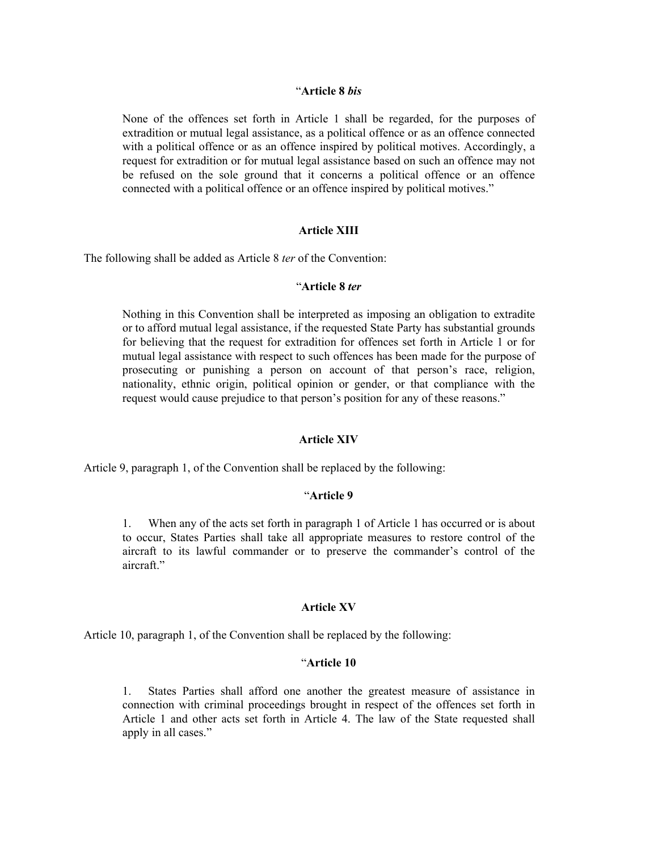#### "**Article 8** *bis*

None of the offences set forth in Article 1 shall be regarded, for the purposes of extradition or mutual legal assistance, as a political offence or as an offence connected with a political offence or as an offence inspired by political motives. Accordingly, a request for extradition or for mutual legal assistance based on such an offence may not be refused on the sole ground that it concerns a political offence or an offence connected with a political offence or an offence inspired by political motives."

## **Article XIII**

The following shall be added as Article 8 *ter* of the Convention:

## "**Article 8** *ter*

Nothing in this Convention shall be interpreted as imposing an obligation to extradite or to afford mutual legal assistance, if the requested State Party has substantial grounds for believing that the request for extradition for offences set forth in Article 1 or for mutual legal assistance with respect to such offences has been made for the purpose of prosecuting or punishing a person on account of that person's race, religion, nationality, ethnic origin, political opinion or gender, or that compliance with the request would cause prejudice to that person's position for any of these reasons."

#### **Article XIV**

Article 9, paragraph 1, of the Convention shall be replaced by the following:

## "**Article 9**

1. When any of the acts set forth in paragraph 1 of Article 1 has occurred or is about to occur, States Parties shall take all appropriate measures to restore control of the aircraft to its lawful commander or to preserve the commander's control of the aircraft"

#### **Article XV**

Article 10, paragraph 1, of the Convention shall be replaced by the following:

## "**Article 10**

1. States Parties shall afford one another the greatest measure of assistance in connection with criminal proceedings brought in respect of the offences set forth in Article 1 and other acts set forth in Article 4. The law of the State requested shall apply in all cases."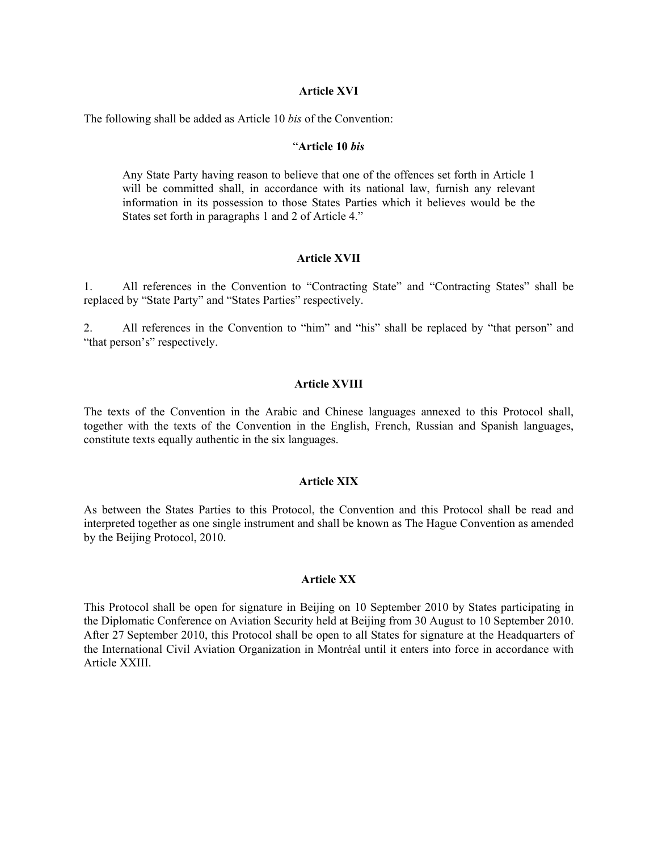#### **Article XVI**

The following shall be added as Article 10 *bis* of the Convention:

#### "**Article 10** *bis*

Any State Party having reason to believe that one of the offences set forth in Article 1 will be committed shall, in accordance with its national law, furnish any relevant information in its possession to those States Parties which it believes would be the States set forth in paragraphs 1 and 2 of Article 4."

#### **Article XVII**

1. All references in the Convention to "Contracting State" and "Contracting States" shall be replaced by "State Party" and "States Parties" respectively.

2. All references in the Convention to "him" and "his" shall be replaced by "that person" and "that person's" respectively.

## **Article XVIII**

The texts of the Convention in the Arabic and Chinese languages annexed to this Protocol shall, together with the texts of the Convention in the English, French, Russian and Spanish languages, constitute texts equally authentic in the six languages.

## **Article XIX**

As between the States Parties to this Protocol, the Convention and this Protocol shall be read and interpreted together as one single instrument and shall be known as The Hague Convention as amended by the Beijing Protocol, 2010.

## **Article XX**

This Protocol shall be open for signature in Beijing on 10 September 2010 by States participating in the Diplomatic Conference on Aviation Security held at Beijing from 30 August to 10 September 2010. After 27 September 2010, this Protocol shall be open to all States for signature at the Headquarters of the International Civil Aviation Organization in Montréal until it enters into force in accordance with Article XXIII.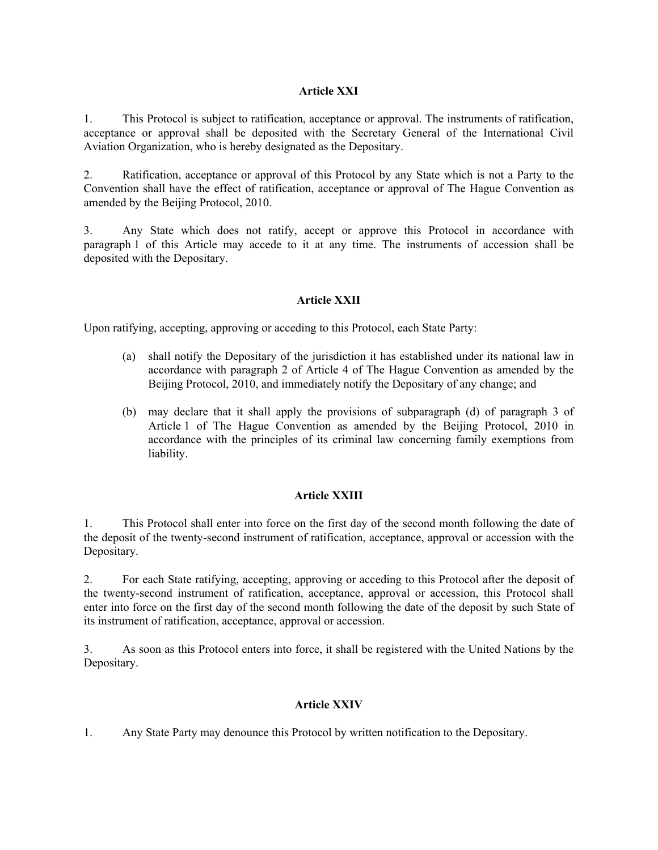# **Article XXI**

1. This Protocol is subject to ratification, acceptance or approval. The instruments of ratification, acceptance or approval shall be deposited with the Secretary General of the International Civil Aviation Organization, who is hereby designated as the Depositary.

2. Ratification, acceptance or approval of this Protocol by any State which is not a Party to the Convention shall have the effect of ratification, acceptance or approval of The Hague Convention as amended by the Beijing Protocol, 2010.

3. Any State which does not ratify, accept or approve this Protocol in accordance with paragraph 1 of this Article may accede to it at any time. The instruments of accession shall be deposited with the Depositary.

# **Article XXII**

Upon ratifying, accepting, approving or acceding to this Protocol, each State Party:

- (a) shall notify the Depositary of the jurisdiction it has established under its national law in accordance with paragraph 2 of Article 4 of The Hague Convention as amended by the Beijing Protocol, 2010, and immediately notify the Depositary of any change; and
- (b) may declare that it shall apply the provisions of subparagraph (d) of paragraph 3 of Article 1 of The Hague Convention as amended by the Beijing Protocol, 2010 in accordance with the principles of its criminal law concerning family exemptions from liability.

## **Article XXIII**

1. This Protocol shall enter into force on the first day of the second month following the date of the deposit of the twenty-second instrument of ratification, acceptance, approval or accession with the Depositary.

2. For each State ratifying, accepting, approving or acceding to this Protocol after the deposit of the twenty-second instrument of ratification, acceptance, approval or accession, this Protocol shall enter into force on the first day of the second month following the date of the deposit by such State of its instrument of ratification, acceptance, approval or accession.

3. As soon as this Protocol enters into force, it shall be registered with the United Nations by the Depositary.

## **Article XXIV**

1. Any State Party may denounce this Protocol by written notification to the Depositary.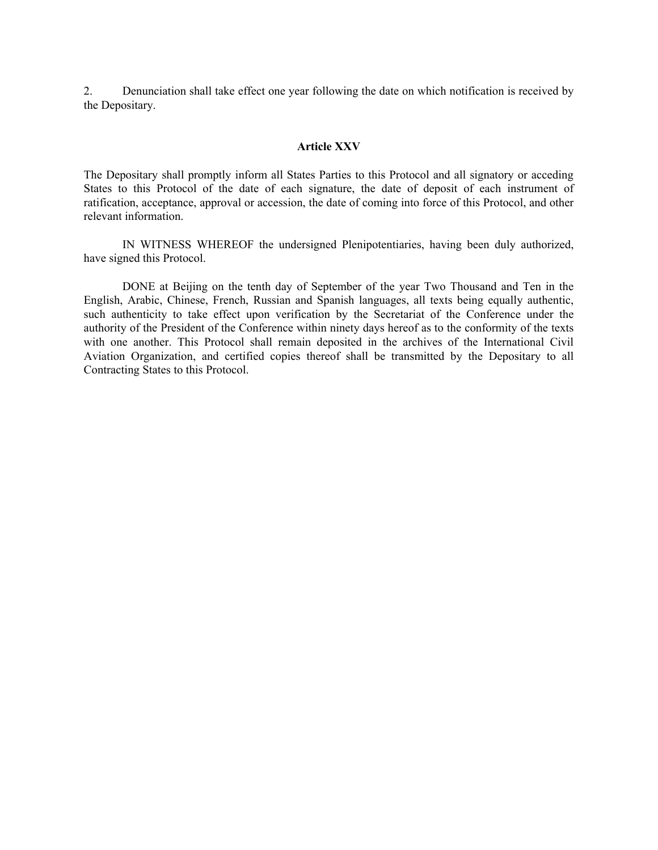2. Denunciation shall take effect one year following the date on which notification is received by the Depositary.

#### **Article XXV**

The Depositary shall promptly inform all States Parties to this Protocol and all signatory or acceding States to this Protocol of the date of each signature, the date of deposit of each instrument of ratification, acceptance, approval or accession, the date of coming into force of this Protocol, and other relevant information.

 IN WITNESS WHEREOF the undersigned Plenipotentiaries, having been duly authorized, have signed this Protocol.

 DONE at Beijing on the tenth day of September of the year Two Thousand and Ten in the English, Arabic, Chinese, French, Russian and Spanish languages, all texts being equally authentic, such authenticity to take effect upon verification by the Secretariat of the Conference under the authority of the President of the Conference within ninety days hereof as to the conformity of the texts with one another. This Protocol shall remain deposited in the archives of the International Civil Aviation Organization, and certified copies thereof shall be transmitted by the Depositary to all Contracting States to this Protocol.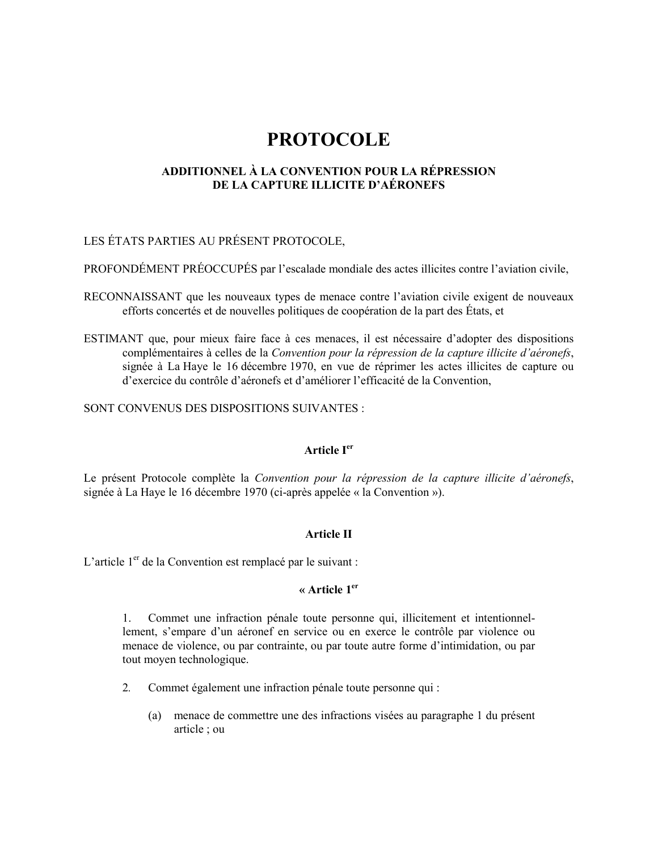# **PROTOCOLE**

# ADDITIONNEL À LA CONVENTION POUR LA RÉPRESSION DE LA CAPTURE ILLICITE D'AÉRONEFS

# LES ÉTATS PARTIES AU PRÉSENT PROTOCOLE.

PROFONDÉMENT PRÉOCCUPÉS par l'escalade mondiale des actes illicites contre l'aviation civile,

- RECONNAISSANT que les nouveaux types de menace contre l'aviation civile exigent de nouveaux efforts concertés et de nouvelles politiques de coopération de la part des États, et
- ESTIMANT que, pour mieux faire face à ces menaces, il est nécessaire d'adopter des dispositions complémentaires à celles de la Convention pour la répression de la capture illicite d'aéronefs, signée à La Haye le 16 décembre 1970, en vue de réprimer les actes illicites de capture ou d'exercice du contrôle d'aéronefs et d'améliorer l'efficacité de la Convention,

SONT CONVENUS DES DISPOSITIONS SUIVANTES :

## Article I<sup>er</sup>

Le présent Protocole complète la Convention pour la répression de la capture illicite d'aéronefs, signée à La Haye le 16 décembre 1970 (ci-après appelée « la Convention »).

## **Article II**

L'article 1<sup>er</sup> de la Convention est remplacé par le suivant :

## « Article  $1<sup>er</sup>$

Commet une infraction pénale toute personne qui, illicitement et intentionnel- $1_{-}$ lement, s'empare d'un aéronef en service ou en exerce le contrôle par violence ou menace de violence, ou par contrainte, ou par toute autre forme d'intimidation, ou par tout moven technologique.

- $2.$ Commet également une infraction pénale toute personne qui :
	- (a) menace de commettre une des infractions visées au paragraphe 1 du présent article; ou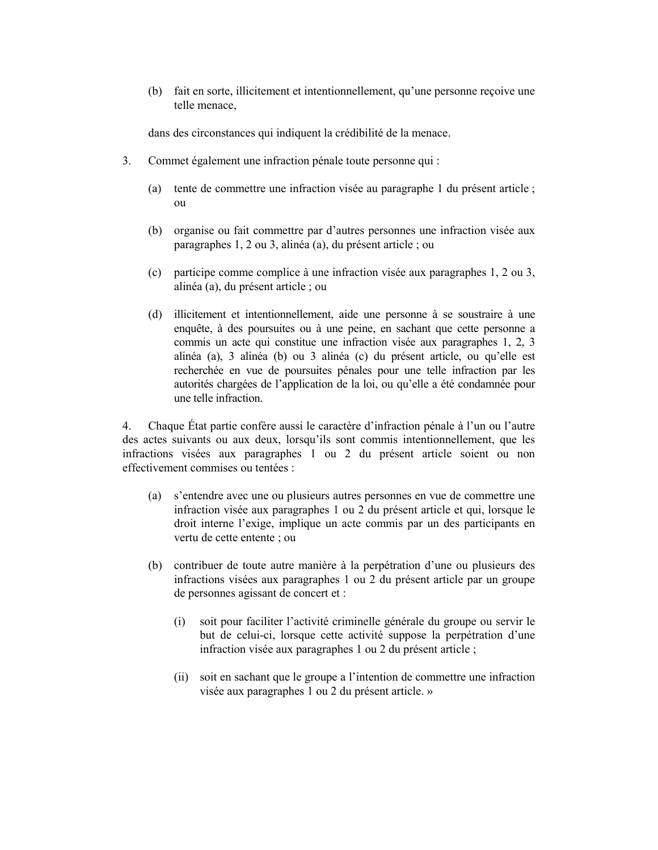(b) fait en sorte, illicitement et intentionnellement, qu'une personne reçoive une telle menace.

dans des circonstances qui indiquent la crédibilité de la menace.

- $3.$ Commet également une infraction pénale toute personne qui :
	- (a) tente de commettre une infraction visée au paragraphe 1 du présent article;  $\alpha$
	- (b) organise ou fait commettre par d'autres personnes une infraction visée aux paragraphes 1, 2 ou 3, alinéa (a), du présent article; ou
	- (c) participe comme complice à une infraction visée aux paragraphes 1, 2 ou 3, alinéa (a), du présent article ; ou
	- (d) illicitement et intentionnellement, aide une personne à se soustraire à une enquête, à des poursuites ou à une peine, en sachant que cette personne a commis un acte qui constitue une infraction visée aux paragraphes 1, 2, 3 alinéa (a), 3 alinéa (b) ou 3 alinéa (c) du présent article, ou qu'elle est recherchée en vue de poursuites pénales pour une telle infraction par les autorités chargées de l'application de la loi, ou qu'elle a été condamnée pour une telle infraction

Chaque État partie confère aussi le caractère d'infraction pénale à l'un ou l'autre  $4.$ des actes suivants ou aux deux, lorsqu'ils sont commis intentionnellement, que les infractions visées aux paragraphes 1 ou 2 du présent article soient ou non effectivement commises ou tentées :

- (a) s'entendre avec une ou plusieurs autres personnes en vue de commettre une infraction visée aux paragraphes 1 ou 2 du présent article et qui, lorsque le droit interne l'exige, implique un acte commis par un des participants en vertu de cette entente ; ou
- (b) contribuer de toute autre manière à la perpétration d'une ou plusieurs des infractions visées aux paragraphes 1 ou 2 du présent article par un groupe de personnes agissant de concert et :
	- soit pour faciliter l'activité criminelle générale du groupe ou servir le  $(i)$ but de celui-ci, lorsque cette activité suppose la perpétration d'une infraction visée aux paragraphes 1 ou 2 du présent article;
	- (ii) soit en sachant que le groupe a l'intention de commettre une infraction visée aux paragraphes 1 ou 2 du présent article. »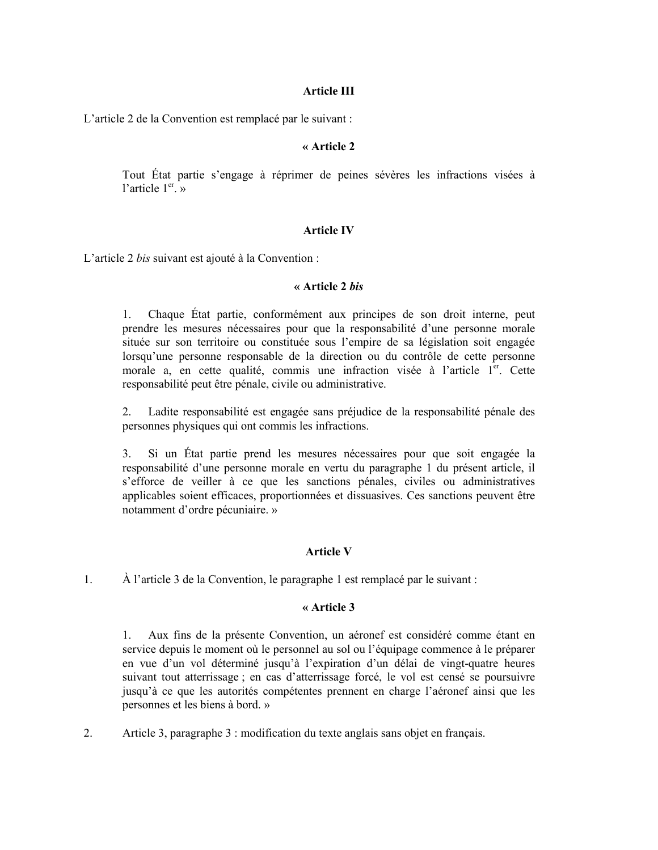#### **Article III**

L'article 2 de la Convention est remplacé par le suivant :

#### « Article 2

Tout État partie s'engage à réprimer de peines sévères les infractions visées à l'article  $1<sup>er</sup>$ . »

### **Article IV**

L'article 2 bis suivant est ajouté à la Convention :

#### « Article 2 bis

Chaque État partie, conformément aux principes de son droit interne, peut  $1.$ prendre les mesures nécessaires pour que la responsabilité d'une personne morale située sur son territoire ou constituée sous l'empire de sa législation soit engagée lorsqu'une personne responsable de la direction ou du contrôle de cette personne morale a, en cette qualité, commis une infraction visée à l'article 1<sup>er</sup>. Cette responsabilité peut être pénale, civile ou administrative.

Ladite responsabilité est engagée sans préjudice de la responsabilité pénale des 2. personnes physiques qui ont commis les infractions.

Si un État partie prend les mesures nécessaires pour que soit engagée la 3. responsabilité d'une personne morale en vertu du paragraphe 1 du présent article, il s'efforce de veiller à ce que les sanctions pénales, civiles ou administratives applicables soient efficaces, proportionnées et dissuasives. Ces sanctions peuvent être notamment d'ordre pécuniaire. »

## **Article V**

 $1.$ À l'article 3 de la Convention, le paragraphe 1 est remplacé par le suivant :

#### $\kappa$  Article 3

 $1_{\cdot}$ Aux fins de la présente Convention, un aéronef est considéré comme étant en service depuis le moment où le personnel au sol ou l'équipage commence à le préparer en vue d'un vol déterminé jusqu'à l'expiration d'un délai de vingt-quatre heures suivant tout atterrissage; en cas d'atterrissage forcé, le vol est censé se poursuivre jusqu'à ce que les autorités compétentes prennent en charge l'aéronef ainsi que les personnes et les biens à bord. »

 $2.$ Article 3, paragraphe 3 : modification du texte anglais sans objet en français.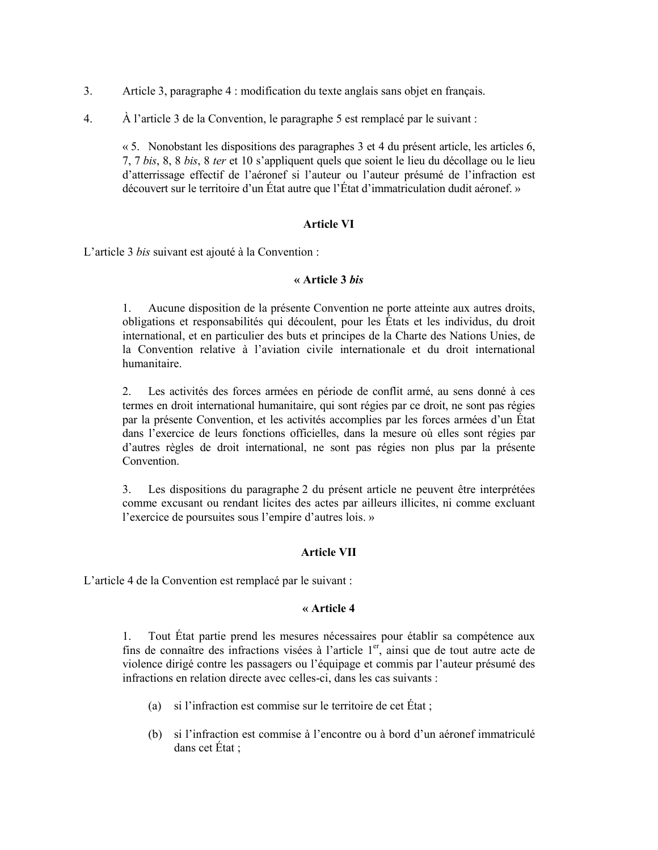- $\mathcal{E}$ Article 3, paragraphe 4 : modification du texte anglais sans objet en français.
- 4. A l'article 3 de la Convention, le paragraphe 5 est remplacé par le suivant :

« 5. Nonobstant les dispositions des paragraphes 3 et 4 du présent article, les articles 6, 7, 7 bis, 8, 8 bis, 8 ter et 10 s'appliquent quels que soient le lieu du décollage ou le lieu d'atterrissage effectif de l'aéronef si l'auteur ou l'auteur présumé de l'infraction est découvert sur le territoire d'un État autre que l'État d'immatriculation dudit aéronef. »

## **Article VI**

L'article 3 bis suivant est ajouté à la Convention :

## « Article 3 bis

 $1.$ Aucune disposition de la présente Convention ne porte atteinte aux autres droits, obligations et responsabilités qui découlent, pour les États et les individus, du droit international, et en particulier des buts et principes de la Charte des Nations Unies, de la Convention relative à l'aviation civile internationale et du droit international humanitaire

 $2.$ Les activités des forces armées en période de conflit armé, au sens donné à ces termes en droit international humanitaire, qui sont régies par ce droit, ne sont pas régies par la présente Convention, et les activités accomplies par les forces armées d'un État dans l'exercice de leurs fonctions officielles, dans la mesure où elles sont régies par d'autres règles de droit international, ne sont pas régies non plus par la présente Convention.

Les dispositions du paragraphe 2 du présent article ne peuvent être interprétées 3. comme excusant ou rendant licites des actes par ailleurs illicites, ni comme excluant l'exercice de poursuites sous l'empire d'autres lois. »

# **Article VII**

L'article 4 de la Convention est remplacé par le suivant :

## « Article 4

 $1.$ Tout État partie prend les mesures nécessaires pour établir sa compétence aux fins de connaître des infractions visées à l'article 1<sup>er</sup>, ainsi que de tout autre acte de violence dirigé contre les passagers ou l'équipage et commis par l'auteur présumé des infractions en relation directe avec celles-ci, dans les cas suivants :

- (a) si l'infraction est commise sur le territoire de cet État;
- (b) si l'infraction est commise à l'encontre ou à bord d'un aéronef immatriculé dans cet État ;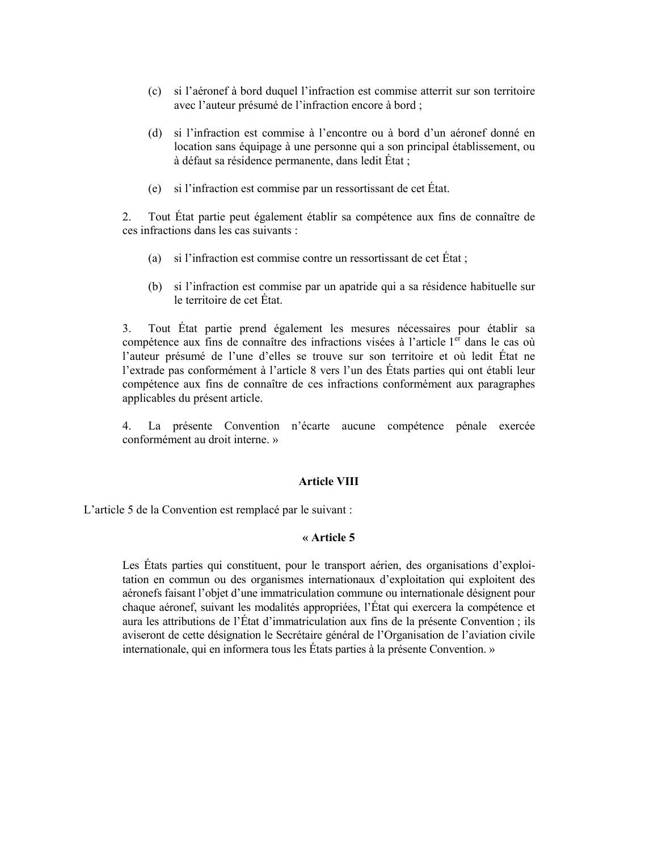- (c) si l'aéronef à bord duquel l'infraction est commise atterrit sur son territoire avec l'auteur présumé de l'infraction encore à bord ;
- (d) si l'infraction est commise à l'encontre ou à bord d'un aéronef donné en location sans équipage à une personne qui a son principal établissement, ou à défaut sa résidence permanente, dans ledit État;
- (e) si l'infraction est commise par un ressortissant de cet État.

 $2.$ Tout État partie peut également établir sa compétence aux fins de connaître de ces infractions dans les cas suivants ·

- (a) si l'infraction est commise contre un ressortissant de cet État;
- (b) si l'infraction est commise par un apatride qui a sa résidence habituelle sur le territoire de cet État.

Tout Etat partie prend également les mesures nécessaires pour établir sa  $3.$ compétence aux fins de connaître des infractions visées à l'article 1<sup>er</sup> dans le cas où l'auteur présumé de l'une d'elles se trouve sur son territoire et où ledit État ne l'extrade pas conformément à l'article 8 vers l'un des États parties qui ont établi leur compétence aux fins de connaître de ces infractions conformément aux paragraphes applicables du présent article.

La présente Convention n'écarte aucune compétence pénale exercée  $4.$ conformément au droit interne »

#### **Article VIII**

L'article 5 de la Convention est remplacé par le suivant :

#### « Article 5

Les États parties qui constituent, pour le transport aérien, des organisations d'exploitation en commun ou des organismes internationaux d'exploitation qui exploitent des aéronefs faisant l'objet d'une immatriculation commune ou internationale désignent pour chaque aéronef, suivant les modalités appropriées, l'État qui exercera la compétence et aura les attributions de l'État d'immatriculation aux fins de la présente Convention; ils aviseront de cette désignation le Secrétaire général de l'Organisation de l'aviation civile internationale, qui en informera tous les États parties à la présente Convention. »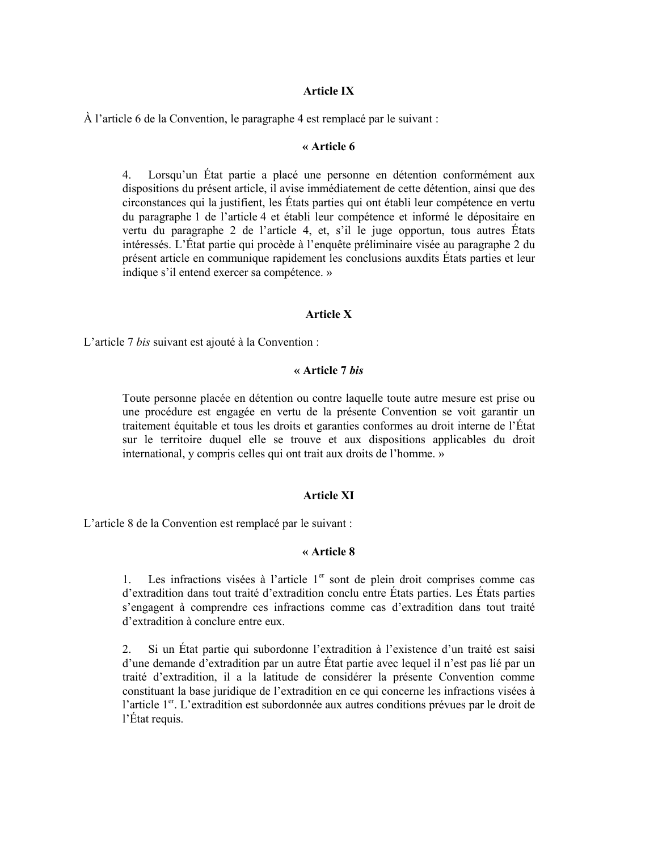## **Article IX**

À l'article 6 de la Convention, le paragraphe 4 est remplacé par le suivant :

#### « Article 6

Lorsqu'un État partie a placé une personne en détention conformément aux 4. dispositions du présent article, il avise immédiatement de cette détention, ainsi que des circonstances qui la justifient, les États parties qui ont établi leur compétence en vertu du paragraphe 1 de l'article 4 et établi leur compétence et informé le dépositaire en vertu du paragraphe 2 de l'article 4, et, s'il le juge opportun, tous autres États intéressés. L'État partie qui procède à l'enquête préliminaire visée au paragraphe 2 du présent article en communique rapidement les conclusions aux dits États parties et leur indique s'il entend exercer sa compétence. »

#### **Article X**

L'article 7 bis suivant est ajouté à la Convention :

### « Article 7 bis

Toute personne placée en détention ou contre laquelle toute autre mesure est prise ou une procédure est engagée en vertu de la présente Convention se voit garantir un traitement équitable et tous les droits et garanties conformes au droit interne de l'État sur le territoire duquel elle se trouve et aux dispositions applicables du droit international, y compris celles qui ont trait aux droits de l'homme. »

#### **Article XI**

L'article 8 de la Convention est remplacé par le suivant :

# « Article 8

Les infractions visées à l'article 1<sup>er</sup> sont de plein droit comprises comme cas 1. d'extradition dans tout traité d'extradition conclu entre États parties. Les États parties s'engagent à comprendre ces infractions comme cas d'extradition dans tout traité d'extradition à conclure entre eux.

 $2.$ Si un État partie qui subordonne l'extradition à l'existence d'un traité est saisi d'une demande d'extradition par un autre État partie avec lequel il n'est pas lié par un traité d'extradition, il a la latitude de considérer la présente Convention comme constituant la base juridique de l'extradition en ce qui concerne les infractions visées à l'article 1<sup>er</sup>. L'extradition est subordonnée aux autres conditions prévues par le droit de l'État requis.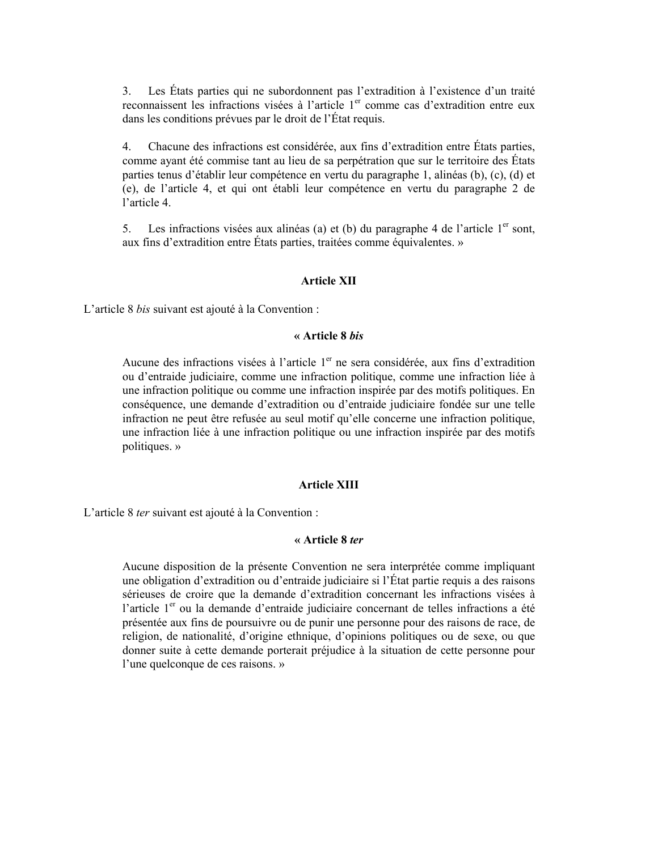Les États parties qui ne subordonnent pas l'extradition à l'existence d'un traité  $\mathcal{E}$ reconnaissent les infractions visées à l'article 1<sup>er</sup> comme cas d'extradition entre eux dans les conditions prévues par le droit de l'État requis.

 $4.$ Chacune des infractions est considérée, aux fins d'extradition entre États parties, comme avant été commise tant au lieu de sa perpétration que sur le territoire des États parties tenus d'établir leur compétence en vertu du paragraphe 1, alinéas (b), (c), (d) et (e), de l'article 4, et qui ont établi leur compétence en vertu du paragraphe 2 de l'article 4.

Les infractions visées aux alinéas (a) et (b) du paragraphe 4 de l'article  $1<sup>er</sup>$  sont, 5. aux fins d'extradition entre États parties, traitées comme équivalentes. »

#### **Article XII**

L'article 8 *bis* suivant est ajouté à la Convention :

# « Article 8 bis

Aucune des infractions visées à l'article 1<sup>er</sup> ne sera considérée, aux fins d'extradition ou d'entraide judiciaire, comme une infraction politique, comme une infraction liée à une infraction politique ou comme une infraction inspirée par des motifs politiques. En conséquence, une demande d'extradition ou d'entraide judiciaire fondée sur une telle infraction ne peut être refusée au seul motif qu'elle concerne une infraction politique, une infraction liée à une infraction politique ou une infraction inspirée par des motifs politiques. »

#### **Article XIII**

L'article 8 ter suivant est ajouté à la Convention :

## « Article 8 ter

Aucune disposition de la présente Convention ne sera interprétée comme impliquant une obligation d'extradition ou d'entraide judiciaire si l'État partie requis a des raisons sérieuses de croire que la demande d'extradition concernant les infractions visées à l'article 1<sup>er</sup> ou la demande d'entraide judiciaire concernant de telles infractions a été présentée aux fins de poursuivre ou de punir une personne pour des raisons de race, de religion, de nationalité, d'origine ethnique, d'opinions politiques ou de sexe, ou que donner suite à cette demande porterait préjudice à la situation de cette personne pour l'une quelconque de ces raisons. »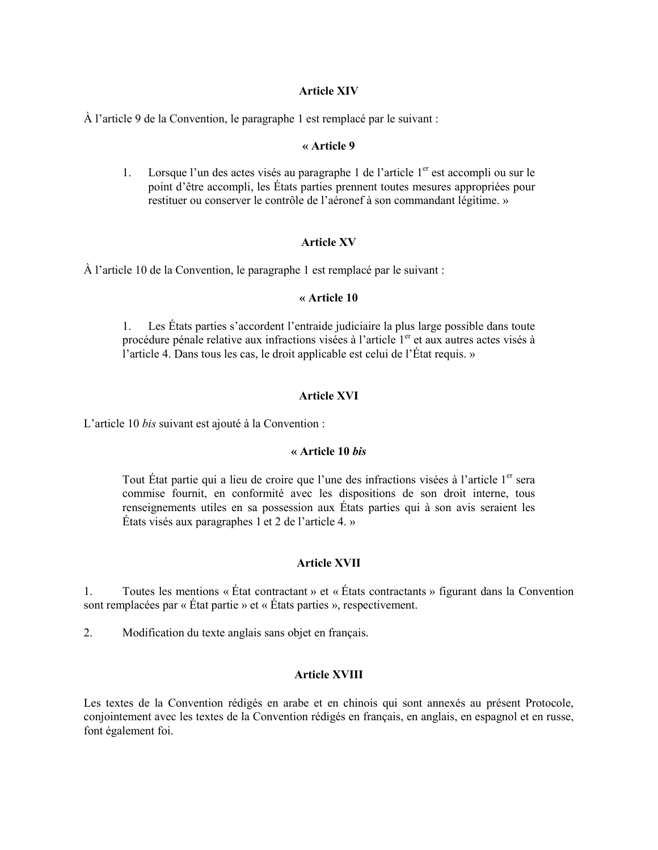## **Article XIV**

À l'article 9 de la Convention, le paragraphe 1 est remplacé par le suivant :

#### « Article 9

Lorsque l'un des actes visés au paragraphe 1 de l'article 1<sup>er</sup> est accompli ou sur le  $1.$ point d'être accompli, les États parties prennent toutes mesures appropriées pour restituer ou conserver le contrôle de l'aéronef à son commandant légitime. »

## **Article XV**

À l'article 10 de la Convention, le paragraphe 1 est remplacé par le suivant :

#### $\alpha$  Article 10

 $1.$ Les États parties s'accordent l'entraide judiciaire la plus large possible dans toute procédure pénale relative aux infractions visées à l'article 1<sup>er</sup> et aux autres actes visés à l'article 4. Dans tous les cas, le droit applicable est celui de l'État requis. »

## **Article XVI**

L'article 10 bis suivant est ajouté à la Convention :

## « Article  $10$  *his*

Tout État partie qui a lieu de croire que l'une des infractions visées à l'article 1<sup>er</sup> sera commise fournit, en conformité avec les dispositions de son droit interne, tous renseignements utiles en sa possession aux États parties qui à son avis seraient les États visés aux paragraphes 1 et 2 de l'article 4. »

## **Article XVII**

Toutes les mentions « État contractant » et « États contractants » figurant dans la Convention  $1.$ sont remplacées par « État partie » et « États parties », respectivement.

 $2.$ Modification du texte anglais sans objet en français.

## **Article XVIII**

Les textes de la Convention rédigés en arabe et en chinois qui sont annexés au présent Protocole, conjointement avec les textes de la Convention rédigés en français, en anglais, en espagnol et en russe, font également foi.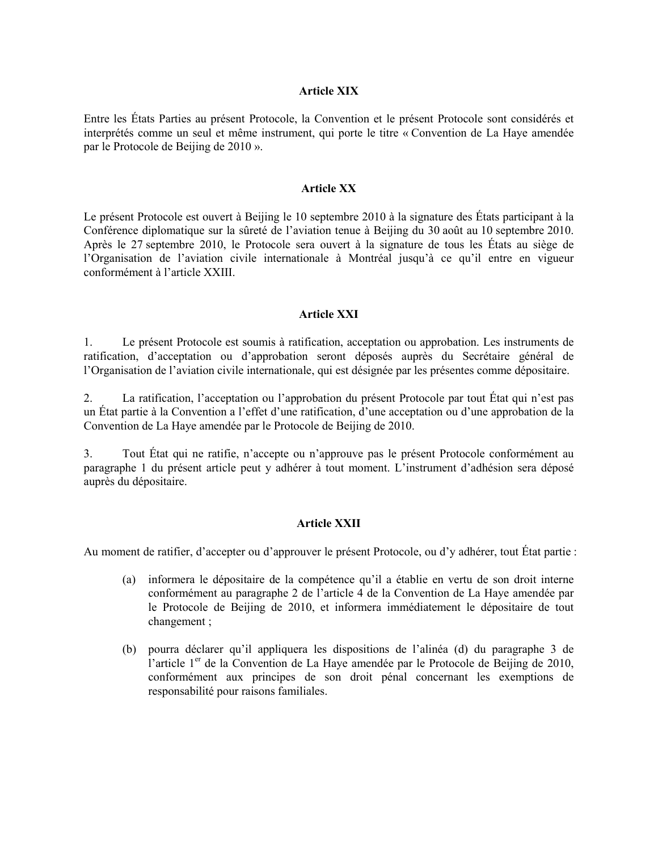## **Article XIX**

Entre les États Parties au présent Protocole, la Convention et le présent Protocole sont considérés et interprétés comme un seul et même instrument, qui porte le titre « Convention de La Haye amendée par le Protocole de Beijing de 2010 ».

## **Article XX**

Le présent Protocole est ouvert à Beijing le 10 septembre 2010 à la signature des États participant à la Conférence diplomatique sur la sûreté de l'aviation tenue à Beijing du 30 août au 10 septembre 2010. Après le 27 septembre 2010, le Protocole sera ouvert à la signature de tous les États au siège de l'Organisation de l'aviation civile internationale à Montréal jusqu'à ce qu'il entre en vigueur conformément à l'article XXIII.

#### **Article XXI**

Le présent Protocole est soumis à ratification, acceptation ou approbation. Les instruments de  $1_{\cdot}$ ratification, d'acceptation ou d'approbation seront déposés auprès du Secrétaire général de l'Organisation de l'aviation civile internationale, qui est désignée par les présentes comme dépositaire.

La ratification, l'acceptation ou l'approbation du présent Protocole par tout État qui n'est pas  $2.$ un État partie à la Convention a l'effet d'une ratification, d'une acceptation ou d'une approbation de la Convention de La Haye amendée par le Protocole de Beijing de 2010.

Tout État qui ne ratifie, n'accepte ou n'approuve pas le présent Protocole conformément au  $3<sub>1</sub>$ paragraphe 1 du présent article peut y adhérer à tout moment. L'instrument d'adhésion sera déposé auprès du dépositaire.

#### **Article XXII**

Au moment de ratifier, d'accepter ou d'approuver le présent Protocole, ou d'y adhérer, tout État partie :

- (a) informera le dépositaire de la compétence qu'il a établie en vertu de son droit interne conformément au paragraphe 2 de l'article 4 de la Convention de La Haye amendée par le Protocole de Beijing de 2010, et informera immédiatement le dépositaire de tout changement;
- (b) pourra déclarer qu'il appliquera les dispositions de l'alinéa (d) du paragraphe 3 de l'article 1<sup>er</sup> de la Convention de La Have amendée par le Protocole de Beijing de 2010, conformément aux principes de son droit pénal concernant les exemptions de responsabilité pour raisons familiales.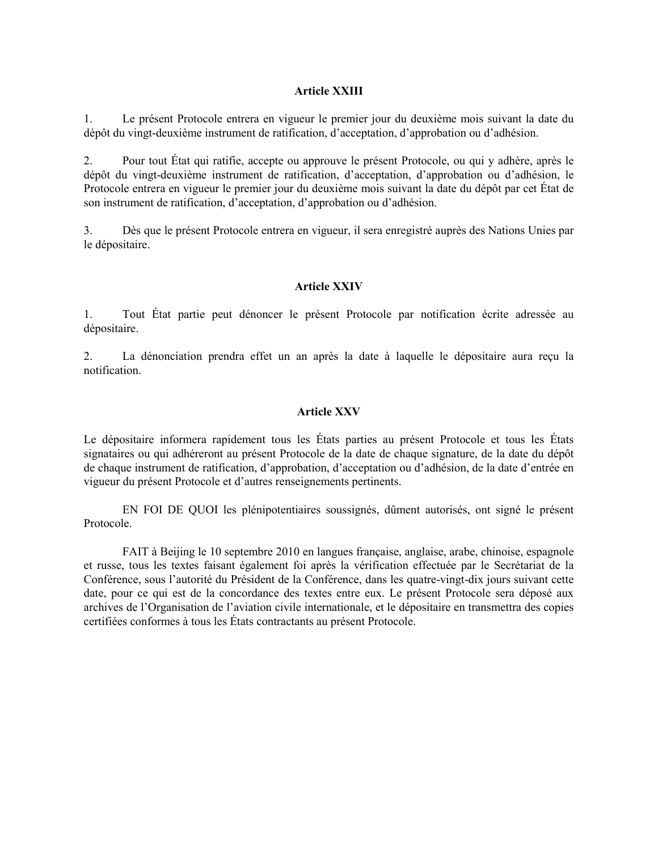## **Article XXIII**

Le présent Protocole entrera en vigueur le premier jour du deuxième mois suivant la date du 1. dépôt du vingt-deuxième instrument de ratification, d'acceptation, d'approbation ou d'adhésion.

 $2.$ Pour tout État qui ratifie, accepte ou approuve le présent Protocole, ou qui y adhère, après le dépôt du vingt-deuxième instrument de ratification, d'acceptation, d'approbation ou d'adhésion, le Protocole entrera en vigueur le premier jour du deuxième mois suivant la date du dépôt par cet État de son instrument de ratification, d'acceptation, d'approbation ou d'adhésion.

Dès que le présent Protocole entrera en vigueur, il sera enregistré auprès des Nations Unies par  $3<sub>1</sub>$ le dépositaire.

## **Article XXIV**

1. Tout État partie peut dénoncer le présent Protocole par notification écrite adressée au dépositaire.

La dénonciation prendra effet un an après la date à laquelle le dépositaire aura reçu la  $2.$ notification.

#### **Article XXV**

Le dépositaire informera rapidement tous les États parties au présent Protocole et tous les États signataires ou qui adhéreront au présent Protocole de la date de chaque signature, de la date du dépôt de chaque instrument de ratification, d'approbation, d'acceptation ou d'adhésion, de la date d'entrée en vigueur du présent Protocole et d'autres renseignements pertinents.

EN FOI DE QUOI les plénipotentiaires soussignés, dûment autorisés, ont signé le présent Protocole.

FAIT à Beijing le 10 septembre 2010 en langues française, anglaise, arabe, chinoise, espagnole et russe, tous les textes faisant également foi après la vérification effectuée par le Secrétariat de la Conférence, sous l'autorité du Président de la Conférence, dans les quatre-vingt-dix jours suivant cette date, pour ce qui est de la concordance des textes entre eux. Le présent Protocole sera déposé aux archives de l'Organisation de l'aviation civile internationale, et le dépositaire en transmettra des copies certifiées conformes à tous les États contractants au présent Protocole.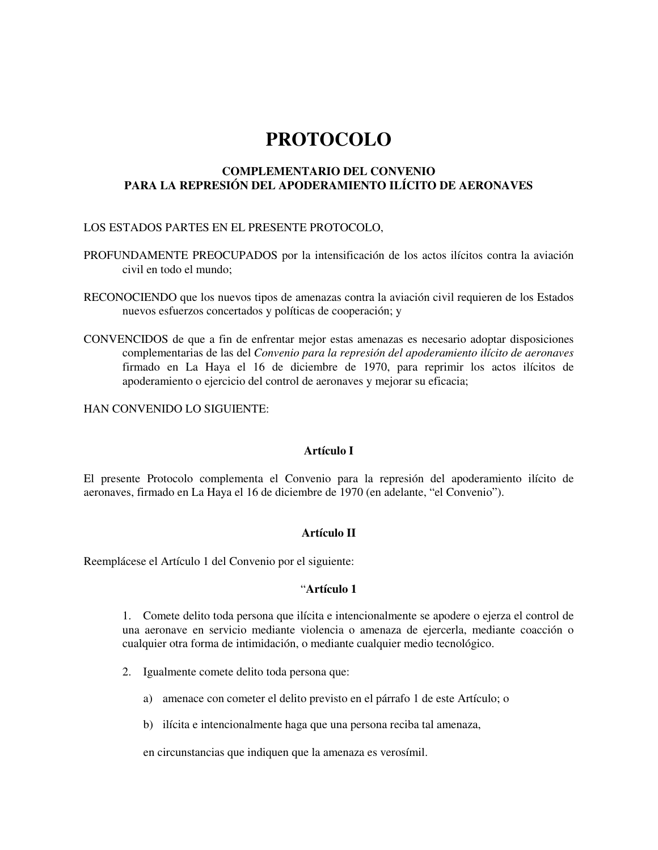# **PROTOCOLO**

## **COMPLEMENTARIO DEL CONVENIO PARA LA REPRESIÓN DEL APODERAMIENTO ILÍCITO DE AERONAVES**

# LOS ESTADOS PARTES EN EL PRESENTE PROTOCOLO,

- PROFUNDAMENTE PREOCUPADOS por la intensificación de los actos ilícitos contra la aviación civil en todo el mundo;
- RECONOCIENDO que los nuevos tipos de amenazas contra la aviación civil requieren de los Estados nuevos esfuerzos concertados y políticas de cooperación; y
- CONVENCIDOS de que a fin de enfrentar mejor estas amenazas es necesario adoptar disposiciones complementarias de las del *Convenio para la represión del apoderamiento ilícito de aeronaves* firmado en La Haya el 16 de diciembre de 1970, para reprimir los actos ilícitos de apoderamiento o ejercicio del control de aeronaves y mejorar su eficacia;

HAN CONVENIDO LO SIGUIENTE:

## **Artículo I**

El presente Protocolo complementa el Convenio para la represión del apoderamiento ilícito de aeronaves, firmado en La Haya el 16 de diciembre de 1970 (en adelante, "el Convenio").

## **Artículo II**

Reemplácese el Artículo 1 del Convenio por el siguiente:

## "**Artículo 1**

1. Comete delito toda persona que ilícita e intencionalmente se apodere o ejerza el control de una aeronave en servicio mediante violencia o amenaza de ejercerla, mediante coacción o cualquier otra forma de intimidación, o mediante cualquier medio tecnológico.

- 2. Igualmente comete delito toda persona que:
	- a) amenace con cometer el delito previsto en el párrafo 1 de este Artículo; o
	- b) ilícita e intencionalmente haga que una persona reciba tal amenaza,

en circunstancias que indiquen que la amenaza es verosímil.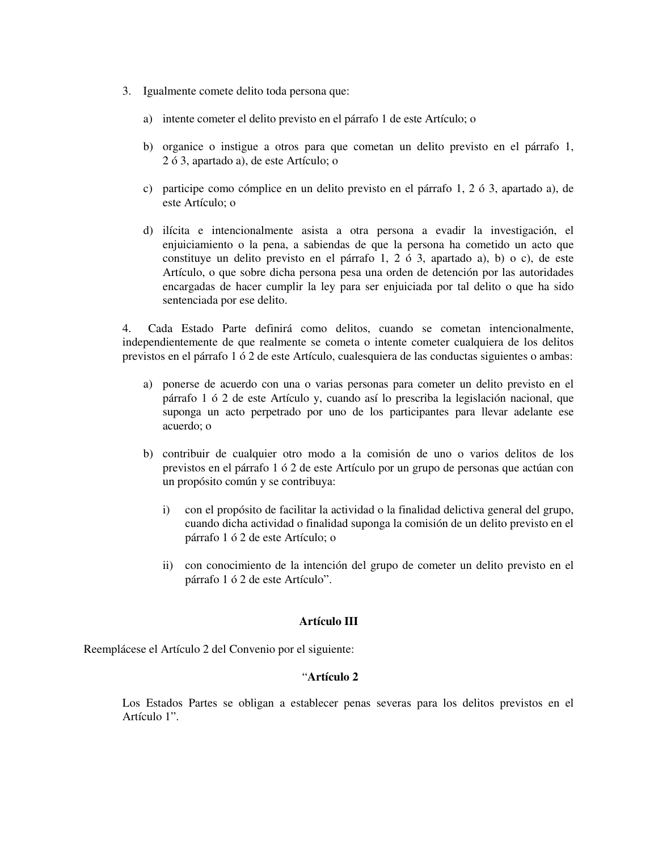- 3. Igualmente comete delito toda persona que:
	- a) intente cometer el delito previsto en el párrafo 1 de este Artículo; o
	- b) organice o instigue a otros para que cometan un delito previsto en el párrafo 1, 2 ó 3, apartado a), de este Artículo; o
	- c) participe como cómplice en un delito previsto en el párrafo 1, 2 ó 3, apartado a), de este Artículo; o
	- d) ilícita e intencionalmente asista a otra persona a evadir la investigación, el enjuiciamiento o la pena, a sabiendas de que la persona ha cometido un acto que constituye un delito previsto en el párrafo 1, 2 ó 3, apartado a), b) o c), de este Artículo, o que sobre dicha persona pesa una orden de detención por las autoridades encargadas de hacer cumplir la ley para ser enjuiciada por tal delito o que ha sido sentenciada por ese delito.

4. Cada Estado Parte definirá como delitos, cuando se cometan intencionalmente, independientemente de que realmente se cometa o intente cometer cualquiera de los delitos previstos en el párrafo 1 ó 2 de este Artículo, cualesquiera de las conductas siguientes o ambas:

- a) ponerse de acuerdo con una o varias personas para cometer un delito previsto en el párrafo 1 ó 2 de este Artículo y, cuando así lo prescriba la legislación nacional, que suponga un acto perpetrado por uno de los participantes para llevar adelante ese acuerdo; o
- b) contribuir de cualquier otro modo a la comisión de uno o varios delitos de los previstos en el párrafo 1 ó 2 de este Artículo por un grupo de personas que actúan con un propósito común y se contribuya:
	- i) con el propósito de facilitar la actividad o la finalidad delictiva general del grupo, cuando dicha actividad o finalidad suponga la comisión de un delito previsto en el párrafo 1 ó 2 de este Artículo; o
	- ii) con conocimiento de la intención del grupo de cometer un delito previsto en el párrafo 1 ó 2 de este Artículo".

#### **Artículo III**

Reemplácese el Artículo 2 del Convenio por el siguiente:

#### "**Artículo 2**

Los Estados Partes se obligan a establecer penas severas para los delitos previstos en el Artículo 1".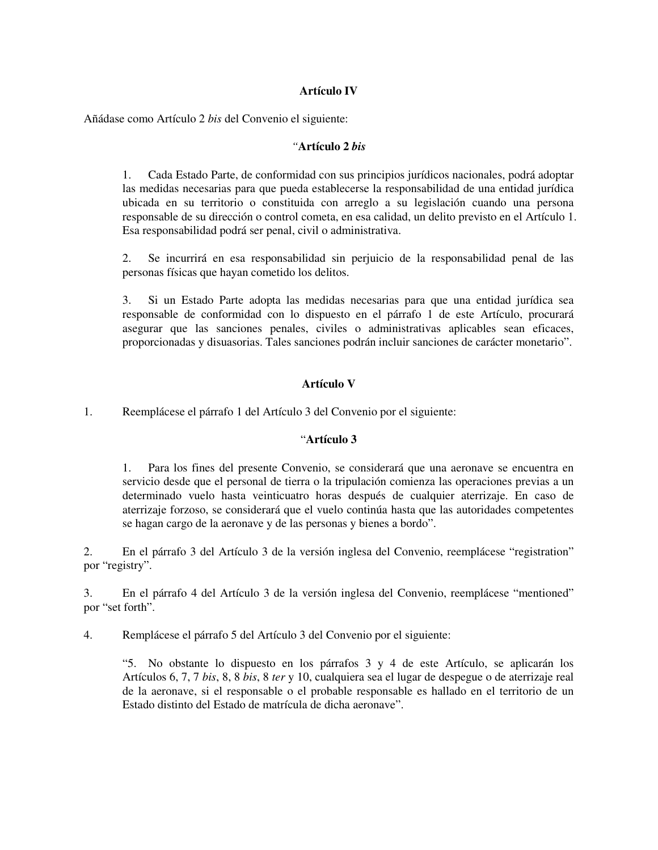# **Artículo IV**

Añádase como Artículo 2 *bis* del Convenio el siguiente:

## *"***Artículo 2** *bis*

1. Cada Estado Parte, de conformidad con sus principios jurídicos nacionales, podrá adoptar las medidas necesarias para que pueda establecerse la responsabilidad de una entidad jurídica ubicada en su territorio o constituida con arreglo a su legislación cuando una persona responsable de su dirección o control cometa, en esa calidad, un delito previsto en el Artículo 1. Esa responsabilidad podrá ser penal, civil o administrativa.

2. Se incurrirá en esa responsabilidad sin perjuicio de la responsabilidad penal de las personas físicas que hayan cometido los delitos.

3. Si un Estado Parte adopta las medidas necesarias para que una entidad jurídica sea responsable de conformidad con lo dispuesto en el párrafo 1 de este Artículo, procurará asegurar que las sanciones penales, civiles o administrativas aplicables sean eficaces, proporcionadas y disuasorias. Tales sanciones podrán incluir sanciones de carácter monetario".

# **Artículo V**

1. Reemplácese el párrafo 1 del Artículo 3 del Convenio por el siguiente:

## "**Artículo 3**

1. Para los fines del presente Convenio, se considerará que una aeronave se encuentra en servicio desde que el personal de tierra o la tripulación comienza las operaciones previas a un determinado vuelo hasta veinticuatro horas después de cualquier aterrizaje. En caso de aterrizaje forzoso, se considerará que el vuelo continúa hasta que las autoridades competentes se hagan cargo de la aeronave y de las personas y bienes a bordo".

2. En el párrafo 3 del Artículo 3 de la versión inglesa del Convenio, reemplácese "registration" por "registry".

3. En el párrafo 4 del Artículo 3 de la versión inglesa del Convenio, reemplácese "mentioned" por "set forth".

4. Remplácese el párrafo 5 del Artículo 3 del Convenio por el siguiente:

"5. No obstante lo dispuesto en los párrafos 3 y 4 de este Artículo, se aplicarán los Artículos 6, 7, 7 *bis*, 8, 8 *bis*, 8 *ter* y 10, cualquiera sea el lugar de despegue o de aterrizaje real de la aeronave, si el responsable o el probable responsable es hallado en el territorio de un Estado distinto del Estado de matrícula de dicha aeronave".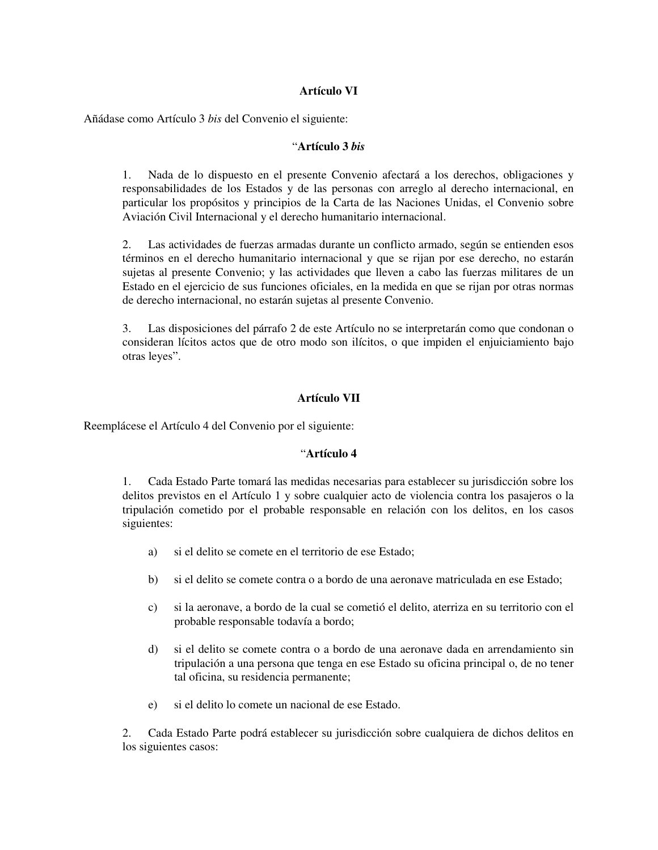# **Artículo VI**

Añádase como Artículo 3 *bis* del Convenio el siguiente:

## "**Artículo 3** *bis*

1. Nada de lo dispuesto en el presente Convenio afectará a los derechos, obligaciones y responsabilidades de los Estados y de las personas con arreglo al derecho internacional, en particular los propósitos y principios de la Carta de las Naciones Unidas, el Convenio sobre Aviación Civil Internacional y el derecho humanitario internacional.

2. Las actividades de fuerzas armadas durante un conflicto armado, según se entienden esos términos en el derecho humanitario internacional y que se rijan por ese derecho, no estarán sujetas al presente Convenio; y las actividades que lleven a cabo las fuerzas militares de un Estado en el ejercicio de sus funciones oficiales, en la medida en que se rijan por otras normas de derecho internacional, no estarán sujetas al presente Convenio.

3. Las disposiciones del párrafo 2 de este Artículo no se interpretarán como que condonan o consideran lícitos actos que de otro modo son ilícitos, o que impiden el enjuiciamiento bajo otras leyes".

## **Artículo VII**

Reemplácese el Artículo 4 del Convenio por el siguiente:

#### "**Artículo 4**

1. Cada Estado Parte tomará las medidas necesarias para establecer su jurisdicción sobre los delitos previstos en el Artículo 1 y sobre cualquier acto de violencia contra los pasajeros o la tripulación cometido por el probable responsable en relación con los delitos, en los casos siguientes:

- a) si el delito se comete en el territorio de ese Estado;
- b) si el delito se comete contra o a bordo de una aeronave matriculada en ese Estado;
- c) si la aeronave, a bordo de la cual se cometió el delito, aterriza en su territorio con el probable responsable todavía a bordo;
- d) si el delito se comete contra o a bordo de una aeronave dada en arrendamiento sin tripulación a una persona que tenga en ese Estado su oficina principal o, de no tener tal oficina, su residencia permanente;
- e) si el delito lo comete un nacional de ese Estado.

2. Cada Estado Parte podrá establecer su jurisdicción sobre cualquiera de dichos delitos en los siguientes casos: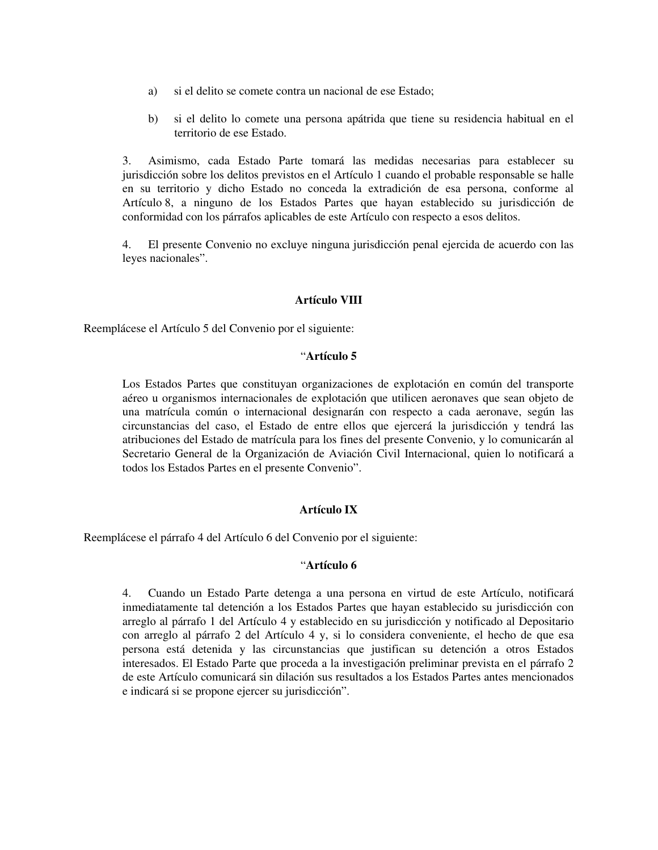- a) si el delito se comete contra un nacional de ese Estado;
- b) si el delito lo comete una persona apátrida que tiene su residencia habitual en el territorio de ese Estado.

3. Asimismo, cada Estado Parte tomará las medidas necesarias para establecer su jurisdicción sobre los delitos previstos en el Artículo 1 cuando el probable responsable se halle en su territorio y dicho Estado no conceda la extradición de esa persona, conforme al Artículo 8, a ninguno de los Estados Partes que hayan establecido su jurisdicción de conformidad con los párrafos aplicables de este Artículo con respecto a esos delitos.

4. El presente Convenio no excluye ninguna jurisdicción penal ejercida de acuerdo con las leyes nacionales".

## **Artículo VIII**

Reemplácese el Artículo 5 del Convenio por el siguiente:

## "**Artículo 5**

Los Estados Partes que constituyan organizaciones de explotación en común del transporte aéreo u organismos internacionales de explotación que utilicen aeronaves que sean objeto de una matrícula común o internacional designarán con respecto a cada aeronave, según las circunstancias del caso, el Estado de entre ellos que ejercerá la jurisdicción y tendrá las atribuciones del Estado de matrícula para los fines del presente Convenio, y lo comunicarán al Secretario General de la Organización de Aviación Civil Internacional, quien lo notificará a todos los Estados Partes en el presente Convenio".

#### **Artículo IX**

Reemplácese el párrafo 4 del Artículo 6 del Convenio por el siguiente:

#### "**Artículo 6**

4. Cuando un Estado Parte detenga a una persona en virtud de este Artículo, notificará inmediatamente tal detención a los Estados Partes que hayan establecido su jurisdicción con arreglo al párrafo 1 del Artículo 4 y establecido en su jurisdicción y notificado al Depositario con arreglo al párrafo 2 del Artículo 4 y, si lo considera conveniente, el hecho de que esa persona está detenida y las circunstancias que justifican su detención a otros Estados interesados. El Estado Parte que proceda a la investigación preliminar prevista en el párrafo 2 de este Artículo comunicará sin dilación sus resultados a los Estados Partes antes mencionados e indicará si se propone ejercer su jurisdicción".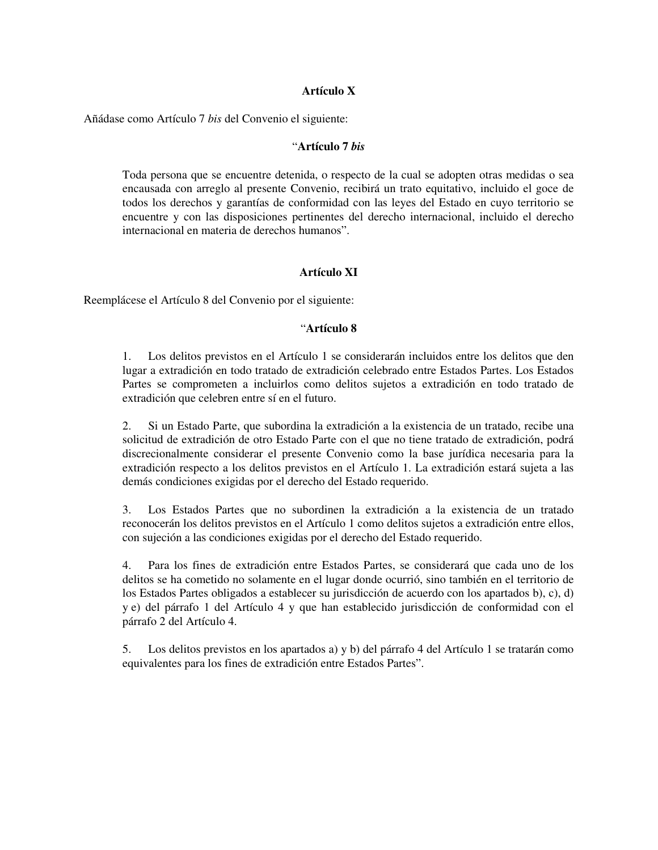## **Artículo X**

Añádase como Artículo 7 *bis* del Convenio el siguiente:

## "**Artículo 7** *bis*

Toda persona que se encuentre detenida, o respecto de la cual se adopten otras medidas o sea encausada con arreglo al presente Convenio, recibirá un trato equitativo, incluido el goce de todos los derechos y garantías de conformidad con las leyes del Estado en cuyo territorio se encuentre y con las disposiciones pertinentes del derecho internacional, incluido el derecho internacional en materia de derechos humanos".

## **Artículo XI**

Reemplácese el Artículo 8 del Convenio por el siguiente:

## "**Artículo 8**

1. Los delitos previstos en el Artículo 1 se considerarán incluidos entre los delitos que den lugar a extradición en todo tratado de extradición celebrado entre Estados Partes. Los Estados Partes se comprometen a incluirlos como delitos sujetos a extradición en todo tratado de extradición que celebren entre sí en el futuro.

2. Si un Estado Parte, que subordina la extradición a la existencia de un tratado, recibe una solicitud de extradición de otro Estado Parte con el que no tiene tratado de extradición, podrá discrecionalmente considerar el presente Convenio como la base jurídica necesaria para la extradición respecto a los delitos previstos en el Artículo 1. La extradición estará sujeta a las demás condiciones exigidas por el derecho del Estado requerido.

3. Los Estados Partes que no subordinen la extradición a la existencia de un tratado reconocerán los delitos previstos en el Artículo 1 como delitos sujetos a extradición entre ellos, con sujeción a las condiciones exigidas por el derecho del Estado requerido.

4. Para los fines de extradición entre Estados Partes, se considerará que cada uno de los delitos se ha cometido no solamente en el lugar donde ocurrió, sino también en el territorio de los Estados Partes obligados a establecer su jurisdicción de acuerdo con los apartados b), c), d) y e) del párrafo 1 del Artículo 4 y que han establecido jurisdicción de conformidad con el párrafo 2 del Artículo 4.

5. Los delitos previstos en los apartados a) y b) del párrafo 4 del Artículo 1 se tratarán como equivalentes para los fines de extradición entre Estados Partes".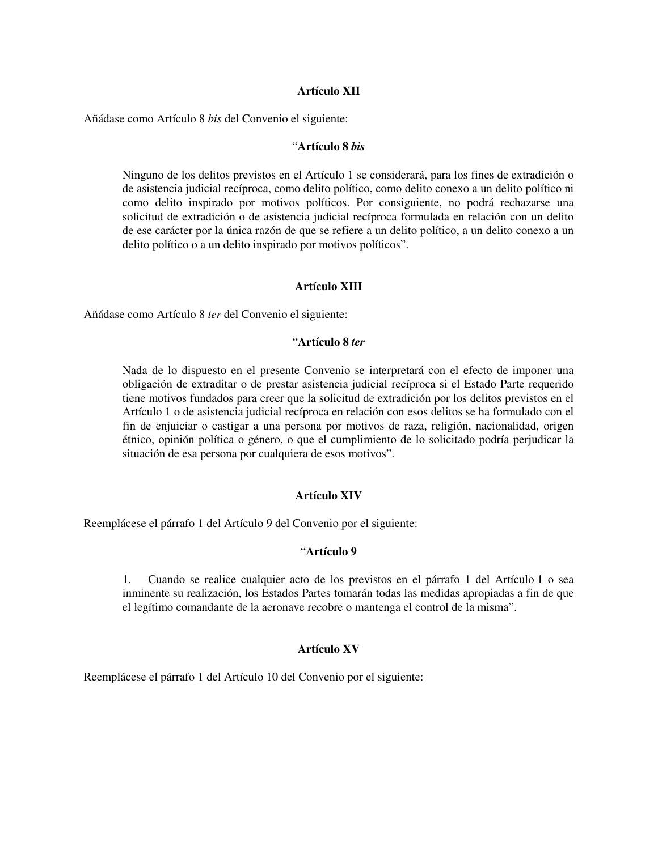## **Artículo XII**

Añádase como Artículo 8 *bis* del Convenio el siguiente:

#### "**Artículo 8** *bis*

Ninguno de los delitos previstos en el Artículo 1 se considerará, para los fines de extradición o de asistencia judicial recíproca, como delito político, como delito conexo a un delito político ni como delito inspirado por motivos políticos. Por consiguiente, no podrá rechazarse una solicitud de extradición o de asistencia judicial recíproca formulada en relación con un delito de ese carácter por la única razón de que se refiere a un delito político, a un delito conexo a un delito político o a un delito inspirado por motivos políticos".

## **Artículo XIII**

Añádase como Artículo 8 *ter* del Convenio el siguiente:

## "**Artículo 8** *ter*

Nada de lo dispuesto en el presente Convenio se interpretará con el efecto de imponer una obligación de extraditar o de prestar asistencia judicial recíproca si el Estado Parte requerido tiene motivos fundados para creer que la solicitud de extradición por los delitos previstos en el Artículo 1 o de asistencia judicial recíproca en relación con esos delitos se ha formulado con el fin de enjuiciar o castigar a una persona por motivos de raza, religión, nacionalidad, origen étnico, opinión política o género, o que el cumplimiento de lo solicitado podría perjudicar la situación de esa persona por cualquiera de esos motivos".

#### **Artículo XIV**

Reemplácese el párrafo 1 del Artículo 9 del Convenio por el siguiente:

## "**Artículo 9**

1. Cuando se realice cualquier acto de los previstos en el párrafo 1 del Artículo 1 o sea inminente su realización, los Estados Partes tomarán todas las medidas apropiadas a fin de que el legítimo comandante de la aeronave recobre o mantenga el control de la misma".

#### **Artículo XV**

Reemplácese el párrafo 1 del Artículo 10 del Convenio por el siguiente: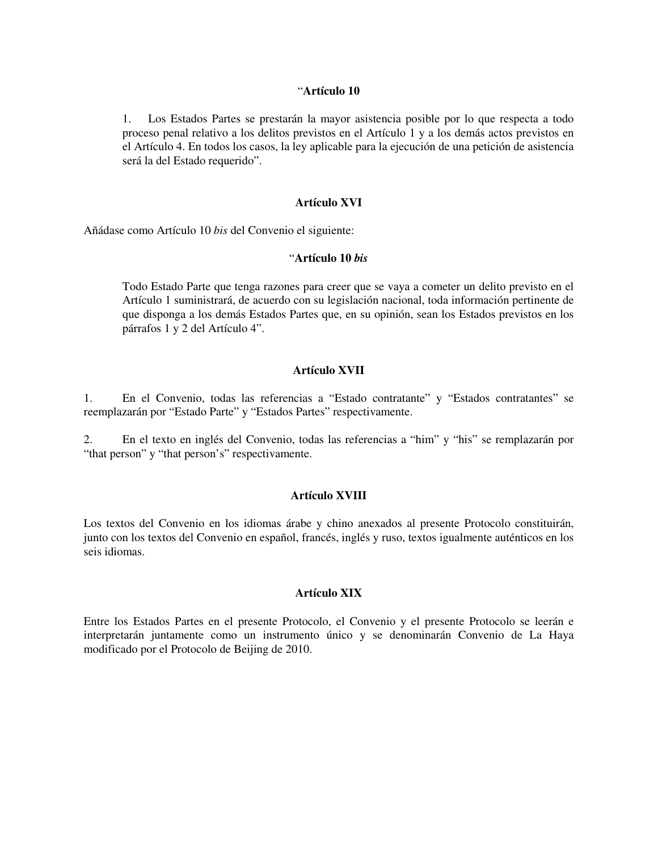#### "**Artículo 10**

1. Los Estados Partes se prestarán la mayor asistencia posible por lo que respecta a todo proceso penal relativo a los delitos previstos en el Artículo 1 y a los demás actos previstos en el Artículo 4. En todos los casos, la ley aplicable para la ejecución de una petición de asistencia será la del Estado requerido".

## **Artículo XVI**

Añádase como Artículo 10 *bis* del Convenio el siguiente:

#### "**Artículo 10** *bis*

Todo Estado Parte que tenga razones para creer que se vaya a cometer un delito previsto en el Artículo 1 suministrará, de acuerdo con su legislación nacional, toda información pertinente de que disponga a los demás Estados Partes que, en su opinión, sean los Estados previstos en los párrafos 1 y 2 del Artículo 4".

#### **Artículo XVII**

1. En el Convenio, todas las referencias a "Estado contratante" y "Estados contratantes" se reemplazarán por "Estado Parte" y "Estados Partes" respectivamente.

2. En el texto en inglés del Convenio, todas las referencias a "him" y "his" se remplazarán por "that person" y "that person's" respectivamente.

## **Artículo XVIII**

Los textos del Convenio en los idiomas árabe y chino anexados al presente Protocolo constituirán, junto con los textos del Convenio en español, francés, inglés y ruso, textos igualmente auténticos en los seis idiomas.

## **Artículo XIX**

Entre los Estados Partes en el presente Protocolo, el Convenio y el presente Protocolo se leerán e interpretarán juntamente como un instrumento único y se denominarán Convenio de La Haya modificado por el Protocolo de Beijing de 2010.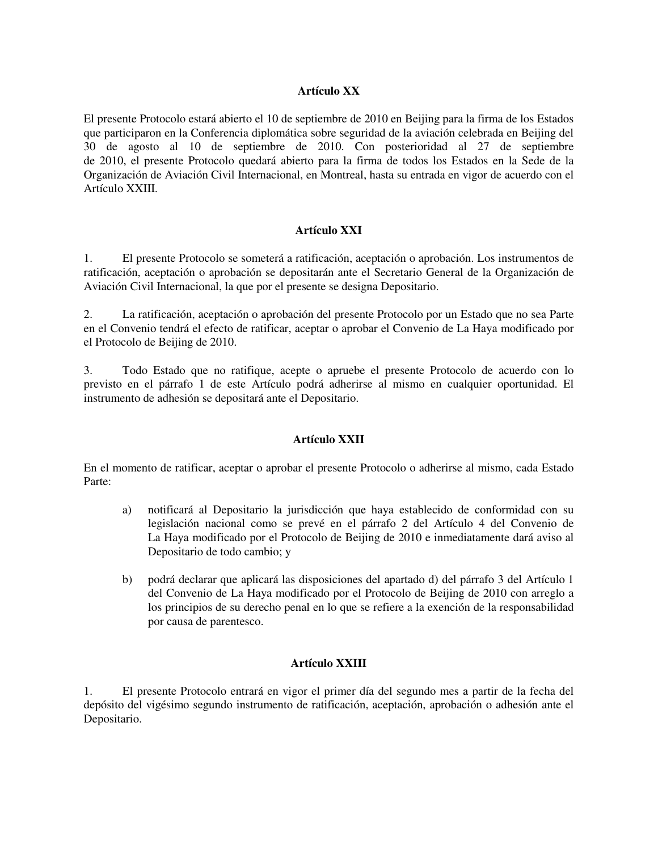# **Artículo XX**

El presente Protocolo estará abierto el 10 de septiembre de 2010 en Beijing para la firma de los Estados que participaron en la Conferencia diplomática sobre seguridad de la aviación celebrada en Beijing del 30 de agosto al 10 de septiembre de 2010. Con posterioridad al 27 de septiembre de 2010, el presente Protocolo quedará abierto para la firma de todos los Estados en la Sede de la Organización de Aviación Civil Internacional, en Montreal, hasta su entrada en vigor de acuerdo con el Artículo XXIII.

## **Artículo XXI**

1. El presente Protocolo se someterá a ratificación, aceptación o aprobación. Los instrumentos de ratificación, aceptación o aprobación se depositarán ante el Secretario General de la Organización de Aviación Civil Internacional, la que por el presente se designa Depositario.

2. La ratificación, aceptación o aprobación del presente Protocolo por un Estado que no sea Parte en el Convenio tendrá el efecto de ratificar, aceptar o aprobar el Convenio de La Haya modificado por el Protocolo de Beijing de 2010.

3. Todo Estado que no ratifique, acepte o apruebe el presente Protocolo de acuerdo con lo previsto en el párrafo 1 de este Artículo podrá adherirse al mismo en cualquier oportunidad. El instrumento de adhesión se depositará ante el Depositario.

## **Artículo XXII**

En el momento de ratificar, aceptar o aprobar el presente Protocolo o adherirse al mismo, cada Estado Parte:

- a) notificará al Depositario la jurisdicción que haya establecido de conformidad con su legislación nacional como se prevé en el párrafo 2 del Artículo 4 del Convenio de La Haya modificado por el Protocolo de Beijing de 2010 e inmediatamente dará aviso al Depositario de todo cambio; y
- b) podrá declarar que aplicará las disposiciones del apartado d) del párrafo 3 del Artículo 1 del Convenio de La Haya modificado por el Protocolo de Beijing de 2010 con arreglo a los principios de su derecho penal en lo que se refiere a la exención de la responsabilidad por causa de parentesco.

## **Artículo XXIII**

1. El presente Protocolo entrará en vigor el primer día del segundo mes a partir de la fecha del depósito del vigésimo segundo instrumento de ratificación, aceptación, aprobación o adhesión ante el Depositario.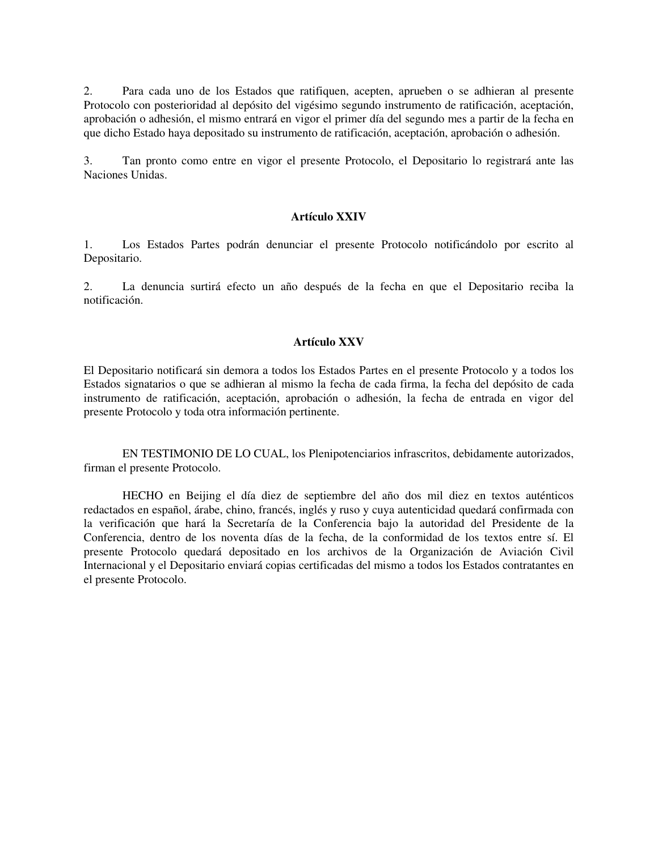2. Para cada uno de los Estados que ratifiquen, acepten, aprueben o se adhieran al presente Protocolo con posterioridad al depósito del vigésimo segundo instrumento de ratificación, aceptación, aprobación o adhesión, el mismo entrará en vigor el primer día del segundo mes a partir de la fecha en que dicho Estado haya depositado su instrumento de ratificación, aceptación, aprobación o adhesión.

3. Tan pronto como entre en vigor el presente Protocolo, el Depositario lo registrará ante las Naciones Unidas.

#### **Artículo XXIV**

1. Los Estados Partes podrán denunciar el presente Protocolo notificándolo por escrito al Depositario.

2. La denuncia surtirá efecto un año después de la fecha en que el Depositario reciba la notificación.

## **Artículo XXV**

El Depositario notificará sin demora a todos los Estados Partes en el presente Protocolo y a todos los Estados signatarios o que se adhieran al mismo la fecha de cada firma, la fecha del depósito de cada instrumento de ratificación, aceptación, aprobación o adhesión, la fecha de entrada en vigor del presente Protocolo y toda otra información pertinente.

EN TESTIMONIO DE LO CUAL, los Plenipotenciarios infrascritos, debidamente autorizados, firman el presente Protocolo.

HECHO en Beijing el día diez de septiembre del año dos mil diez en textos auténticos redactados en español, árabe, chino, francés, inglés y ruso y cuya autenticidad quedará confirmada con la verificación que hará la Secretaría de la Conferencia bajo la autoridad del Presidente de la Conferencia, dentro de los noventa días de la fecha, de la conformidad de los textos entre sí. El presente Protocolo quedará depositado en los archivos de la Organización de Aviación Civil Internacional y el Depositario enviará copias certificadas del mismo a todos los Estados contratantes en el presente Protocolo.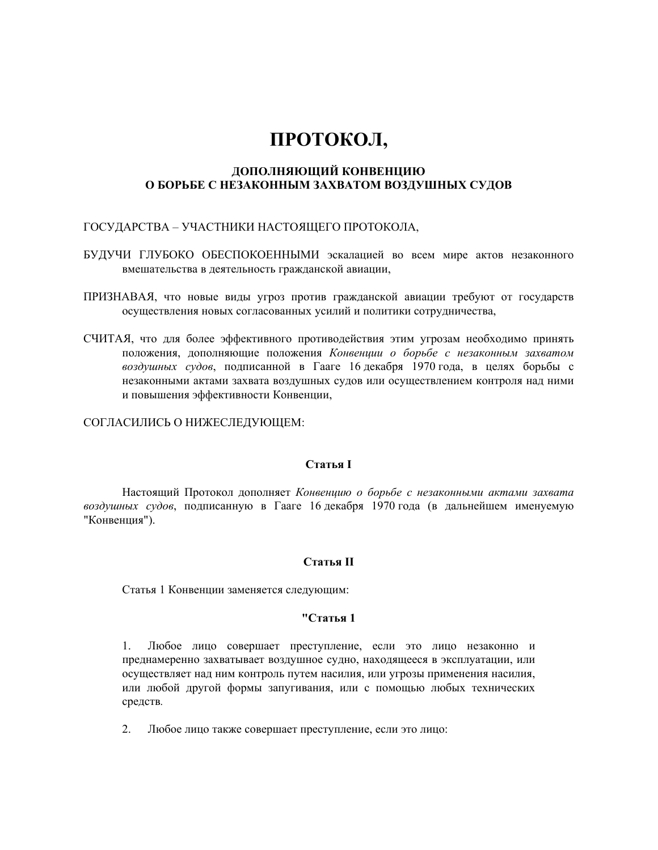# **ПРОТОКОЛ,**

## **ДОПОЛНЯЮЩИЙ КОНВЕНЦИЮ О БОРЬБЕ С НЕЗАКОННЫМ ЗАХВАТОМ ВОЗДУШНЫХ СУДОВ**

## ГОСУДАРСТВА – УЧАСТНИКИ НАСТОЯЩЕГО ПРОТОКОЛА,

- БУДУЧИ ГЛУБОКО ОБЕСПОКОЕННЫМИ эскалацией во всем мире актов незаконного вмешательства в деятельность гражданской авиации,
- ПРИЗНАВАЯ, что новые виды угроз против гражданской авиации требуют от государств осуществления новых согласованных усилий и политики сотрудничества,
- СЧИТАЯ, что для более эффективного противодействия этим угрозам необходимо принять положения, дополняющие положения *Конвенции о борьбе с незаконным захватом воздушных судов*, подписанной в Гааге 16 декабря 1970 года, в целях борьбы с незаконными актами захвата воздушных судов или осуществлением контроля над ними и повышения эффективности Конвенции,

СОГЛАСИЛИСЬ О НИЖЕСЛЕДУЮЩЕМ:

## **Статья I**

Настоящий Протокол дополняет *Конвенцию о борьбе с незаконными актами захвата воздушных судов*, подписанную в Гааге 16 декабря 1970 года (в дальнейшем именуемую "Конвенция").

## **Статья II**

Статья 1 Конвенции заменяется следующим:

## **"Статья 1**

1. Любое лицо совершает преступление, если это лицо незаконно и преднамеренно захватывает воздушное судно, находящееся в эксплуатации, или осуществляет над ним контроль путем насилия, или угрозы применения насилия, или любой другой формы запугивания, или с помощью любых технических средств*.*

2. Любое лицо также совершает преступление, если это лицо: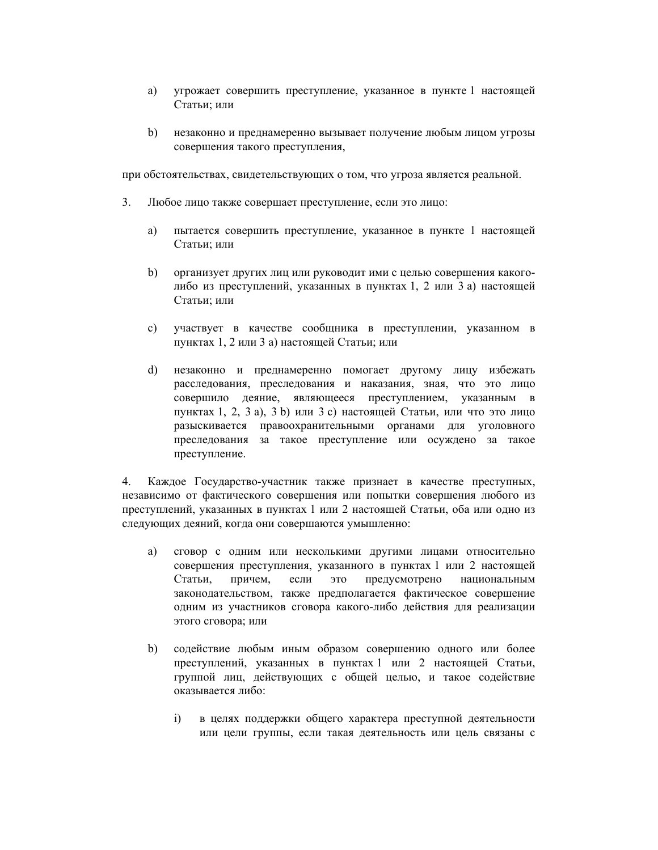- а) угрожает совершить преступление, указанное в пункте 1 настоящей Статьи; или
- b) незаконно и преднамеренно вызывает получение любым лицом угрозы совершения такого преступления,

при обстоятельствах, свидетельствующих о том, что угроза является реальной.

- 3. Любое лицо также совершает преступление, если это лицо:
	- a) пытается совершить преступление, указанное в пункте 1 настоящей Статьи; или
	- b) организует других лиц или руководит ими с целью совершения какоголибо из преступлений, указанных в пунктах 1, 2 или 3 а) настоящей Статьи; или
	- с) участвует в качестве сообщника в преступлении, указанном в пунктах 1, 2 или 3 а) настоящей Статьи; или
	- d) незаконно и преднамеренно помогает другому лицу избежать расследования, преследования и наказания, зная, что это лицо совершило деяние, являющееся преступлением, указанным в пунктах 1, 2, 3 a), 3 b) или 3 с) настоящей Статьи, или что это лицо разыскивается правоохранительными органами для уголовного преследования за такое преступление или осуждено за такое преступление.

4. Каждое Государство-участник также признает в качестве преступных, независимо от фактического совершения или попытки совершения любого из преступлений, указанных в пунктах 1 или 2 настоящей Статьи, оба или одно из следующих деяний, когда они совершаются умышленно:

- a) сговор с одним или несколькими другими лицами относительно совершения преступления, указанного в пунктах 1 или 2 настоящей Статьи, причем, если это предусмотрено национальным законодательством, также предполагается фактическое совершение одним из участников сговора какого-либо действия для реализации этого сговора; или
- b) содействие любым иным образом совершению одного или более преступлений, указанных в пунктах 1 или 2 настоящей Статьи, группой лиц, действующих с общей целью, и такое содействие оказывается либо:
	- i) в целях поддержки общего характера преступной деятельности или цели группы, если такая деятельность или цель связаны с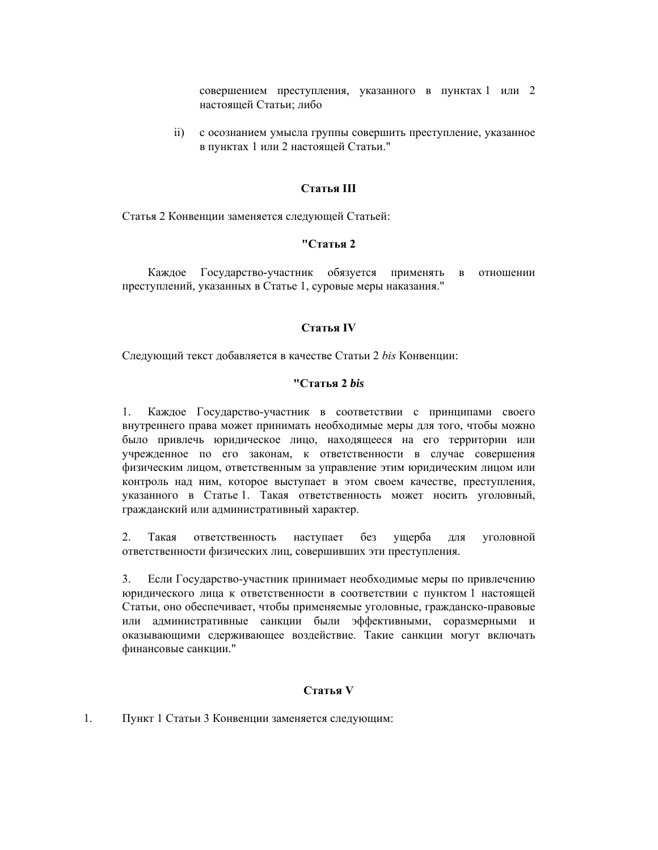совершением преступления, указанного в пунктах 1 или 2 настоящей Статьи; либо

 ii) с осознанием умысла группы совершить преступление, указанное в пунктах 1 или 2 настоящей Статьи."

# **Статья III**

Статья 2 Конвенции заменяется следующей Статьей:

#### **"Статья 2**

Каждое Государство-участник обязуется применять в отношении преступлений, указанных в Статье 1, суровые меры наказания."

## **Статья IV**

Следующий текст добавляется в качестве Статьи 2 *bis* Конвенции:

#### **"Статья 2** *bis*

1. Каждое Государство-участник в соответствии с принципами своего внутреннего права может принимать необходимые меры для того, чтобы можно было привлечь юридическое лицо, находящееся на его территории или учрежденное по его законам, к ответственности в случае совершения физическим лицом, ответственным за управление этим юридическим лицом или контроль над ним, которое выступает в этом своем качестве, преступления, указанного в Статье 1. Такая ответственность может носить уголовный, гражданский или административный характер.

2. Такая ответственность наступает без ущерба для уголовной ответственности физических лиц, совершивших эти преступления.

3. Если Государство-участник принимает необходимые меры по привлечению юридического лица к ответственности в соответствии с пунктом 1 настоящей Статьи, оно обеспечивает, чтобы применяемые уголовные, гражданско-правовые или административные санкции были эффективными, соразмерными и оказывающими сдерживающее воздействие. Такие санкции могут включать финансовые санкции."

## **Статья V**

1. Пункт 1 Статьи 3 Конвенции заменяется следующим: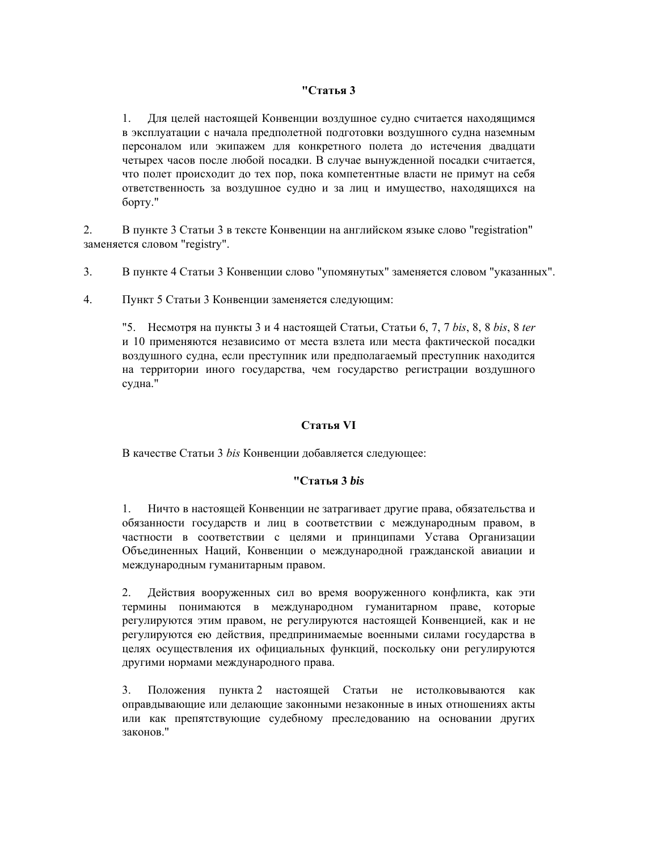## **"Статья 3**

1. Для целей настоящей Конвенции воздушное судно считается находящимся в эксплуатации с начала предполетной подготовки воздушного судна наземным персоналом или экипажем для конкретного полета до истечения двадцати четырех часов после любой посадки. В случае вынужденной посадки считается, что полет происходит до тех пор, пока компетентные власти не примут на себя ответственность за воздушное судно и за лиц и имущество, находящихся на борту."

2. В пункте 3 Статьи 3 в тексте Конвенции на английском языке слово "registration" заменяется словом "registry".

- 3. В пункте 4 Статьи 3 Конвенции слово "упомянутых" заменяется словом "указанных".
- 4. Пункт 5 Статьи 3 Конвенции заменяется следующим:

"5. Несмотря на пункты 3 и 4 настоящей Статьи, Статьи 6, 7, 7 *bis*, 8, 8 *bis*, 8 *ter* и 10 применяются независимо от места взлета или места фактической посадки воздушного судна, если преступник или предполагаемый преступник находится на территории иного государства, чем государство регистрации воздушного судна."

## **Статья VI**

В качестве Статьи 3 *bis* Конвенции добавляется следующее:

## **"Статья 3** *bis*

1. Ничто в настоящей Конвенции не затрагивает другие права, обязательства и обязанности государств и лиц в соответствии с международным правом, в частности в соответствии с целями и принципами Устава Организации Объединенных Наций, Конвенции о международной гражданской авиации и международным гуманитарным правом.

2. Действия вооруженных сил во время вооруженного конфликта, как эти термины понимаются в международном гуманитарном праве, которые регулируются этим правом, не регулируются настоящей Конвенцией, как и не регулируются ею действия, предпринимаемые военными силами государства в целях осуществления их официальных функций, поскольку они регулируются другими нормами международного права.

3. Положения пункта 2 настоящей Статьи не истолковываются как оправдывающие или делающие законными незаконные в иных отношениях акты или как препятствующие судебному преследованию на основании других законов."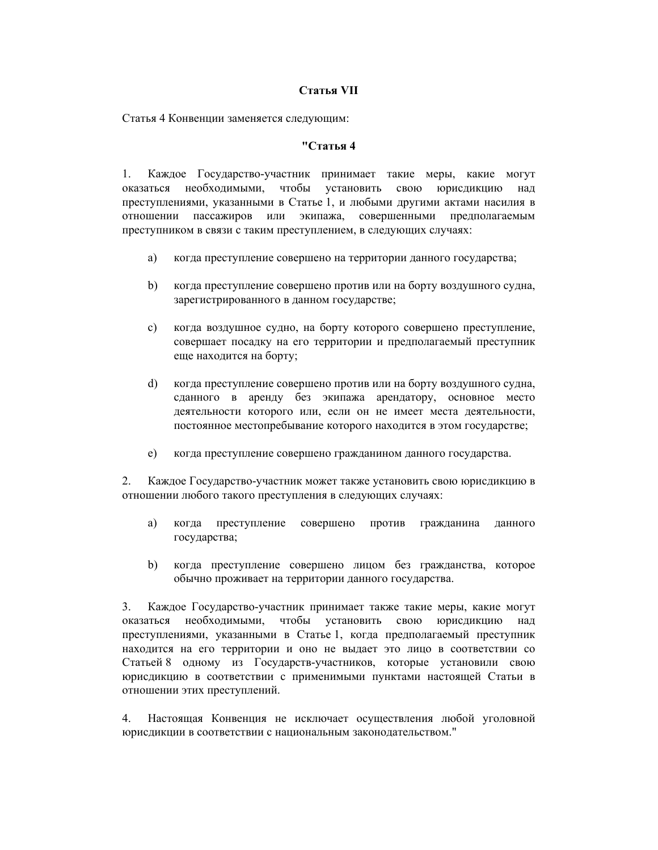## **Статья VII**

Статья 4 Конвенции заменяется следующим:

## **"Статья 4**

1. Каждое Государство-участник принимает такие меры, какие могут оказаться необходимыми, чтобы установить свою юрисдикцию над преступлениями, указанными в Статье 1, и любыми другими актами насилия в отношении пассажиров или экипажа, совершенными предполагаемым преступником в связи с таким преступлением, в следующих случаях:

- a) когда преступление совершено на территории данного государства;
- b) когда преступление совершено против или на борту воздушного судна, зарегистрированного в данном государстве;
- с) когда воздушное судно, на борту которого совершено преступление, совершает посадку на его территории и предполагаемый преступник еще находится на борту;
- d) когда преступление совершено против или на борту воздушного судна, сданного в аренду без экипажа арендатору, основное место деятельности которого или, если он не имеет места деятельности, постоянное местопребывание которого находится в этом государстве;
- е) когда преступление совершено гражданином данного государства.

2. Каждое Государство-участник может также установить свою юрисдикцию в отношении любого такого преступления в следующих случаях:

- a) когда преступление совершено против гражданина данного государства;
- b) когда преступление совершено лицом без гражданства, которое обычно проживает на территории данного государства.

3. Каждое Государство-участник принимает также такие меры, какие могут оказаться необходимыми, чтобы установить свою юрисдикцию над преступлениями, указанными в Статье 1, когда предполагаемый преступник находится на его территории и оно не выдает это лицо в соответствии со Статьей 8 одному из Государств-участников, которые установили свою юрисдикцию в соответствии с применимыми пунктами настоящей Статьи в отношении этих преступлений.

4. Настоящая Конвенция не исключает осуществления любой уголовной юрисдикции в соответствии с национальным законодательством."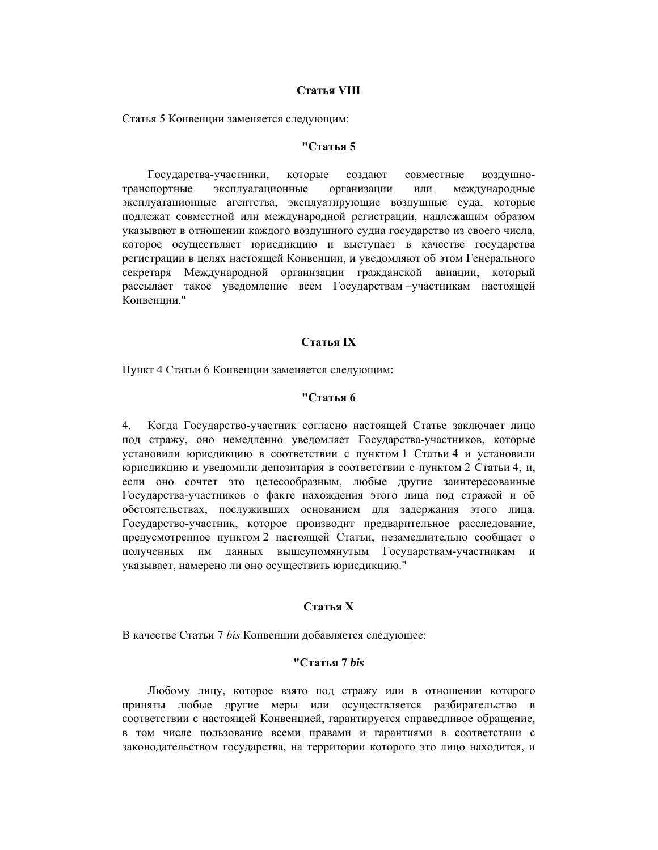## **Статья VIII**

Статья 5 Конвенции заменяется следующим:

#### **"Статья 5**

Государства-участники, которые создают совместные воздушнотранспортные эксплуатационные организации или международные эксплуатационные агентства, эксплуатирующие воздушные суда, которые подлежат совместной или международной регистрации, надлежащим образом указывают в отношении каждого воздушного судна государство из своего числа, которое осуществляет юрисдикцию и выступает в качестве государства регистрации в целях настоящей Конвенции, и уведомляют об этом Генерального секретаря Международной организации гражданской авиации, который рассылает такое уведомление всем Государствам –участникам настоящей Конвенции."

## **Статья IХ**

Пункт 4 Статьи 6 Конвенции заменяется следующим:

### **"Статья 6**

4. Когда Государство-участник согласно настоящей Статье заключает лицо под стражу, оно немедленно уведомляет Государства-участников, которые установили юрисдикцию в соответствии с пунктом 1 Статьи 4 и установили юрисдикцию и уведомили депозитария в соответствии с пунктом 2 Статьи 4, и, если оно сочтет это целесообразным, любые другие заинтересованные Государства-участников о факте нахождения этого лица под стражей и об обстоятельствах, послуживших основанием для задержания этого лица. Государство-участник, которое производит предварительное расследование, предусмотренное пунктом 2 настоящей Статьи, незамедлительно сообщает о полученных им данных вышеупомянутым Государствам-участникам и указывает, намерено ли оно осуществить юрисдикцию."

#### **Статья Х**

В качестве Статьи 7 *bis* Конвенции добавляется следующее:

## **"Статья 7** *bis*

Любому лицу, которое взято под стражу или в отношении которого приняты любые другие меры или осуществляется разбирательство в соответствии с настоящей Конвенцией, гарантируется справедливое обращение, в том числе пользование всеми правами и гарантиями в соответствии с законодательством государства, на территории которого это лицо находится, и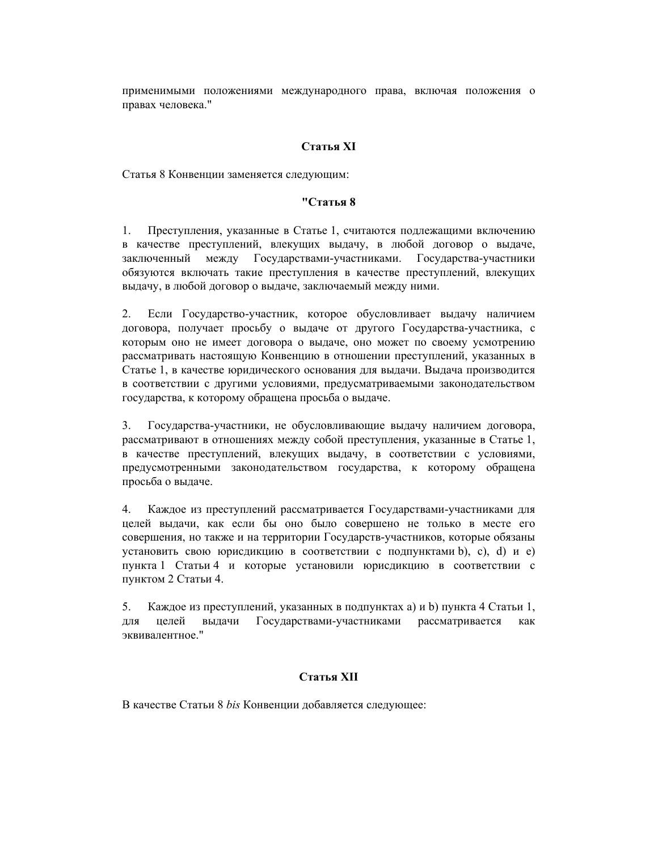применимыми положениями международного права, включая положения о правах человека."

## **Статья ХI**

Статья 8 Конвенции заменяется следующим:

### **"Статья 8**

1. Преступления, указанные в Статье 1, считаются подлежащими включению в качестве преступлений, влекущих выдачу, в любой договор о выдаче, заключенный между Государствами-участниками. Государства-участники обязуются включать такие преступления в качестве преступлений, влекущих выдачу, в любой договор о выдаче, заключаемый между ними.

2. Если Государство-участник, которое обусловливает выдачу наличием договора, получает просьбу о выдаче от другого Государства-участника, с которым оно не имеет договора о выдаче, оно может по своему усмотрению рассматривать настоящую Конвенцию в отношении преступлений, указанных в Статье 1, в качестве юридического основания для выдачи. Выдача производится в соответствии с другими условиями, предусматриваемыми законодательством государства, к которому обращена просьба о выдаче.

3. Государства-участники, не обусловливающие выдачу наличием договора, рассматривают в отношениях между собой преступления, указанные в Статье 1, в качестве преступлений, влекущих выдачу, в соответствии с условиями, предусмотренными законодательством государства, к которому обращена просьба о выдаче.

4. Каждое из преступлений рассматривается Государствами-участниками для целей выдачи, как если бы оно было совершено не только в месте его совершения, но также и на территории Государств-участников, которые обязаны установить свою юрисдикцию в соответствии с подпунктами b), с), d) и е) пункта 1 Статьи 4 и которые установили юрисдикцию в соответствии с пунктом 2 Статьи 4.

5. Каждое из преступлений, указанных в подпунктах а) и b) пункта 4 Статьи 1, для целей выдачи Государствами-участниками рассматривается как эквивалентное."

## **Статья ХII**

В качестве Статьи 8 *bis* Конвенции добавляется следующее: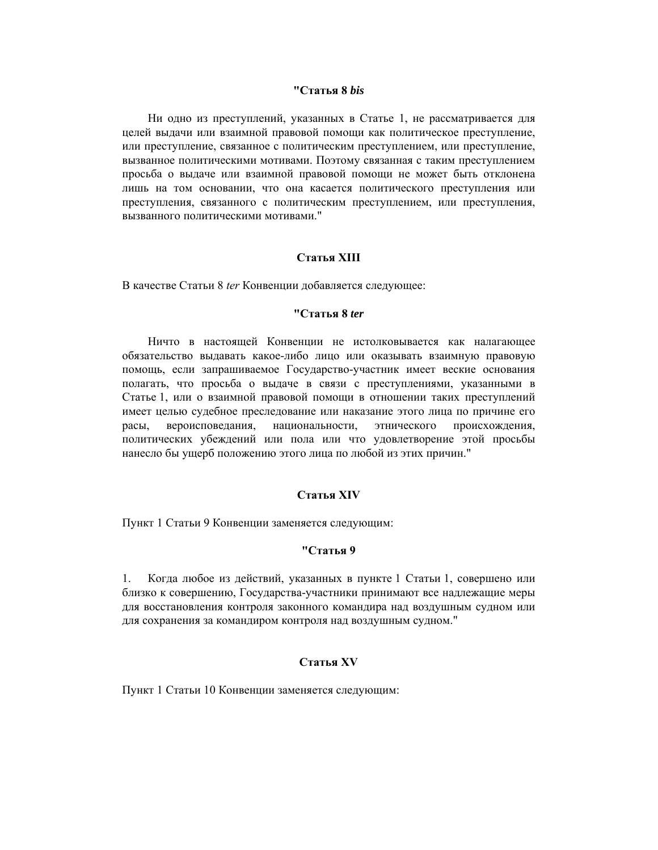### **"Статья 8** *bis*

Ни одно из преступлений, указанных в Статье 1, не рассматривается для целей выдачи или взаимной правовой помощи как политическое преступление, или преступление, связанное с политическим преступлением, или преступление, вызванное политическими мотивами. Поэтому связанная с таким преступлением просьба о выдаче или взаимной правовой помощи не может быть отклонена лишь на том основании, что она касается политического преступления или преступления, связанного с политическим преступлением, или преступления, вызванного политическими мотивами."

### **Статья ХIII**

В качестве Статьи 8 *ter* Конвенции добавляется следующее:

### **"Статья 8** *ter*

Ничто в настоящей Конвенции не истолковывается как налагающее обязательство выдавать какое-либо лицо или оказывать взаимную правовую помощь, если запрашиваемое Государство-участник имеет веские основания полагать, что просьба о выдаче в связи с преступлениями, указанными в Статье 1, или о взаимной правовой помощи в отношении таких преступлений имеет целью судебное преследование или наказание этого лица по причине его расы, вероисповедания, национальности, этнического происхождения, политических убеждений или пола или что удовлетворение этой просьбы нанесло бы ущерб положению этого лица по любой из этих причин."

### **Статья XIV**

Пункт 1 Статьи 9 Конвенции заменяется следующим:

### **"Статья 9**

1. Когда любое из действий, указанных в пункте 1 Статьи 1, совершено или близко к совершению, Государства-участники принимают все надлежащие меры для восстановления контроля законного командира над воздушным судном или для сохранения за командиром контроля над воздушным судном."

## **Статья XV**

Пункт 1 Статьи 10 Конвенции заменяется следующим: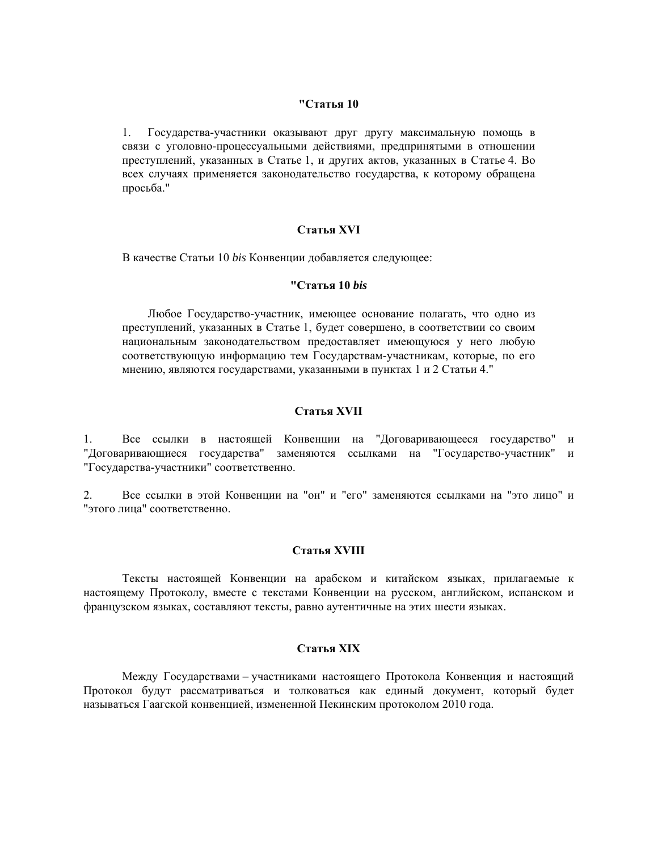### **"Статья 10**

1. Государства-участники оказывают друг другу максимальную помощь в связи с уголовно-процессуальными действиями, предпринятыми в отношении преступлений, указанных в Статье 1, и других актов, указанных в Статье 4. Во всех случаях применяется законодательство государства, к которому обращена просьба."

### **Статья XVI**

В качестве Статьи 10 *bis* Конвенции добавляется следующее:

### **"Статья 10** *bis*

Любое Государство-участник, имеющее основание полагать, что одно из преступлений, указанных в Статье 1, будет совершено, в соответствии со своим национальным законодательством предоставляет имеющуюся у него любую соответствующую информацию тем Государствам-участникам, которые, по его мнению, являются государствами, указанными в пунктах 1 и 2 Статьи 4."

## **Статья XVII**

1. Все ссылки в настоящей Конвенции на "Договаривающееся государство" и "Договаривающиеся государства" заменяются ссылками на "Государство-участник" и "Государства-участники" соответственно.

2. Все ссылки в этой Конвенции на "он" и "его" заменяются ссылками на "это лицо" и "этого лица" соответственно.

### **Статья XVIII**

Тексты настоящей Конвенции на арабском и китайском языках, прилагаемые к настоящему Протоколу, вместе с текстами Конвенции на русском, английском, испанском и французском языках, составляют тексты, равно аутентичные на этих шести языках.

### **Статья XIХ**

Между Государствами – участниками настоящего Протокола Конвенция и настоящий Протокол будут рассматриваться и толковаться как единый документ, который будет называться Гаагской конвенцией, измененной Пекинским протоколом 2010 года.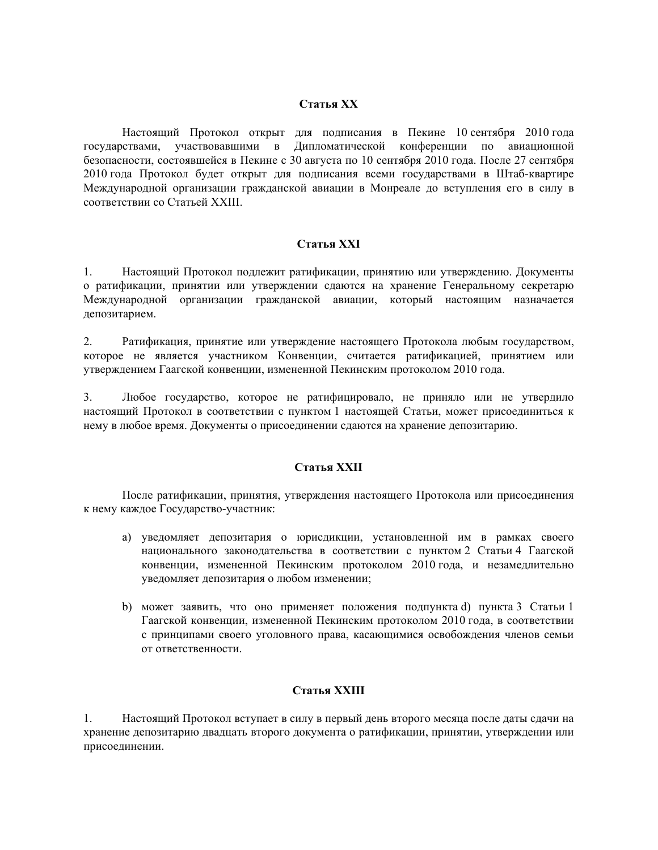## **Статья XХ**

Настоящий Протокол открыт для подписания в Пекине 10 сентября 2010 года государствами, участвовавшими в Дипломатической конференции по авиационной безопасности, состоявшейся в Пекине с 30 августа по 10 сентября 2010 года. После 27 сентября 2010 года Протокол будет открыт для подписания всеми государствами в Штаб-квартире Международной организации гражданской авиации в Монреале до вступления его в силу в соответствии со Статьей XXIII.

## **Статья XХI**

1. Настоящий Протокол подлежит ратификации, принятию или утверждению. Документы о ратификации, принятии или утверждении сдаются на хранение Генеральному секретарю Международной организации гражданской авиации, который настоящим назначается депозитарием.

2. Ратификация, принятие или утверждение настоящего Протокола любым государством, которое не является участником Конвенции, считается ратификацией, принятием или утверждением Гаагской конвенции, измененной Пекинским протоколом 2010 года.

3. Любое государство, которое не ратифицировало, не приняло или не утвердило настоящий Протокол в соответствии с пунктом 1 настоящей Статьи, может присоединиться к нему в любое время. Документы о присоединении сдаются на хранение депозитарию.

## **Статья XХII**

После ратификации, принятия, утверждения настоящего Протокола или присоединения к нему каждое Государство-участник:

- а) уведомляет депозитария о юрисдикции, установленной им в рамках своего национального законодательства в соответствии с пунктом 2 Статьи 4 Гаагской конвенции, измененной Пекинским протоколом 2010 года, и незамедлительно уведомляет депозитария о любом изменении;
- b) может заявить, что оно применяет положения подпункта d) пункта 3 Статьи 1 Гаагской конвенции, измененной Пекинским протоколом 2010 года, в соответствии с принципами своего уголовного права, касающимися освобождения членов семьи от ответственности.

## **Статья XХIII**

1. Настоящий Протокол вступает в силу в первый день второго месяца после даты сдачи на хранение депозитарию двадцать второго документа о ратификации, принятии, утверждении или присоединении.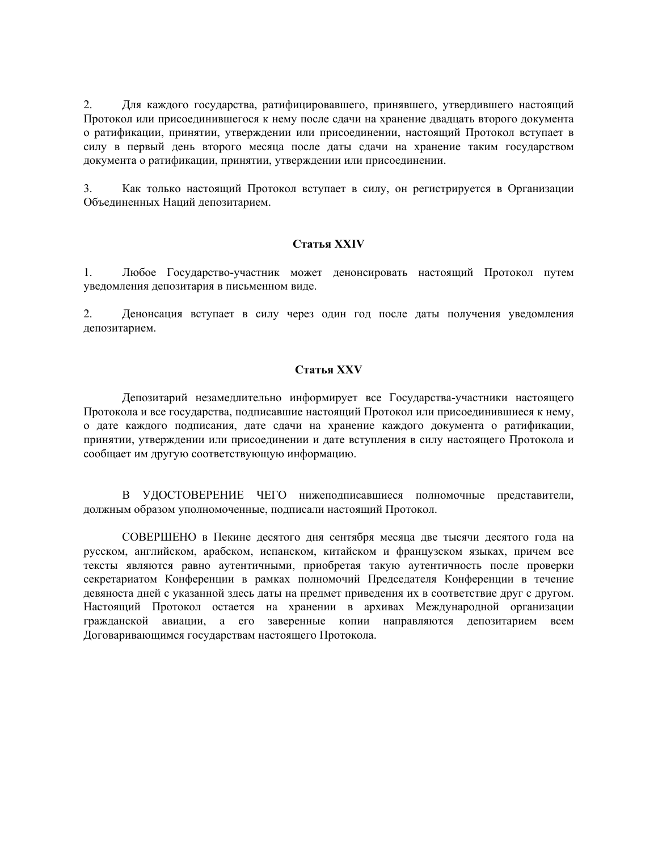2. Для каждого государства, ратифицировавшего, принявшего, утвердившего настоящий Протокол или присоединившегося к нему после сдачи на хранение двадцать второго документа о ратификации, принятии, утверждении или присоединении, настоящий Протокол вступает в силу в первый день второго месяца после даты сдачи на хранение таким государством документа о ратификации, принятии, утверждении или присоединении.

3. Как только настоящий Протокол вступает в силу, он регистрируется в Организации Объединенных Наций депозитарием.

### **Статья XХIV**

1. Любое Государство-участник может денонсировать настоящий Протокол путем уведомления депозитария в письменном виде.

2. Денонсация вступает в силу через один год после даты получения уведомления депозитарием.

### **Статья XХV**

Депозитарий незамедлительно информирует все Государства-участники настоящего Протокола и все государства, подписавшие настоящий Протокол или присоединившиеся к нему, о дате каждого подписания, дате сдачи на хранение каждого документа о ратификации, принятии, утверждении или присоединении и дате вступления в силу настоящего Протокола и сообщает им другую соответствующую информацию.

В УДОСТОВЕРЕНИЕ ЧЕГО нижеподписавшиеся полномочные представители, должным образом уполномоченные, подписали настоящий Протокол.

СОВЕРШЕНО в Пекине десятого дня сентября месяца две тысячи десятого года на русском, английском, арабском, испанском, китайском и французском языках, причем все тексты являются равно аутентичными, приобретая такую аутентичность после проверки секретариатом Конференции в рамках полномочий Председателя Конференции в течение девяноста дней с указанной здесь даты на предмет приведения их в соответствие друг с другом. Настоящий Протокол остается на хранении в архивах Международной организации гражданской авиации, а его заверенные копии направляются депозитарием всем Договаривающимся государствам настоящего Протокола.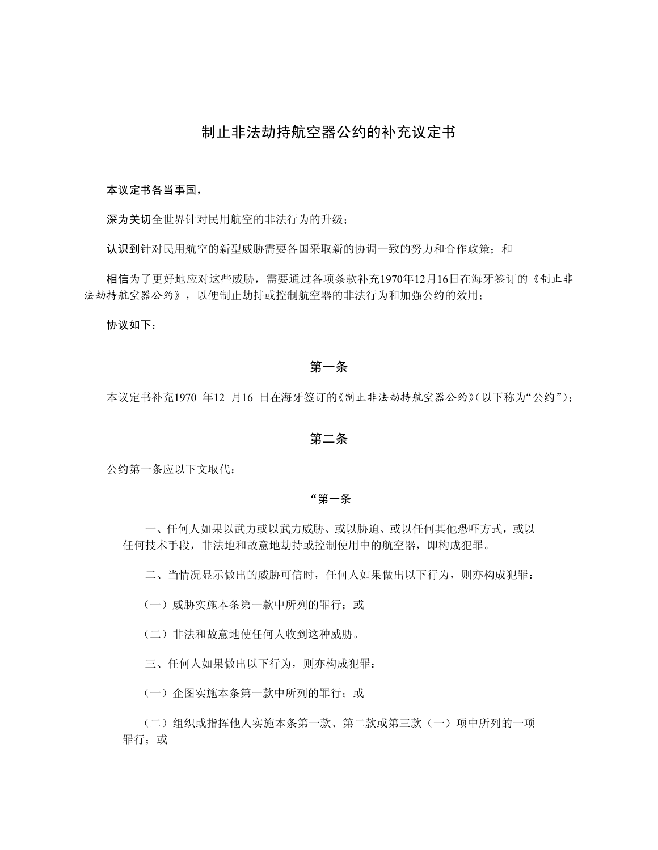## 制止非法劫持航空器公约的补充议定书

### 本议定书各当事国,

深为关切全世界针对民用航空的非法行为的升级;

认识到针对民用航空的新型威胁需要各国采取新的协调一致的努力和合作政策;和

相信为了更好地应对这些威胁,需要通过各项条款补充1970年12月16日在海牙签订的《制止非 法劫持航空器公约》,以便制止劫持或控制航空器的非法行为和加强公约的效用;

协议如下:

## 第一条

本议定书补充1970 年12 月16 日在海牙签订的《制止非法劫持航空器公约》(以下称为"公约");

## 第二条

公约第一条应以下文取代:

### "第一条

一、任何人如果以武力或以武力威胁、或以胁迫、或以任何其他恐吓方式,或以 任何技术手段,非法地和故意地劫持或控制使用中的航空器,即构成犯罪。

二、当情况显示做出的威胁可信时,任何人如果做出以下行为,则亦构成犯罪:

(一)威胁实施本条第一款中所列的罪行;或

(二)非法和故意地使任何人收到这种威胁。

三、任何人如果做出以下行为,则亦构成犯罪:

(一)企图实施本条第一款中所列的罪行;或

(二)组织或指挥他人实施本条第一款、第二款或第三款(一)项中所列的一项 罪行:或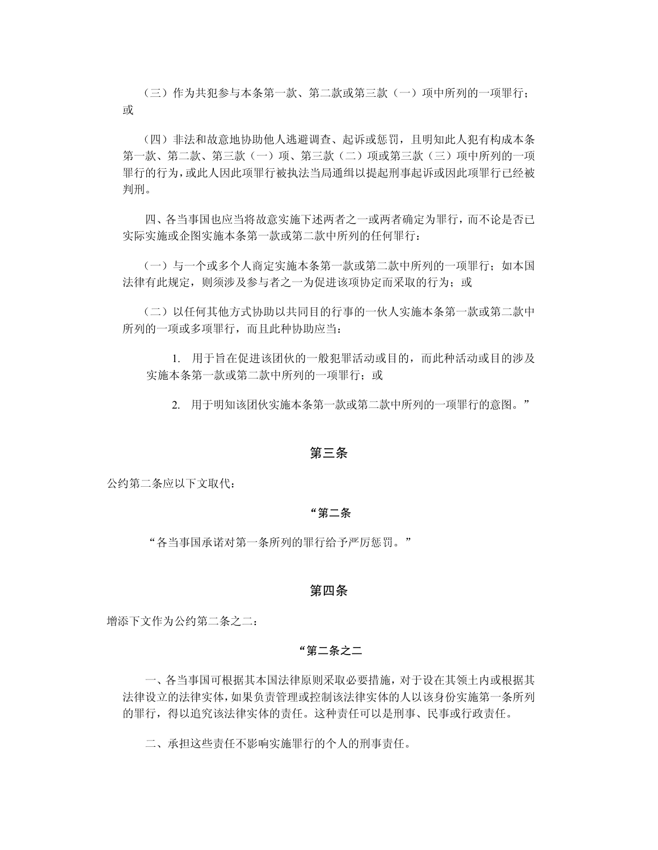(三)作为共犯参与本条第一款、第二款或第三款(一)项中所列的一项罪行; 或

(四)非法和故意地协助他人逃避调查、起诉或惩罚,且明知此人犯有构成本条 第一款、第二款、(一)项、第三款(二)项或第三款(三)项中所列的一项 罪行的行为,或此人因此项罪行被执法当局通缉以提起刑事起诉或因此项罪行已经被 判刑。

四、各当事国也应当将故意实施下述两者之一或两者确定为罪行,而不论是否已 实际实施或企图实施本条第一款或第二款中所列的任何罪行:

(一)与一个或多个人商定实施本条第一款或第二款中所列的一项罪行;如本国 法律有此规定,则须涉及参与者之一为促进该项协定而采取的行为;或

(二)以任何其他方式协助以共同目的行事的一伙人实施本条第一款或第二款中 所列的一项或多项罪行,而且此种协助应当:

1. 用于旨在促进该团伙的一般犯罪活动或目的,而此种活动或目的涉及 实施本条第一款或第二款中所列的一项罪行;或

2. 用于明知该团伙实施本条第一款或第二款中所列的一项罪行的意图。"

### 第三条

公约第二条应以下文取代:

### "第二条

"各当事国承诺对第一条所列的罪行给予严厉惩罚。"

### 第四条

增添下文作为公约第二条之二:

## "第二条之二

一、各当事国可根据其本国法律原则采取必要措施,对于设在其领土内或根据其 法律设立的法律实体,如果负责管理或控制该法律实体的人以该身份实施第一条所列 的罪行,得以追究该法律实体的责任。这种责任可以是刑事、民事或行政责任。

二、承担这些责任不影响实施罪行的个人的刑事责任。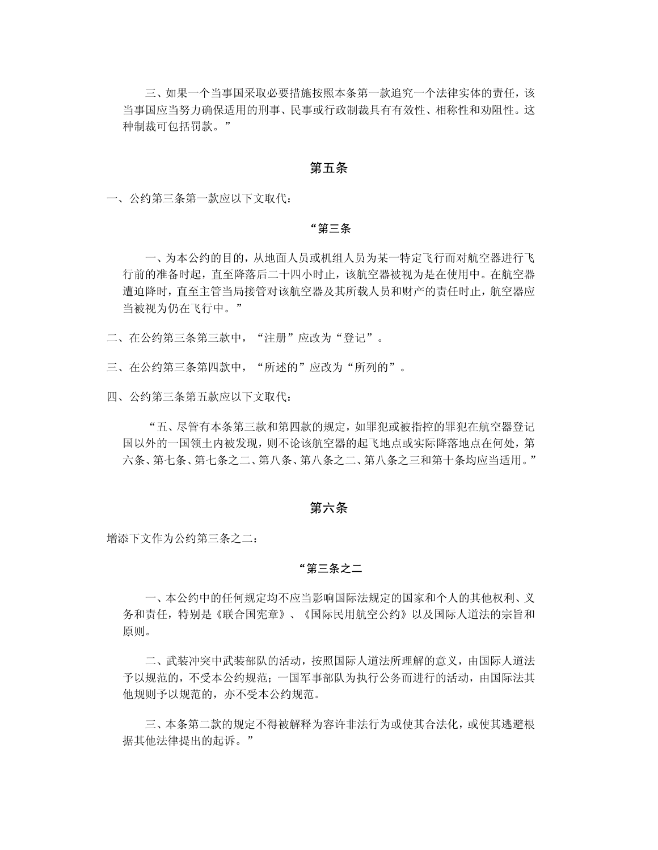三、如果一个当事国采取必要措施按照本条第一款追究一个法律实体的责任,该 当事国应当努力确保适用的刑事、民事或行政制裁具有有效性、相称性和劝阻性。这 种制裁可包括罚款。"

### 第五条

一、公约第三条第一款应以下文取代:

#### "第三条

一、为本公约的目的,从地面人员或机组人员为某一特定飞行而对航空器进行飞 行前的准备时起,直至降落后二十四小时止,该航空器被视为是在使用中。在航空器 遭迫降时,直至主管当局接管对该航空器及其所载人员和财产的责任时止,航空器应 当被视为仍在飞行中。"

二、在公约第三条第三款中, "注册"应改为"登记"。

三、在公约第三条第四款中, "所述的"应改为"所列的"。

四、公约第三条第五款应以下文取代:

"五、尽管有本条第三款和第四款的规定,如罪犯或被指控的罪犯在航空器登记 国以外的一国领土内被发现,则不论该航空器的起飞地点或实际降落地点在何处,第 六条、第七条、第七条之二、第八条、第八条之二、第八条之三和第十条均应当适用。"

## 第六条

增添下文作为公约第三条之二:

### "第三条之二

一、本公约中的任何规定均不应当影响国际法规定的国家和个人的其他权利、义 务和责任,特别是《联合国宪章》、《国际民用航空公约》以及国际人道法的宗旨和 原则。

二、武装冲突中武装部队的活动,按照国际人道法所理解的意义,由国际人道法 予以规范的,不受本公约规范;一国军事部队为执行公务而进行的活动,由国际法其 他规则予以规范的,亦不受本公约规范。

三、本条第二款的规定不得被解释为容许非法行为或使其合法化,或使其逃避根 据其他法律提出的起诉。"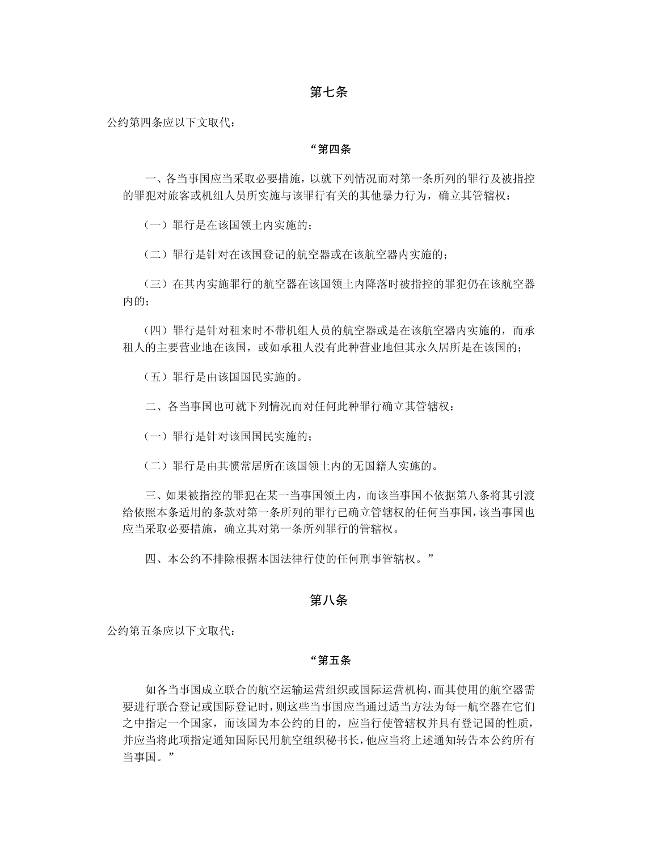## 第七条

公约第四条应以下文取代:

### "第四条

一、各当事国应当采取必要措施,以就下列情况而对第一条所列的罪行及被指控 的罪犯对旅客或机组人员所实施与该罪行有关的其他暴力行为,确立其管辖权:

(一)罪行是在该国领土内实施的;

(二)罪行是针对在该国登记的航空器或在该航空器内实施的;

(三)在其内实施罪行的航空器在该国领土内降落时被指控的罪犯仍在该航空器 内的;

(四)罪行是针对租来时不带机组人员的航空器或是在该航空器内实施的,而承 租人的主要营业地在该国,或如承租人没有此种营业地但其永久居所是在该国的;

(五)罪行是由该国国民实施的。

二、各当事国也可就下列情况而对任何此种罪行确立其管辖权:

(一) 罪行是针对该国国民实施的;

(二)罪行是由其惯常居所在该国领土内的无国籍人实施的。

三、如果被指控的罪犯在某一当事国领土内,而该当事国不依据第八条将其引渡 给依照本条适用的条款对第一条所列的罪行已确立管辖权的任何当事国,该当事国也 应当采取必要措施,确立其对第一条所列罪行的管辖权。

四、本公约不排除根据本国法律行使的任何刑事管辖权。"

### 第八条

公约第五条应以下文取代:

### "第五条

如各当事国成立联合的航空运输运营组织或国际运营机构,而其使用的航空器需 要进行联合登记或国际登记时,则这些当事国应当通过适当方法为每一航空器在它们 之中指定一个国家,而该国为本公约的目的,应当行使管辖权并具有登记国的性质, 并应当将此项指定通知国际民用航空组织秘书长,他应当将上述通知转告本公约所有 当事国。"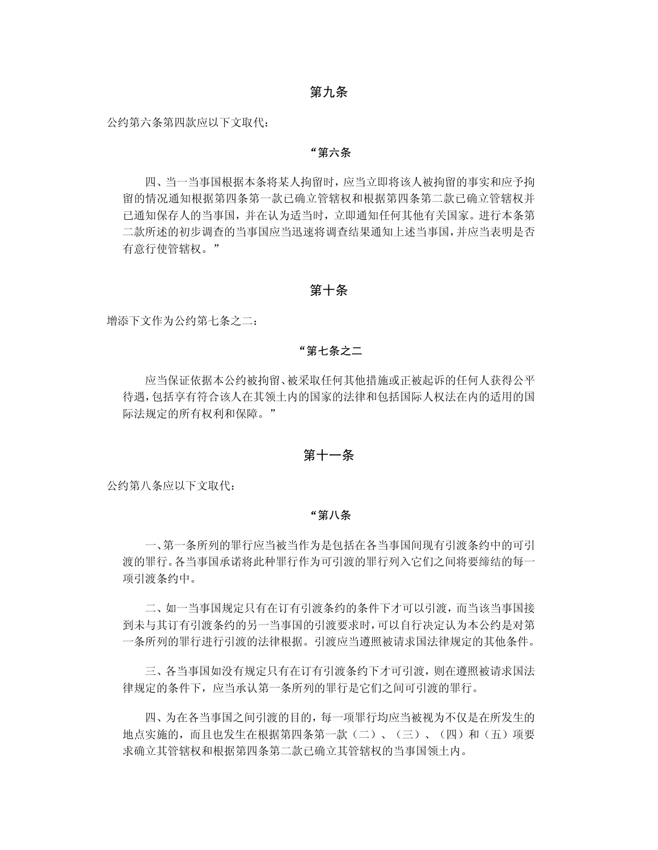## 第九条

公约第六条第四款应以下文取代:

### "第六条

四、当一当事国根据本条将某人拘留时,应当立即将该人被拘留的事实和应予拘 留的情况通知根据第四条第一款已确立管辖权和根据第四条第二款已确立管辖权并 已通知保存人的当事国,并在认为适当时,立即通知任何其他有关国家。进行本条第 二款所述的初步调查的当事国应当迅速将调查结果通知上述当事国,并应当表明是否 有意行使管辖权。"

### 第十条

增添下文作为公约第七条之二:

### "第七条之二

应当保证依据本公约被拘留、被采取任何其他措施或正被起诉的任何人获得公平 待遇,包括享有符合该人在其领土内的国家的法律和包括国际人权法在内的适用的国 际法规定的所有权利和保障。"

## 第十一条

公约第八条应以下文取代:

### "第八条

一、第一条所列的罪行应当被当作为是包括在各当事国间现有引渡条约中的可引 渡的罪行。各当事国承诺将此种罪行作为可引渡的罪行列入它们之间将要缔结的每一 项引渡条约中。

二、如一当事国规定只有在订有引渡条约的条件下才可以引渡,而当该当事国接 到未与其订有引渡条约的另一当事国的引渡要求时,可以自行决定认为本公约是对第 一条所列的罪行进行引渡的法律根据。引渡应当遵照被请求国法律规定的其他条件。

三、各当事国如没有规定只有在订有引渡条约下才可引渡,则在遵照被请求国法 律规定的条件下,应当承认第一条所列的罪行是它们之间可引渡的罪行。

四、为在各当事国之间引渡的目的,每一项罪行均应当被视为不仅是在所发生的 地点实施的,而且也发生在根据第四条第一款(二)、(三)、(四)和(五)项要 求确立其管辖权和根据第四条第二款已确立其管辖权的当事国领土内。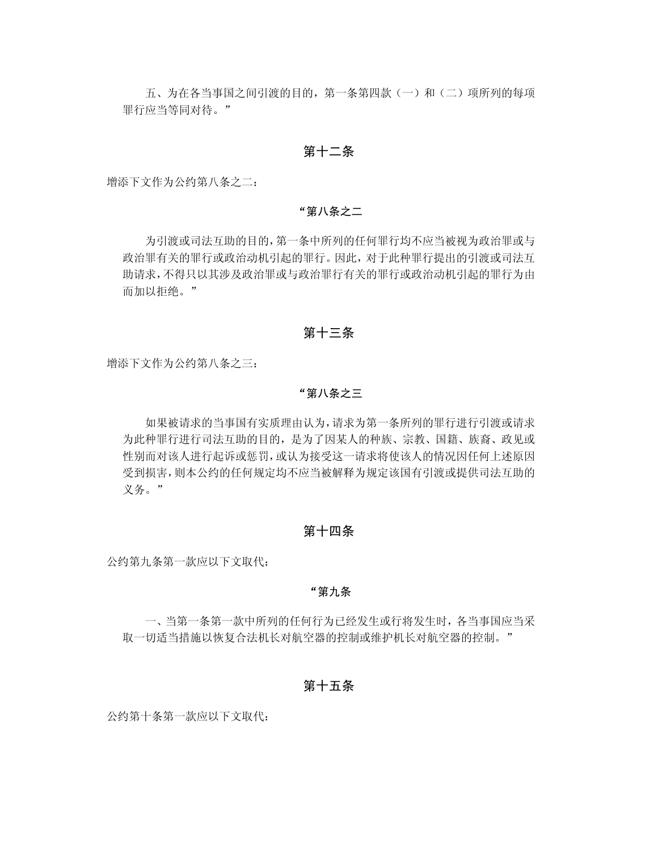五、为在各当事国之间引渡的目的, 第一条第四款(一)和(二)项所列的每项 罪行应当等同对待。"

## 第十二条

增添下文作为公约第八条之二:

### "第八条之二

为引渡或司法互助的目的,第一条中所列的任何罪行均不应当被视为政治罪或与 政治罪有关的罪行或政治动机引起的罪行。因此,对于此种罪行提出的引渡或司法互 助请求,不得只以其涉及政治罪或与政治罪行有关的罪行或政治动机引起的罪行为由 而加以拒绝。"

## 第十三条

增添下文作为公约第八条之三:

### "第八条之三

如果被请求的当事国有实质理由认为,请求为第一条所列的罪行进行引渡或请求 为此种罪行进行司法互助的目的,是为了因某人的种族、宗教、国籍、族裔、政见或 性别而对该人进行起诉或惩罚,或认为接受这一请求将使该人的情况因任何上述原因 受到损害,则本公约的任何规定均不应当被解释为规定该国有引渡或提供司法互助的 义务。"

## 第十四条

公约第九条第一款应以下文取代:

### "第九条

一、当第一条第一款中所列的任何行为已经发生或行将发生时,各当事国应当采 取一切适当措施以恢复合法机长对航空器的控制或维护机长对航空器的控制。"

## 第十五条

公约第十条第一款应以下文取代: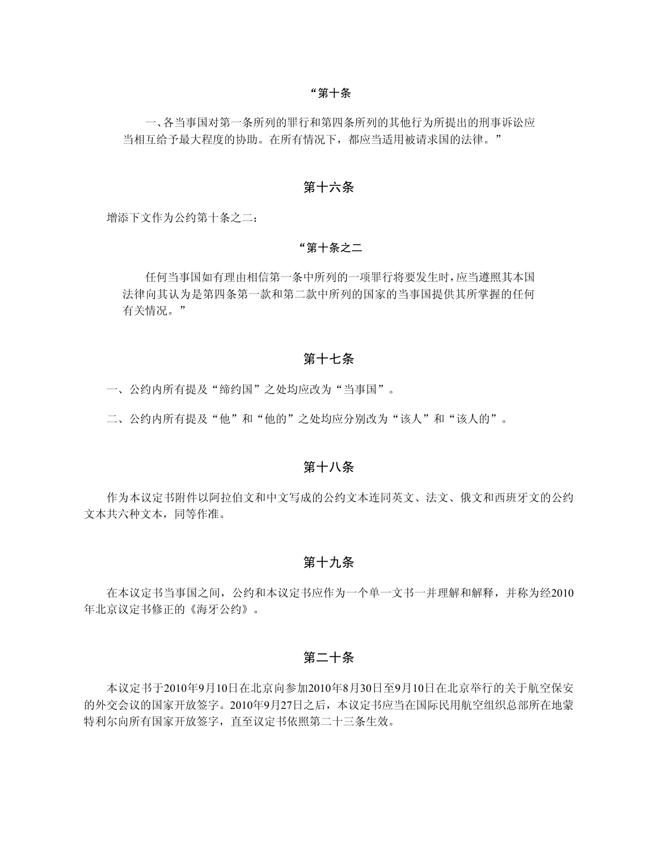#### "第十条

一、各当事国对第一条所列的罪行和第四条所列的其他行为所提出的刑事诉讼应 当相互给予最大程度的协助。在所有情况下,都应当适用被请求国的法律。"

## 第十六条

增添下文作为公约第十条之二:

### "第十条之二

任何当事国如有理由相信第一条中所列的一项罪行将要发生时,应当遵照其本国 法律向其认为是第四条第一款和第二款中所列的国家的当事国提供其所掌握的任何 有关情况。"

### 第十七条

一、公约内所有提及"缔约国"之处均应改为"当事国"。

二、公约内所有提及"他"和"他的"之处均应分别改为"该人"和"该人的"。

## 第十八条

作为本议定书附件以阿拉伯文和中文写成的公约文本连同英文、法文、俄文和西班牙文的公约 文本共六种文本,同等作准。

## 第十九条

在本议定书当事国之间,公约和本议定书应作为一个单一文书一并理解和解释,并称为经2010 年北京议定书修正的《海牙公约》。

## 第二十条

本议定书于2010年9月10日在北京向参加2010年8月30日至9月10日在北京举行的关于航空保安 的外交会议的国家开放签字。2010年9月27日之后,本议定书应当在国际民用航空组织总部所在地蒙 特利尔向所有国家开放签字,直至议定书依照第二十三条生效。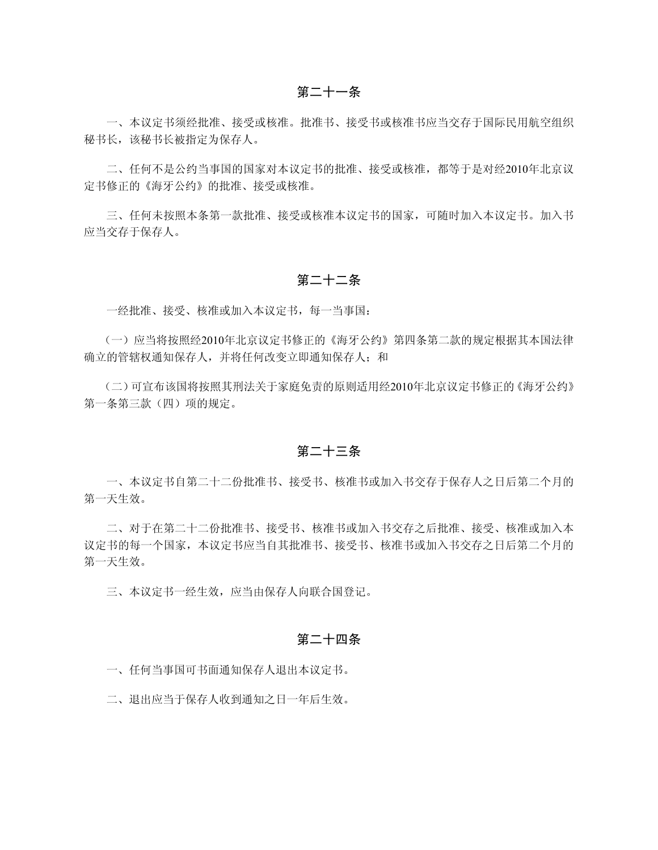一、本议定书须经批准、接受或核准。批准书、接受书或核准书应当交存于国际民用航空组织 秘书长,该秘书长被指定为保存人。

二、任何不是公约当事国的国家对本议定书的批准、接受或核准,都等于是对经2010年北京议 定书修正的《海牙公约》的批准、接受或核准。

三、任何未按照本条第一款批准、接受或核准本议定书的国家,可随时加入本议定书。加入书 应当交存于保存人。

## 第二十二条

一经批准、接受、核准或加入本议定书,每一当事国:

(一)应当将按照经2010年北京议定书修正的《海牙公约》第四条第二款的规定根据其本国法律 确立的管辖权通知保存人,并将任何改变立即通知保存人;和

(二)可宣布该国将按照其刑法关于家庭免责的原则适用经2010年北京议定书修正的《海牙公约》 第一条第三款(四)项的规定。

## 第二十三条

一、本议定书自第二十二份批准书、接受书、核准书或加入书交存于保存人之日后第二个月的 第一天生效。

二、对于在第二十二份批准书、接受书、核准书或加入书交存之后批准、接受、核准或加入本 议定书的每一个国家,本议定书应当自其批准书、接受书、核准书或加入书交存之日后第二个月的 第一天生效。

三、本议定书一经生效,应当由保存人向联合国登记。

## 第二十四条

一、任何当事国可书面通知保存人退出本议定书。

二、退出应当于保存人收到通知之日一年后生效。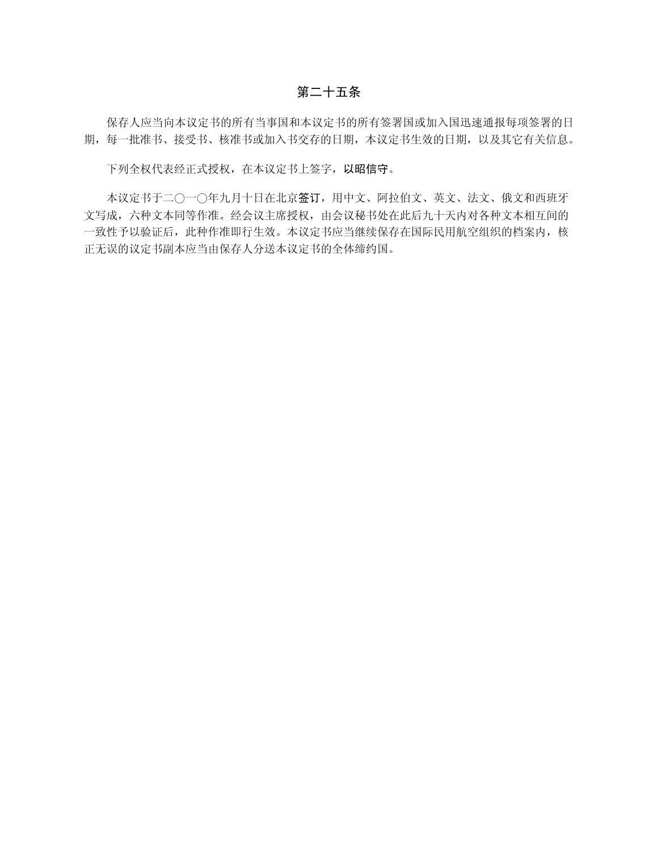## 第二十五条

保存人应当向本议定书的所有当事国和本议定书的所有签署国或加入国迅速通报每项签署的日 期,每一批准书、接受书、核准书或加入书交存的日期,本议定书生效的日期,以及其它有关信息。

下列全权代表经正式授权,在本议定书上签字,以昭信守。

本议定书于二○一○年九月十日在北京签订,用中文、阿拉伯文、英文、法文、俄文和西班牙 文写成,六种文本同等作准。经会议主席授权,由会议秘书处在此后九十天内对各种文本相互间的 一致性予以验证后,此种作准即行生效。本议定书应当继续保存在国际民用航空组织的档案内,核 正无误的议定书副本应当由保存人分送本议定书的全体缔约国。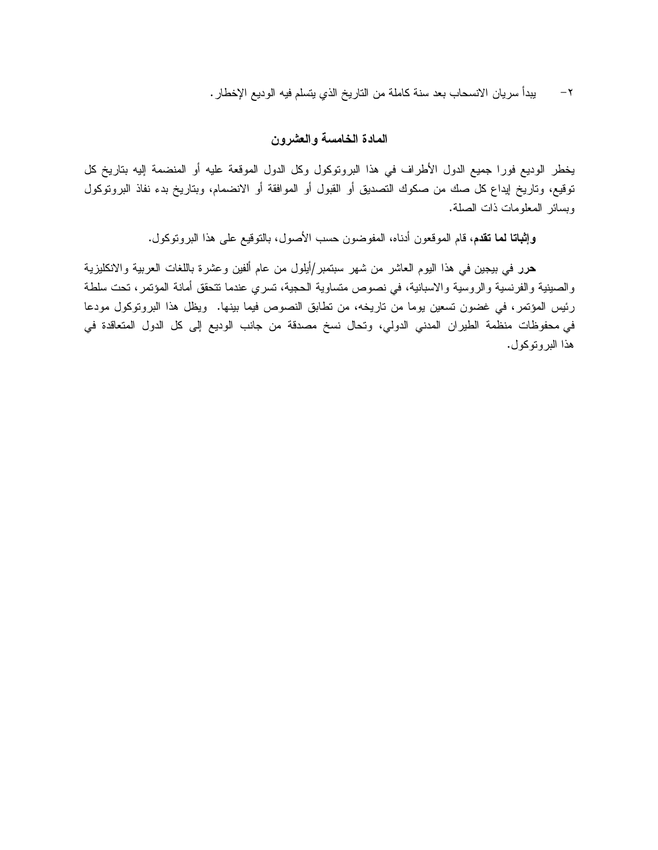-٢ يبدأ سريان الانسحاب بعد سنة كاملة من التاريخ الذي يتسلم فيه الوديع الإخطار.

## **المادة الخامسة والعشرون**

يخطر الوديع فورا جميع الدول الأطراف في هذا البروتوكول وكل الدول الموقعة عليه أو المنضمة إليه بتاريخ كل توقيع، وتاريخ إيداع كل صك من صكوك التصديق أو القبول أو الموافقة أو الانضمام، وبتاريخ بدء نفاذ البروتوكول وبسائر المعلومات ذات الصلة.

**وإثباتا لما تقدم**، قام الموقعون أدناه، المفوضون حسب الأصول، بالتوقيع على هذا البروتوكول.

**حرر** في بيجين في هذا اليوم العاشر من شهر سبتمبر/أيلول من عام ألفين وعشرة باللغات العربية والانكليزية والصينية والفرنسية والروسية والاسبانية، في نصوص متساوية الحجية، تسري عندما تتحقق أمانة المؤتمر، تحت سلطة رئيس المؤتمر، في غضون تسعين يوما من تاريخه، من تطابق النصوص فيما بينها. ويظل هذا البروتوكول مودعا في محفوظات منظمة الطيران المدني الدولي، وتحال نسخ مصدقة من جانب الوديع إلى كل الدول المتعاقدة في هذا البروتوكول.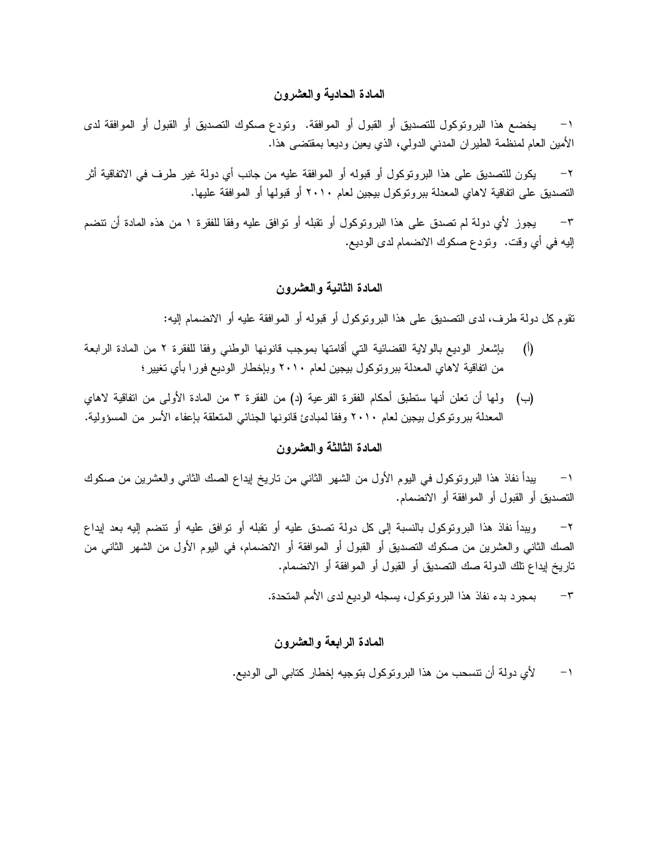## **المادة الحادية والعشرون**

-١ يخضع هذا البروتوكول للتصديق أو القبول أو الموافقة. وتودع صكوك التصديق أو القبول أو الموافقة لدى الأمين العام لمنظمة الطيران المدني الدولي، الذي يعين وديعا بمقتضى هذا.

-٢ يكون للتصديق على هذا البروتوكول أو قبوله أو الموافقة عليه من جانب أي دولة غير طرف في الاتفاقية أثر التصديق على اتفاقية لاهاي المعدلة ببروتوكول بيجين لعام ٢٠١٠ أو قبولها أو الموافقة عليها.

-٣ يجوز لأي دولة لم تصدق على هذا البروتوكول أو تقبله أو توافق عليه وفقا للفقرة ١ من هذه المادة أن تنضم إليه في أي وقت. وتودع صكوك الانضمام لدى الوديع.

## **المادة الثانية والعشرون**

تقوم كل دولة طرف، لدى التصديق على هذا البروتوكول أو قبوله أو الموافقة عليه أو الانضمام إليه:

- (أ) بإشعار الوديع بالولاية القضائية التي أقامتها بموجب قانونها الوطني وفقا للفقرة ٢ من المادة الرابعة من اتفاقية لاهاي المعدلة ببروتوكول بيجين لعام ٢٠١٠ وبإخطار الوديع فورا بأي تغيير؛
- (ب) ولها أن تعلن أنها ستطبق أحكام الفقرة الفرعية (د) من الفقرة ٣ من المادة الأولى من اتفاقية لاهاي المعدلة ببروتوكول بيجين لعام ٢٠١٠ وفقا لمبادئ قانونها الجنائي المتعلقة بإعفاء الأسر من المسؤولية.

## **المادة الثالثة والعشرون**

-١ يبدأ نفاذ هذا البروتوكول في اليوم الأول من الشهر الثاني من تاريخ إيداع الصك الثاني والعشرين من صكوك التصديق أو القبول أو الموافقة أو الانضمام.

-٢ ويبدأ نفاذ هذا البروتوكول بالنسبة إلى كل دولة تصدق عليه أو تقبله أو توافق عليه أو تنضم إليه بعد إيداع الصك الثاني والعشرين من صكوك التصديق أو القبول أو الموافقة أو الانضمام، في اليوم الأول من الشهر الثاني من تاريخ إيداع تلك الدولة صك التصديق أو القبول أو الموافقة أو الانضمام.

-٣ بمجرد بدء نفاذ هذا البروتوكول، يسجله الوديع لدى الأمم المتحدة.

## **المادة الرابعة والعشرون**

-١ لأي دولة أن تنسحب من هذا البروتوكول بتوجيه إخطار كتابي الى الوديع.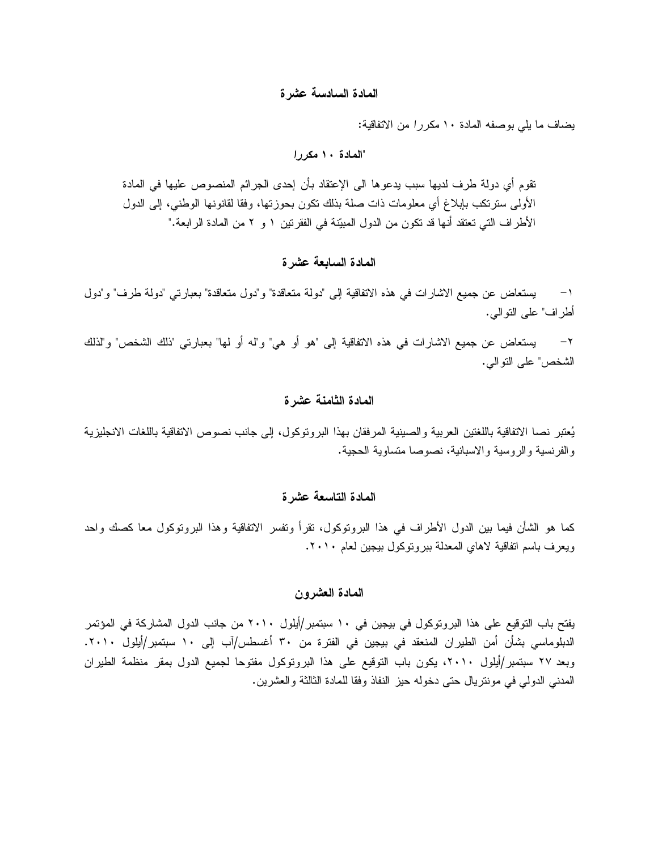## **المادة السادسة عشرة**

يضاف ما يلي بوصفه المادة ١٠ *مكررا* من الاتفاقية:

## **"المادة ١٠** *مكررا*

تقوم أي دولة طرف لديها سبب يدعوها الى الإعتقاد بأن إحدى الجرائم المنصوص عليها في المادة الأولى سترتكب بإبلاغ أي معلومات ذات صلة بذلك تكون بحوزتها، وفقا لقانونها الوطني، إلى الدول الأطراف التي تعتقد أنها قد تكون من الدول المبيّنة في الفقرتين ١ و ٢ من المادة الرابعة."

## **المادة السابعة عشرة**

-١ يستعاض عن جميع الاشارات في هذه الاتفاقية إلى "دولة متعاقدة" و"دول متعاقدة" بعبارتي "دولة طرف" و"دول أطراف" على التوالي.

-٢ يستعاض عن جميع الاشارات في هذه الاتفاقية إلى "هو أو هي" و"له أو لها" بعبارتي "ذلك الشخص" و"لذلك الشخص" على التوالي.

### **المادة الثامنة عشرة**

يُعتبر نصا الاتفاقية باللغتين العربية والصينية المرفقان بهذا البروتوكول، إلى جانب نصوص الاتفاقية باللغات الانجليزية والفرنسية والروسية والاسبانية، نصوصا متساوية الحجية.

## **المادة التاسعة عشرة**

كما هو الشأن فيما بين الدول الأطراف في هذا البروتوكول، تقرأ وتفسر الاتفاقية وهذا البروتوكول معا كصك واحد ويعرف باسم اتفاقية لاهاي المعدلة ببروتوكول بيجين لعام .٢٠١٠

## **المادة العشرون**

يفتح باب التوقيع على هذا البروتوكول في بيجين في ١٠ سبتمبر/أيلول ٢٠١٠ من جانب الدول المشاركة في المؤتمر الدبلوماسي بشأن أمن الطيران المنعقد في بيجين في الفترة من ٣٠ أغسطس/آب إلى ١٠ سبتمبر/أيلول .٢٠١٠ وبعد ٢٧ سبتمبر/أيلول ،٢٠١٠ يكون باب التوقيع على هذا البروتوكول مفتوحا لجميع الدول بمقر منظمة الطيران المدني الدولي في مونتريال حتى دخوله حيز النفاذ وفقا للمادة الثالثة والعشرين.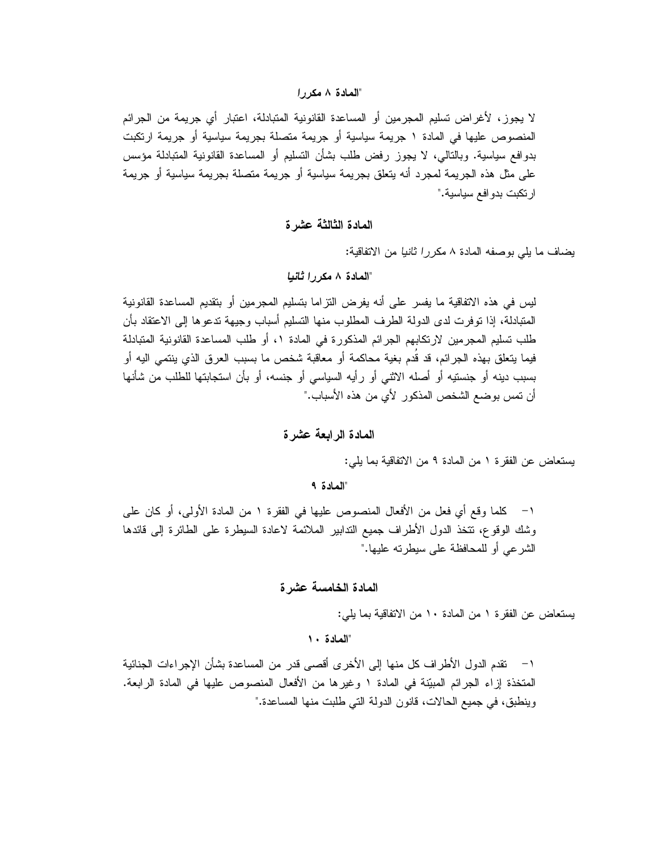## **"المادة ٨** *مكررا*

لا يجوز، لأغراض تسليم المجرمين أو المساعدة القانونية المتبادلة، اعتبار أي جريمة من الجرائم المنصوص عليها في المادة ١ جريمة سياسية أو جريمة متصلة بجريمة سياسية أو جريمة ارتكبت بدوافع سياسية. وبالتالي، لا يجوز رفض طلب بشأن التسليم أو المساعدة القانونية المتبادلة مؤسس على مثل هذه الجريمة لمجرد أنه يتعلق بجريمة سياسية أو جريمة متصلة بجريمة سياسية أو جريمة ارتكبت بدوافع سياسية."

**المادة الثالثة عشرة** 

يضاف ما يلي بوصفه المادة ٨ *مكررا ثانيا* من الاتفاقية:

**"المادة ٨** *مكررا ثانيا*

ليس في هذه الاتفاقية ما يفسر على أنه يفرض التزاما بتسليم المجرمين أو بتقديم المساعدة القانونية المتبادلة، إذا توفرت لدى الدولة الطرف المطلوب منها التسليم أسباب وجيهة تدعوها إلى الاعتقاد بأن طلب تسليم المجرمين لارتكابهم الجرائم المذكورة في المادة ،١ أو طلب المساعدة القانونية المتبادلة فيما يتعلق بهذه الجرائم، قد قُدم بغية محاكمة أو معاقبة شخص ما بسبب العرق الذي ينتمي اليه أو بسبب دينه أو جنستيه أو أصله الاثني أو رأيه السياسي أو جنسه، أو بأن استجابتها للطلب من شأنها أن تمس بوضع الشخص المذكور لأي من هذه الأسباب."

**المادة الرابعة عشرة** 

يستعاض عن الفقرة ١ من المادة ٩ من الاتفاقية بما يلي:

**"المادة ٩** 

-١ كلما وقع أي فعل من الأفعال المنصوص عليها في الفقرة ١ من المادة الأولى، أو كان على وشك الوقوع، تتخذ الدول الأطراف جميع التدابير الملائمة لاعادة السيطرة على الطائرة إلى قائدها الشرعي أو للمحافظة على سيطرته عليها."

**المادة الخامسة عشرة** 

يستعاض عن الفقرة ١ من المادة ١٠ من الاتفاقية بما يلي:

**"المادة ١٠** 

-١ تقدم الدول الأطراف كل منها إلى الأخرى أقصى قدر من المساعدة بشأن الإجراءات الجنائية المتخذة إزاء الجرائم المبيّنة في المادة ١ وغيرها من الأفعال المنصوص عليها في المادة الرابعة. وينطبق، في جميع الحالات، قانون الدولة التي طلبت منها المساعدة."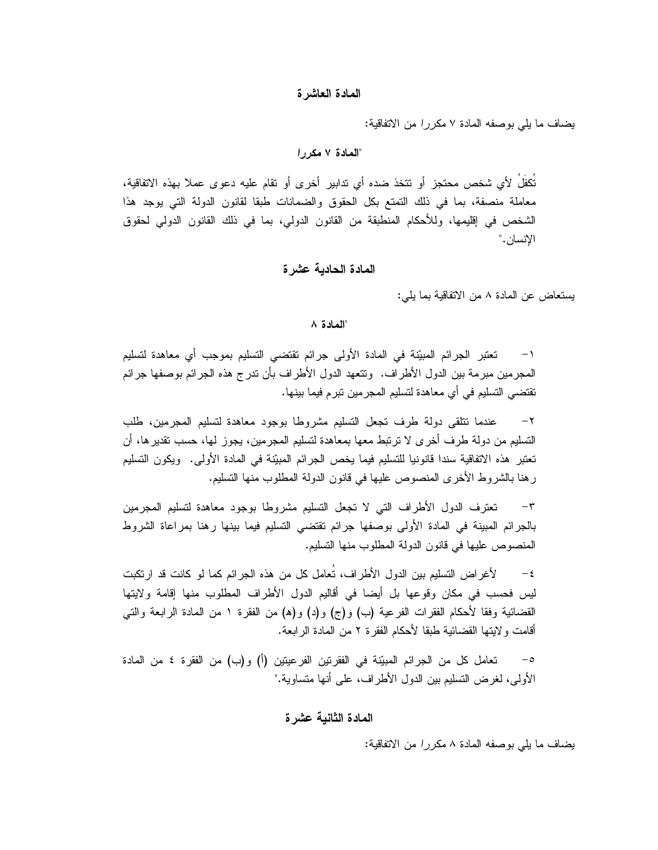### **المادة العاشرة**

يضاف ما يلي بوصفه المادة ٧ *مكررا* من الاتفاقية:

### "**المادة ٧** *مكررا*

ُت َكف ُل لأي شخص محتجز أو تتخذ ضده أي تدابير أخرى أو تقام عليه دعوى عملا بهذه الاتفاقية، معاملة منصفة، بما في ذلك التمتع بكل الحقوق والضمانات طبقا لقانون الدولة التي يوجد هذا الشخص في إقليمها، وللأحكام المنطبقة من القانون الدولي، بما في ذلك القانون الدولي لحقوق الإنسان."

## **المادة الحادية عشرة**

يستعاض عن المادة ٨ من الاتفاقية بما يلي:

## **"المادة ٨**

١– تعتبر الجرائم المبيّنة في المادة الأولى جرائم تقتضى التسليم بموجب أي معاهدة لتسليم المجرمين مبرمة بين الدول الأطراف. وتتعهد الدول الأطراف بأن تدرج هذه الجرائم بوصفها جرائم تقتضي التسليم في أي معاهدة لتسليم المجرمين تبرم فيما بينها.

-٢ عندما تتلقى دولة طرف تجعل التسليم مشروطا بوجود معاهدة لتسليم المجرمين، طلب التسليم من دولة طرف أخرى لا ترتبط معها بمعاهدة لتسليم المجرمين، يجوز لها، حسب تقديرها، أن تعتبر هذه الاتفاقية سندا قانونيا للتسليم فيما يخص الجرائم المبيّنة في المادة الأولى. ويكون التسليم رهنا بالشروط الأخرى المنصوص عليها في قانون الدولة المطلوب منها التسليم.

-٣ تعترف الدول الأطراف التي لا تجعل التسليم مشروطا بوجود معاهدة لتسليم المجرمين بالجرائم المبينة في المادة الأولى بوصفها جرائم تقتضي التسليم فيما بينها رهنا بمراعاة الشروط المنصوص عليها في قانون الدولة المطلوب منها التسليم.

٤- لأغراض التسليم بين الدول الأطراف، تُعامل كل من هذه الجرائم كما لو كانت قد ارتكبت ليس فحسب في مكان وقوعها بل أيضا في أقاليم الدول الأطراف المطلوب منها إقامة ولايتها القضائية وفقا لأحكام الفقرات الفرعية (ب) و(ج) و(د) و(ه) من الفقرة ١ من المادة الرابعة والتي أقامت ولايتها القضائية طبقا لأحكام الفقرة ٢ من المادة الرابعة.

تعامل كل من الجرائم المبيّنة في الفقرتين الفرعيتين (أ) و(ب) من الفقرة ٤ من المادة الأولى، لغرض التسليم بين الدول الأطراف، على أنها متساوية."

### **المادة الثانية عشرة**

يضاف ما يلي بوصفه المادة ٨ *مكررا* من الاتفاقية: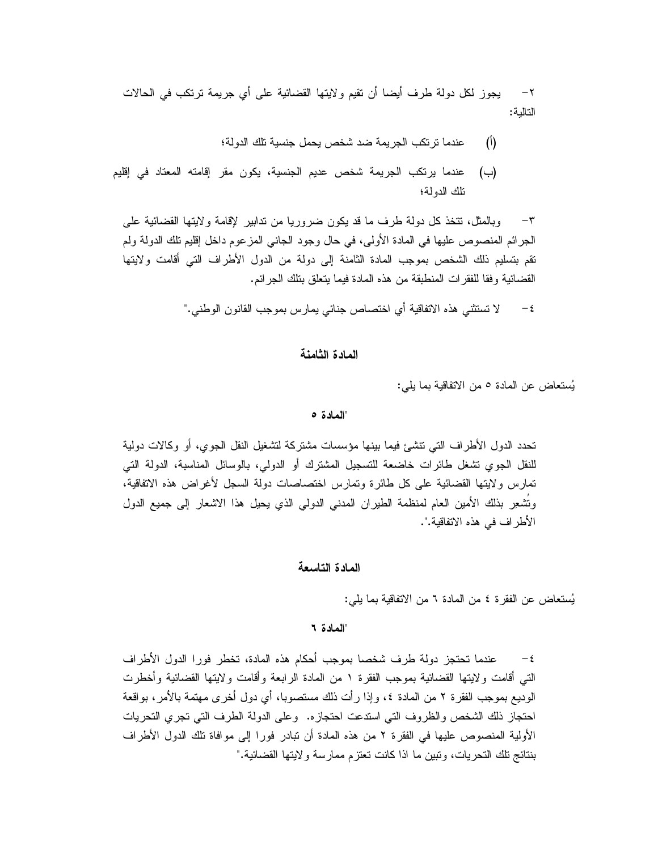-٢ يجوز لكل دولة طرف أيضا أن تقيم ولايتها القضائية على أي جريمة ترتكب في الحالات التالية:

- (أ) عندما ترتكب الجريمة ضد شخص يحمل جنسية تلك الدولة؛
- (ب) عندما يرتكب الجريمة شخص عديم الجنسية، يكون مقر إقامته المعتاد في إقليم تلك الدولة؛

-٣ وبالمثل، تتخذ كل دولة طرف ما قد يكون ضروريا من تدابير لإقامة ولايتها القضائية على الجرائم المنصوص عليها في المادة الأولى، في حال وجود الجاني المزعوم داخل إقليم تلك الدولة ولم تقم بتسليم ذلك الشخص بموجب المادة الثامنة إلى دولة من الدول الأطراف التي أقامت ولايتها القضائية وفقا للفقرات المنطبقة من هذه المادة فيما يتعلق بتلك الجرائم.

-٤ لا تستثني هذه الاتفاقية أي اختصاص جنائي يمارس بموجب القانون الوطني."

### **المادة الثامنة**

يُستعاض عن المادة ٥ من الاتفاقية بما يلي:

## **"المادة ٥**

تحدد الدول الأطراف التي تنشئ فيما بينها مؤسسات مشتركة لتشغيل النقل الجوي، أو وكالات دولية للنقل الجوي تشغل طائرات خاضعة للتسجيل المشترك أو الدولي، بالوسائل المناسبة، الدولة التي تمارس ولايتها القضائية على كل طائرة وتمارس اختصاصات دولة السجل لأغراض هذه الاتفاقية، وُتَشْعِر بذلك الأمين العام لمنظمة الطيران المدني الدولي الذي يحيل هذا الاشعار إلى جميع الدول الأطراف في هذه الاتفاقية.".

## **المادة التاسعة**

يُستعاض عن الفقرة ٤ من المادة ٦ من الاتفاقية بما يلي:

**"المادة ٦** 

-٤ عندما تحتجز دولة طرف شخصا بموجب أحكام هذه المادة، تخطر فورا الدول الأطراف التي أقامت ولايتها القضائية بموجب الفقرة ١ من المادة الرابعة وأقامت ولايتها القضائية وأخطرت الوديع بموجب الفقرة ٢ من المادة ،٤ وإذا رأت ذلك مستصوبا، أي دول أخرى مهتمة بالأمر، بواقعة احتجاز ذلك الشخص والظروف التي استدعت احتجازه. وعلى الدولة الطرف التي تجري التحريات الأولية المنصوص عليها في الفقرة ٢ من هذه المادة أن تبادر فورا إلى موافاة تلك الدول الأطراف بنتائج تلك التحريات، وتبين ما اذا كانت تعتزم ممارسة ولايتها القضائية."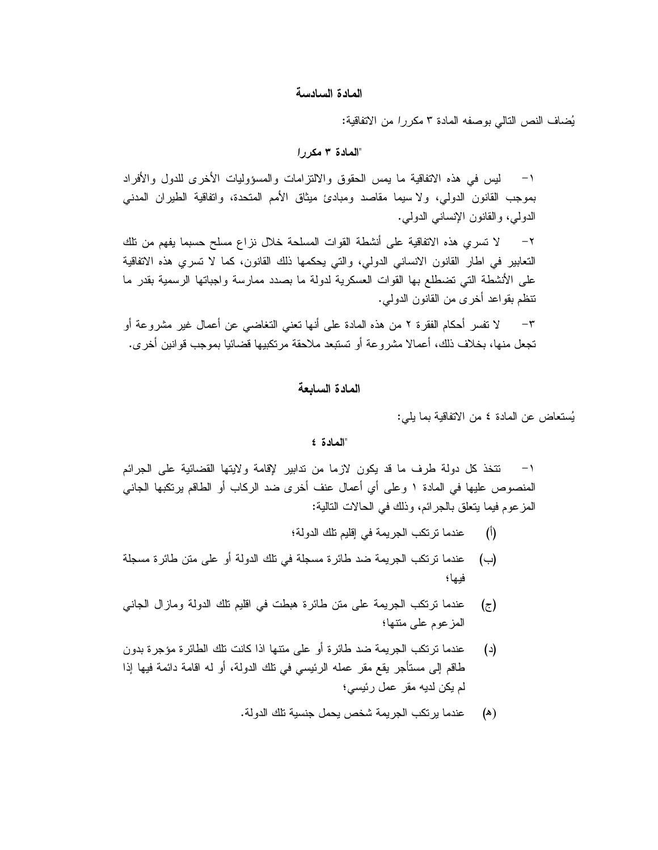### **المادة السادسة**

ي ضاف ال نص الت الي بوصفه المادة ٣ *مكررا* من الاتفاقية:

### **"المادة ٣** *مكررا*

-١ ليس في هذه الاتفاقية ما يمس الحقوق والالتزامات والمسؤوليات الأخرى للدول والأفراد بموجب القانون الدولي، ولا سيما مقاصد ومبادئ ميثاق الأمم المتحدة، واتفاقية الطيران المدني الدولي، والقانون الإنساني الدولي.

-٢ لا تسري هذه الاتفاقية على أنشطة القوات المسلحة خلال نزاع مسلح حسبما يفهم من تلك التعابير في اطار القانون الانساني الدولي، والتي يحكمها ذلك القانون، كما لا تسري هذه الاتفاقية على الأنشطة التي تضطلع بها القوات العسكرية لدولة ما بصدد ممارسة واجباتها الرسمية بقدر ما تنظم بقواعد أخرى من القانون الدولي.

-٣ لا تفسر أحكام الفقرة ٢ من هذه المادة على أنها تعني التغاضي عن أعمال غير مشروعة أو تجعل منها، بخلاف ذلك، أعمالا مشروعة أو تستبعد ملاحقة مرتكبيها قضائيا بموجب قوانين أخرى.

## **المادة السابعة**

يُستعاض عن المادة ٤ من الاتفاقية بما يلي:

### **"المادة ٤**

-١ تتخذ كل دولة طرف ما قد يكون لازما من تدابير لإقامة ولايتها القضائية على الجرائم المنصوص عليها في المادة ١ وعلى أي أعمال عنف أخرى ضد الركاب أو الطاقم يرتكبها الجاني المزعوم فيما يتعلق بالجرائم، وذلك في الحالات التالية:

- (أ) عندما ترتكب الجريمة في إقليم تلك الدولة؛
- (ب) عندما ترتكب الجريمة ضد طائرة مسجلة في تلك الدولة أو على متن طائرة مسجلة فيها؛
- (ج) عندما ترتكب الجريمة على متن طائرة هبطت في اقليم تلك الدولة ومازال الجاني المزعوم على متنها؛
- (د) عندما ترتكب الجريمة ضد طائرة أو على متنها اذا كانت تلك الطائرة مؤجرة بدون طاقم إلى مستأجر يقع مقر عمله الرئيسي في تلك الدولة، أو له اقامة دائمة فيها إذا لم يكن لديه مقر عمل رئيسي؛
	- (ھ) عندما يرتكب الجريمة شخص يحمل جنسية تلك الدولة.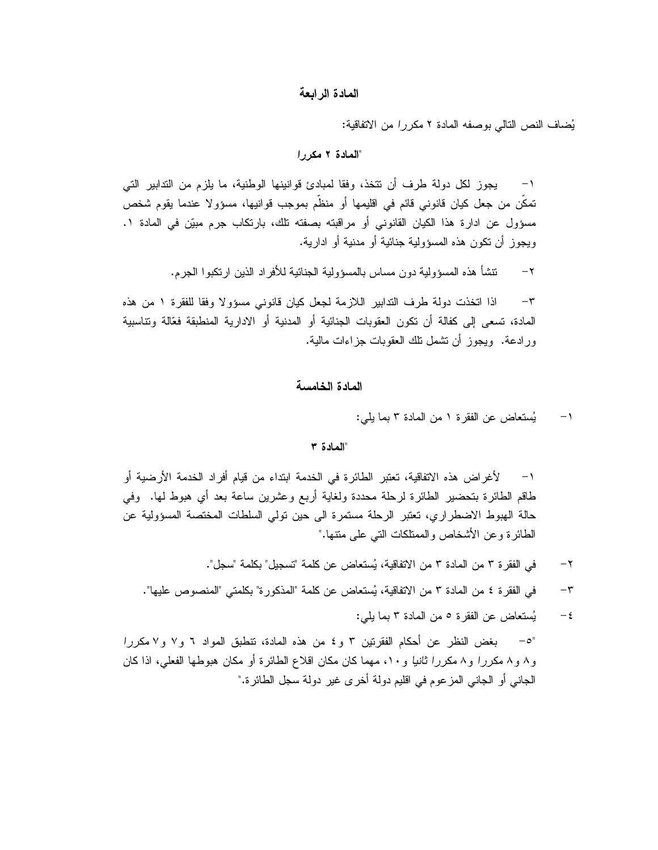### **المادة الرابعة**

ي ضاف ال نص التالي بوصفه المادة ٢ *مكررا* من الاتفاقية:

## **"المادة ٢** *مكررا*

-١ يجوز لكل دولة طرف أن تتخذ، وفقا لمبادئ قوانينها الوطنية، ما يلزم من التدابير التي تمكّن من جعل كيان قانوني قائم في اقليمها أو منظّم بموجب قوانيها، مسؤولا عندما يقوم شخص مسؤول عن ادارة هذا الكيان القانوني أو مراقبته بصفته تلك، بارتكاب جرم مبيّن في المادة ١. ويجوز أن تكون هذه المسؤولية جنائية أو مدنية أو ادارية.

-٢ تنشأ هذه المسؤولية دون مساس بالمسؤولية الجنائية للأفراد الذين ارتكبوا الجرم.

-٣ اذا اتخذت دولة طرف التدابير اللازمة لجعل كيان قانوني مسؤولا وفقا للفقرة ١ من هذه المادة، تسعى إلى كفالة أن تكون العقوبات الجنائية أو المدنية أو الادارية المنطبقة فعّالة وتناسبية ورادعة. ويجوز أن تشمل تلك العقوبات جزاءات مالية.

### **المادة الخامسة**

-١ يست عاض عن الفقرة ١ من المادة ٣ بما يلي:

### **"المادة ٣**

-١ لأغراض هذه الاتفاقية، تعتبر الطائرة في الخدمة ابتداء من قيام أفراد الخدمة الأرضية أو طاقم الطائرة بتحضير الطائرة لرحلة محددة ولغاية أربع وعشرين ساعة بعد أي هبوط لها. وفي حالة الهبوط الاضطراري، تعتبر الرحلة مستمرة الى حين تولي السلطات المختصة المسؤولية عن الطائرة وعن الأشخاص والممتلكات التي على متنها."

-٢ في الفقرة ٣ من المادة ٣ من الاتفاقية، يست عاض عن كلمة "تسجيل" بكلمة "سجل".

-٣ في الفقرة ٤ من المادة ٣ من الاتفاقية، يست عاض عن كلمة "المذكورة" بكلمتي "المنصوص عليها".

-٤ يست عاض عن الفقرة ٥ من المادة ٣ بما يلي:

"-٥ بغض النظر عن أحكام الفقرتين ٣ و٤ من هذه المادة، تنطبق المواد ٦ و٧ و٧ *مكررا* و٨ و٨ *مكررا* و٨ *مكررا ثانيا* و،١٠ مهما كان مكان اقلاع الطائرة أو مكان هبوطها الفعلي، اذا كان الجاني أو الجاني المزعوم في اقليم دولة أخرى غير دولة سجل الطائرة."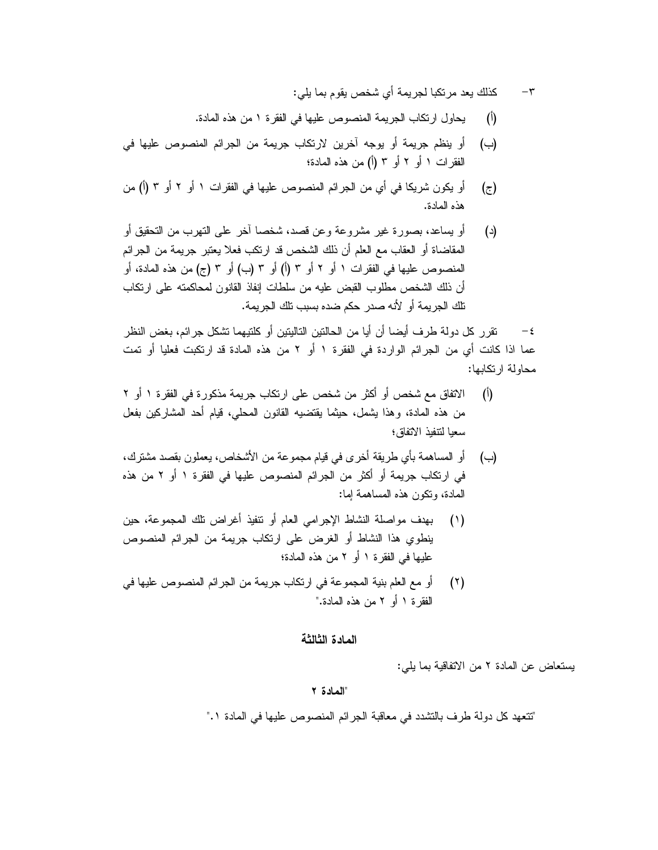- -٣ كذلك يعد مرتكبا لجريمة أي شخص يقوم بما يلي:
- (أ) يحاول ارتكاب الجريمة المنصوص عليها في الفقرة ١ من هذه المادة.
- (ب) أو ينظم جريمة أو يوجه آخرين لارتكاب جريمة من الجرائم المنصوص عليها في الفقرات ١ أو ٢ أو ٣ (أ) من هذه المادة؛
- (ج) أو يكون شريكا في أي من الجرائم المنصوص عليها في الفقرات ١ أو ٢ أو ٣ (أ) من هذه المادة.
- (د) أو يساعد، بصورة غير مشروعة وعن قصد، شخصا آخر على التهرب من التحقيق أو المقاضاة أو العقاب مع العلم أن ذلك الشخص قد ارتكب فعلا يعتبر جريمة من الجرائم المنصوص عليها في الفقرات ١ أو ٢ أو ٣ (أ) أو ٣ (ب) أو ٣ (ج) من هذه المادة، أو أن ذلك الشخص مطلوب القبض عليه من سلطات إنفاذ القانون لمحاكمته على ارتكاب تلك الجريمة أو لأنه صدر حكم ضده بسبب تلك الجريمة.

-٤ تقرر كل دولة طرف أيضا أن أيا من الحالتين التاليتين أو كلتيهما تشكل جرائم، بغض النظر عما اذا كانت أي من الجرائم الواردة في الفقرة ١ أو ٢ من هذه المادة قد ارتكبت فعليا أو تمت محاولة ارتكابها:

- (أ) الاتفاق مع شخص أو أكثر من شخص على ارتكاب جريمة مذكورة في الفقرة ١ أو ٢ من هذه المادة، وهذا يشمل، حيثما يقتضيه القانون المحلي، قيام أحد المشاركين بفعل سعيا لتنفيذ الاتفاق؛
- (ب) أو المساهمة بأي طريقة أخرى في قيام مجموعة من الأشخاص، يعملون بقصد مشترك، في ارتكاب جريمة أو أكثر من الجرائم المنصوص عليها في الفقرة ١ أو ٢ من هذه المادة، وتكون هذه المساهمة إما:
- (١) بهدف مواصلة النشاط الإجرامي العام أو تنفيذ أغراض تلك المجموعة، حين ينطوي هذا النشاط أو الغرض على ارتكاب جريمة من الجرائم المنصوص عليها في الفقرة ١ أو ٢ من هذه المادة؛
- (٢) أو مع العلم بنية المجموعة في ارتكاب جريمة من الجرائم المنصوص عليها في الفقرة ١ أو ٢ من هذه المادة."

### **المادة الثالثة**

يستعاض عن المادة ٢ من الاتفاقية بما يلي:

### **"المادة ٢**

"تتعهد كل دولة طرف بالتشدد في معاقبة الجرائم المنصوص عليها في المادة .١"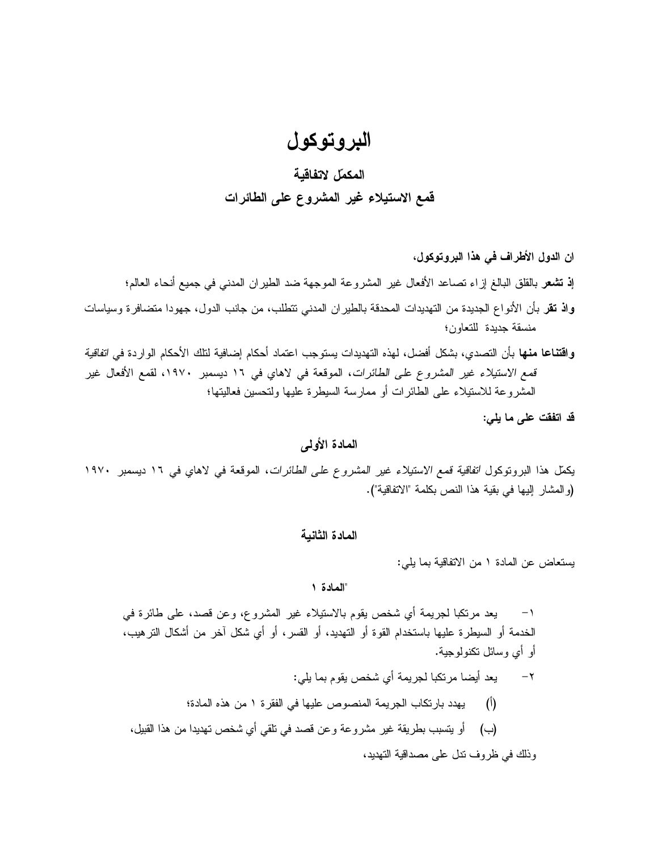# **البروتوكول**

# **ال مك مل لاتفاقية قمع الاستيلاء غير المشروع على الطائرات**

- **ان الدول الأطراف في هذا البروتوكول، إذ تشعر** بالقلق البالغ إزاء تصاعد الأفعال غير المشروعة الموجهة ضد الطيران المدني في جميع أنحاء العالم؛ **واذ تقر** بأن الأنواع الجديدة من التهديدات المحدقة بالطيران المدني تتطلب، من جانب الدول، جهودا متضافرة وسياسات منسقة جديدة للتعاون؛
- **واقتناعا منها** بأن التصدي، بشكل أفضل، لهذه التهديدات يستوجب اعتماد أحكام إضافية لتلك الأحكام الواردة في *اتفاقية قمع الاستيلاء غير المشروع على الطائرات*، الموقعة في لاهاي في ١٦ ديسمبر ،١٩٧٠ لقمع الأفعال غير المشروعة للاستيلاء على الطائرات أو ممارسة السيطرة عليها ولتحسين فعاليتها؛

**قد اتفقت على ما يلي:** 

## **المادة الأولى**

 يكمل هذا البروتوكول *<sup>ا</sup>تفاقية قمع الاستيلاء غير المشروع على الطائرات*، الموقعة في لاهاي في ١٦ ديسمبر ١٩٧٠ (والمشار إليها في بقية هذا النص بكلمة "الاتفاقية").

## **المادة الثانية**

يستعاض عن المادة ١ من الاتفاقية بما يلي:

## **"المادة ١**

-١ يعد مرتكبا لجريمة أي شخص يقوم بالاستيلاء غير المشروع، وعن قصد، على طائرة في الخدمة أو السيطرة عليها باستخدام القوة أو التهديد، أو القسر، أو أي شكل آخر من أشكال الترهيب، أو أي وسائل تكنولوجية.

-٢ يعد أيضا مرتكبا لجريمة أي شخص يقوم بما يلي: (أ) يهدد بارتكاب الجريمة المنصوص عليها في الفقرة ١ من هذه المادة؛ (ب) أو يتسبب بطريقة غير مشروعة وعن قصد في تلقي أي شخص تهديدا من هذا القبيل، وذلك في ظروف تدل على مصداقية التهديد،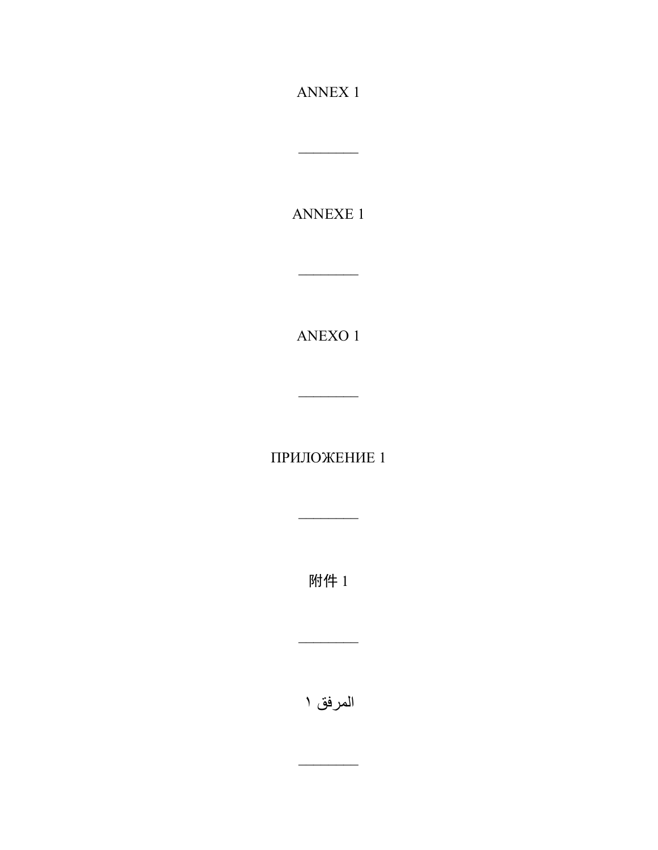**ANNEX 1** 

<u> Liberatura de la conte</u>

ANNEXE 1

 $\operatorname{ANEXO}$  1

 $\frac{1}{2} \left( \frac{1}{2} \right)^2 \left( \frac{1}{2} \right)^2 \left( \frac{1}{2} \right)^2 \left( \frac{1}{2} \right)^2$ 

ПРИЛОЖЕНИЕ 1

 $\frac{1}{2} \left( \frac{1}{2} \frac{1}{2} \frac{1}{2} \frac{1}{2} \frac{1}{2} \frac{1}{2} \frac{1}{2} \frac{1}{2} \frac{1}{2} \frac{1}{2} \frac{1}{2} \frac{1}{2} \frac{1}{2} \frac{1}{2} \frac{1}{2} \frac{1}{2} \frac{1}{2} \frac{1}{2} \frac{1}{2} \frac{1}{2} \frac{1}{2} \frac{1}{2} \frac{1}{2} \frac{1}{2} \frac{1}{2} \frac{1}{2} \frac{1}{2} \frac{1}{2} \frac{1}{2} \frac{1}{2}$ 

附件 1

المرفق ۱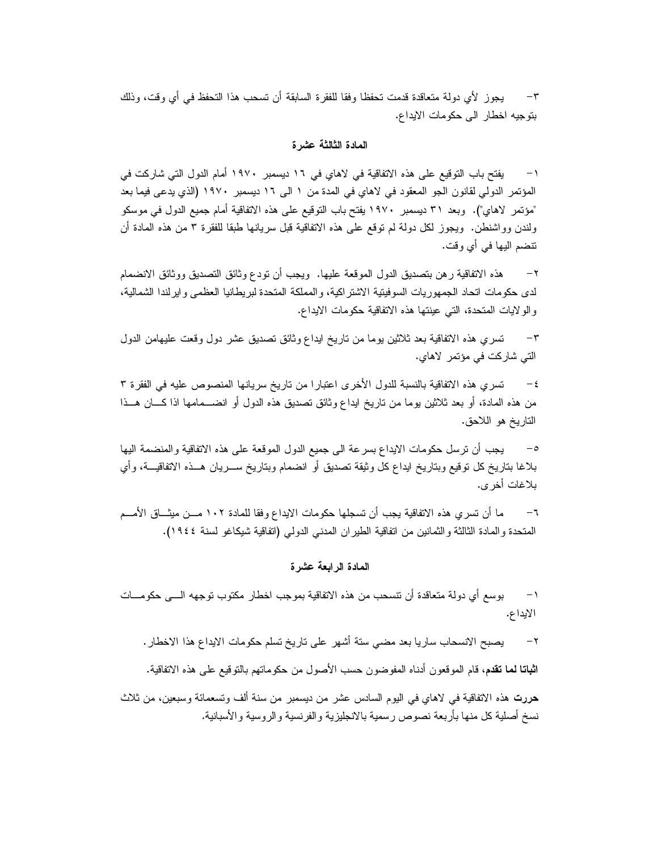٣– يجوز لأي دولة متعاقدة قدمت تحفظا وفقا للفقرة السابقة أن تسحب هذا التحفظ في أي وقت، وذلك بتوجيه اخطار الى حكومات الايداع.

### **المادة الثالثة عشرة**

١– يفتح باب التوقيع على هذه الاتفاقية في لاهاي في ١٦ ديسمبر ١٩٧٠ أمام الدول التي شاركت في المؤتمر الدولي لقانون الجو المعقود في لاهاي في المدة من ١ الى ١٦ ديسمبر ١٩٧٠ (الذي يدعى فيما بعد " مؤتمر لاهاي"). وبعد ٣١ ديسمبر ١٩٧٠ يفتح باب التوقيع على هذه الاتفاقية أمام جميع الدول في موسكو ولندن وواشنطن. ويجوز لكل دولة لم توقع على هذه الاتفاقية قبل سريانها طبقا للفقرة ٣ من هذه المادة أن تنضم ال يها في أي وقت.

٢ – هذه الاتفاقية رهن بتصديق الدول الموقعة عليها. ويجب أن تودع وثائق التصديق ووثائق الانضمام لدى حكومات اتحاد الجمهوريات السوفيتية الاشتراكية، والمملكة المتحدة لبريطانيا العظمى وايرلندا الشمالية، والولايات المتحدة، التي عينتها هذه الاتفاقية حكومات الايداع.

٣– تسري هذه الاتفاقية بعد ثلاثين يوما من تاريخ ايداع وثائق تصديق عشر دول وقعت عليهامن الدول التي شاركت في مؤتمر لاهاي.

-٤ تسري هذه الاتفاقية بال نسبة للدول الأخرى اعتب ارا من تاريخ سريانها المنصوص عليه في ال فقرة ٣ من هذه المادة، أو بعد ثلاثين بوما من تاريخ ايداع وثائق تصديق هذه الدول أو انضـــمامها اذا كــــان هـــذا التاريخ هو اللاحق.

-٥ يجب أن ترس ل حكومات الايداع بسرعة الى جميع الدول ال موقعة على هذه الات فاقية والمنضمة ال يها بلاغا بتاريخ كل توقيع وبتاريخ ايداع كل وثيقة تصديق أو انضمام وبتاريخ ســـريان هـــذه الاتفاقيـــة، وأي بلاغات أخرى.

٦– ما أن تسري هذه الاتفاقية يجب أن تسجلها حكومات الايداع وفقا للمادة ١٠٢ مــن ميثــاق الأمــم المتحدة والمادة الثالثة والثمانين من اتفاقية الطيران المدنبي الدولي (اتفاقية شيكاغو لسنة ١٩٤٤).

## **المادة الرابعة عشرة**

١– بوسع أي دولة متعاقدة أن نتسحب من هذه الاتفاقية بموجب اخطار مكتوب توجهه الـــى حكومـــات الايداع .

-٢ يصبح الانسحاب ساريا بعد مضي ستة أشهر على تاريخ تسلم حكومات الايداع هذا الا خطار.

**اثباتا لما تقدم**، قام الموقعون أدناه المفوضون حسب الأصول من حكوماتهم بالتوقيع على هذه الاتفاقية.

**حررت** هذه الاتفاقية في لاهاي في اليوم السادس عشر من ديسمبر من سنة ألف وتسعمائة وسبعين، من ثلاث نسخ أصلية كل منها بأربعة نصوص رسمية بالانجليزية والفرنسية والروسية والأسبانية.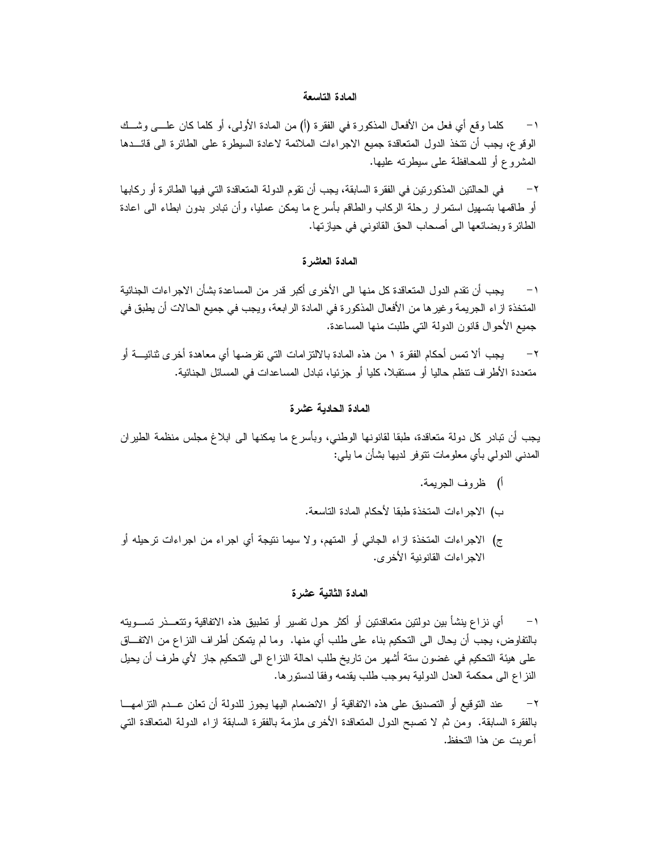### **المادة التاسعة**

١− كلما وقع أي فعل من الأفعال المذكورة في الفقرة (أ) من المادة الأولى، أو كلما كان علـــي وشــك الوقوع، يجب أن نتخذ الدول المتعاقدة جميع الاجراءات الملائمة لاعادة السيطرة على الطائرة الى قائـــدها المشروع أو للمحافظة على سيطرته عليها.

٢ – في الحالتين المذكورتين في الفقرة السابقة، يجب أن تقوم الدولة المتعاقدة التي فيها الطائرة أو ركابها أو طاقمها بتسهيل استمرار رحلة الركاب والطاقم بأسرع ما يمكن عمليا، وأن تبادر بدون ابطاء الى اعادة الطائر ة وبضائعها الى أصحاب الحق القانوني في حيازتها.

### **المادة العاشرة**

١– يجب أن تقدم الدول المتعاقدة كل منها الى الأخرى أكبر قدر من المساعدة بشأن الاجراءات الجنائية المتخذة ازاء الجريمة وغيرها من الأفعال المذكورة في المادة الرابعة، ويجب في جميع الحالات أن يطبق في جميع الأحوال قانون الدولة التي طلبت منها المساعدة.

-٢ يجب ألا تمس أحكام الفقرة ١ من هذه المادة بالالتزامات التي تفرضها أي معاهدة أخرى ثن ائيـة أو متعددة الأطراف نتظم حاليا أو مستقبلا، كليا أو جزئيا، تبادل المساعدات في المسائل الجنائية.

### **المادة الحادية عشرة**

يجب أن تبادر كل دولة متعاقدة، طبقا لقانونها الوطني، وبأسرع ما يمكنها الى ابلاغ مجلس منظمة الطيران المدني الدولي بأي معلومات تتوفر لديها بشأن ما يلي:

- أ) ظر وف الجريمة.
- ب) الاجراءات المتخذة طبق ا لأحكام المادة التاسعة .
- ج) الاجراءات المتخذة ازاء الجانبي أو المتهم، ولا سيما نتيجة أي اجراء من اجراءات ترحيله أو الاجراءات القانو نية الأخرى.

### **المادة الثانية عشرة**

١– أي نزاع ينشأ بين دولتين متعاقدتين أو أكثر حول تفسير أو تطبيق هذه الاتفاقية وتتعــذر تســـويته بالتفاوض، يجب أن يحال الى التحكيم بناء على طلب أي منها. وما لم يتمكن أطراف النزاع من الاتفـــاق على هيئة التحكيم في غضون ستة أشهر من تاريخ طلب احالة النزاع الى التحكيم جاز لأي طرف أن يحيل النزاع الى محكمة العدل الدولية بموجب طلب يقدمه وفقا لدستورها.

-٢ عند التوقيع أو التصديق على هذه الاتف اقية أو الانضمام ا ليها يجوز للدولة أن تعلن عـ دم التزامهـا بالفقرة السابقة. ومن ثم لا تصبح الدول المتعاقدة الأخرى ملزمة بالفقرة السابقة ازاء الدولة المتعاقدة التي أعربت عن هذا التحفظ.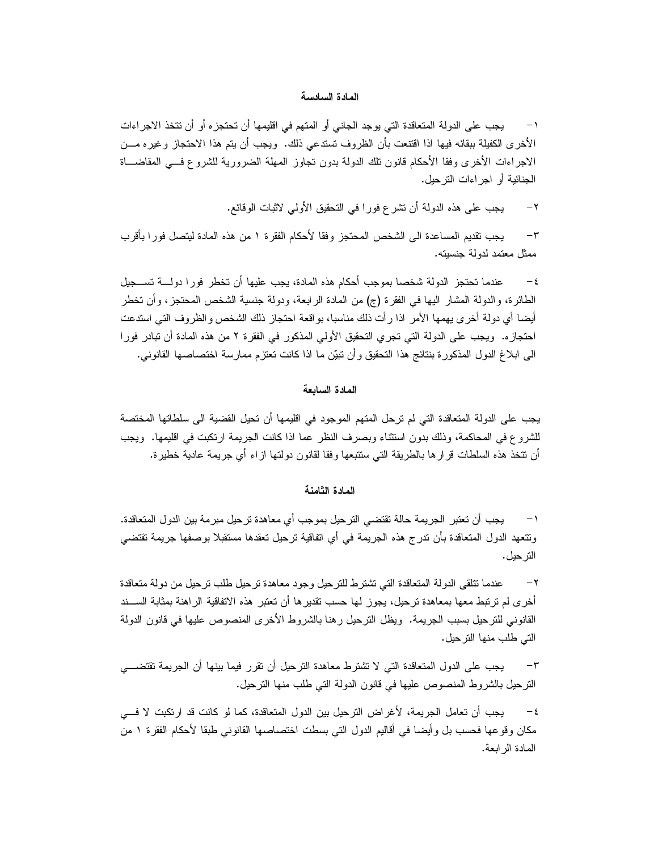### **المادة السادسة**

١ – يجب على الدولة المتعاقدة التي يوجد الجاني أو المتهم في اقليمها أن تحتجزه أو أن تتخذ الاجراءات الأخرى الكفيلة ببقائه فيها اذا اقتنعت بأن الظروف تستدعى ذلك. ويجب أن يتم هذا الاحتجاز وغيره مــن الاجراءات الأخرى وفقا الأحكام قانون نلك الدولة بدون تجاوز المهلة الضرورية للشروع فــي المقاضـــاة الجنائية أو اجر اءات الترحيل.

-٢ يجب على هذه الدولة أن تشرع فورا في التحقيق الأولي لاثبات الوقائع.

٣– يجب تقديم المساعدة الى الشخص المحتجز وفقا لأحكام الفقرة ١ من هذه المادة ليتصل فورا بأقرب ممثل معتمد لدولة جنسيته.

-٤ عندما تحتجز الدولة شخصا بموجب أحكام هذه المادة، يجب عليها أن تخطر فورا دولـة تسـجيل الطائرة، والدولة المشار اليها في الفقرة (ج) من المادة الرابعة، ودولة جنسية الشخص المحتجز، وأن تخطر أيضا أي دولة أخرى يهمها الأمر اذا رأت ذلك مناسبا، بواقعة احتجاز ذلك الشخص والظروف التي استدعت احتجازه. ويجب على الدولة التي تجري التحقيق الأولى المذكور في الفقرة ٢ من هذه المادة أن تبادر فورا البي ابلاغ الدول المذكورة بنتائج هذا النحقيق وأن تبيّن ما اذا كانت نعتزم ممارسة اختصاصها القانوني.

### **المادة السابعة**

يجب على الدولة المتعاقدة التي لم ترحل المتهم الموجود في اقليمها أن تحيل القضية الى سلطاتها المختصة للشروع في المحاكمة، وذلك بدون استثناء وبصرف النظر عما اذا كانت الجريمة ارتكبت في اقليمها. ويجب أن تتخذ هذه السلطات قرارها بالطريقة التي ستتبعها وفقا لقانون دولتها ازاء أي جريمة عادية خطيرة.

### **المادة الثامنة**

١ – يجب أن تعتبر الجريمة حالة تقتضي الترحيل بموجب أي معاهدة ترحيل مبرمة بين الدول المتعاقدة. ونتعهد الدول المتعاقدة بأن ندرج هذه الجريمة في أي اتفاقية نرحيل تعقدها مستقبلا بوصفها جريمة تقتضي التر حيل.

٢– عندما تتلقى الدولة المتعاقدة التي تشترط للترحيل وجود معاهدة ترحيل طلب ترحيل من دولة متعاقدة أخرى لم ترتبط معها بمعاهدة ترحيل، يجوز لها حسب تقديرها أن تعتبر هذه الاتفاقية الراهنة بمثابة الســند القانوني للترحيل بسبب الجريمة. ويظل الترحيل رهنا بالشروط الأخرى المنصوص عليها في قانون الدولة التي طلب منها الترحيل.

٣– يجب على الدول المتعاقدة التي لا تشترط معاهدة الترحيل أن تقرر فيما بينها أن الجريمة تقتضـــي الترحيل بالشروط المنصوص عليها في قانون الدولة التي طلب منها الترحيل.

٤– يجب أن تعامل الجريمة، لأغراض الترحيل بين الدول المتعاقدة، كما لو كانت قد ارتكبت لا فـــي مكان وقوعها فحسب بل وأيضـا فـي أقاليم الدول التـي بسطت اختصـاصـها القانونـي طبقا لأحكام الفقرة ١ من المادة الرابعة.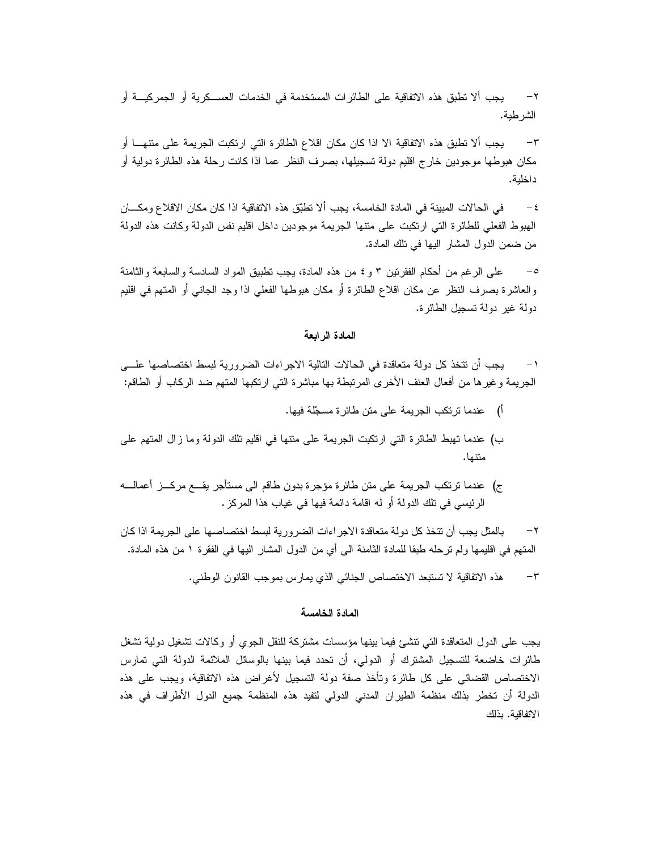٢ – يجب ألا تطبق هذه الاتفاقية على الطائرات المستخدمة في الخدمات العســكرية أو الجمركيـــة أو الشرطية.

٣– يجب ألا تطبق هذه الاتفاقية الا اذا كان مكان اقلاع الطائرة التي ارتكبت الجريمة على متنهــا أو مكان هبوطها موجودين خارج اقليم دولة تسجيلها، بصرف النظر عما اذا كانت رحلة هذه الطائرة دولية أو داخلية.

-٤ في الحالات المبينة في المادة الخامسة، يجب ألا تطبق هذه الاتفاقية اذا كان مكان الاقلاع ومكـ ان الهبوط الفعلي للطائرة التي ارتكبت على متنها الجريمة موجودين داخل اقليم نفس الدولة وكانت هذه الدولة من ضمن الدول المشار اليها في تلك المادة.

على الرغم من أحكام الفقرتين ٣ و ٤ من هذه المادة، يجب تطبيق المواد السادسة والسابعة والثامنة والعاشرة بصرف النظر عن مكان اقلاع الطائرة أو مكان هبوطها الفعلي اذا وجد الجانبي أو المتهم في اقليم دولة غير دولة تسجيل الطائرة.

## **المادة الرابعة**

١– يجب أن نتخذ كل دولة متعاقدة في الحالات النالية الاجراءات الضرورية لبسط اختصاصها علـــي الجريمة وغيرها من أفعال العنف الأخرى المرتبطة بها مباشرة التي ارتكبها المتهم ضد الركاب أو الطاقم:

- أ) عندما ترتكب الجريمة على متن طائرة مسجل ة فيها.
- ب) عندما تهبط الطائرة التي ارتكبت الجريمة على متنها في اقليم تلك الدولة وما زال المتهم على متنها.
- ج) عندما ترتكب الجريمة على متن طائرة مؤجرة بدون طاقم الى مستأجر يقـــع مركـــز أعمالــــه الر ئيسي في تلك الدولة أو له اقامة دا ئمة فيها في غياب هذا المركز.

٢– بالمثل يجب أن تتخذ كل دولة متعاقدة الاجر اءات الضرورية لبسط اختصاصها على الجريمة اذا كان المتهم في اقليمها ولم ترحله طبقا للمادة الثامنة الى أي من الدول المشار اليها في الفقرة ١ من هذه المادة.

٣– هذه الاتفاقية لا تستبعد الاختصاص الجنائي الذي يمارس بموجب القانون الوطني.

### **المادة الخامسة**

يجب على الدول المتعاقدة التي تنشئ فيما بينها مؤسسات مشتركة للنقل الجوي أو وكالات تشغيل دولية تشغل طائرات خاضعة للتسجيل المشترك أو الدولي، أن تحدد فيما بينها بالوسائل الملائمة الدولة التي تمارس الاختصاص القضائي على كل طائرة وتأخذ صفة دولة التسجيل لأغراض هذه الاتفاقية، ويجب على هذه الدولة أن تخطر بذلك منظمة الطيران المدني الدولي لتفيد هذه المنظمة جميع الدول الأطراف في هذه الاتفاقية. بذلك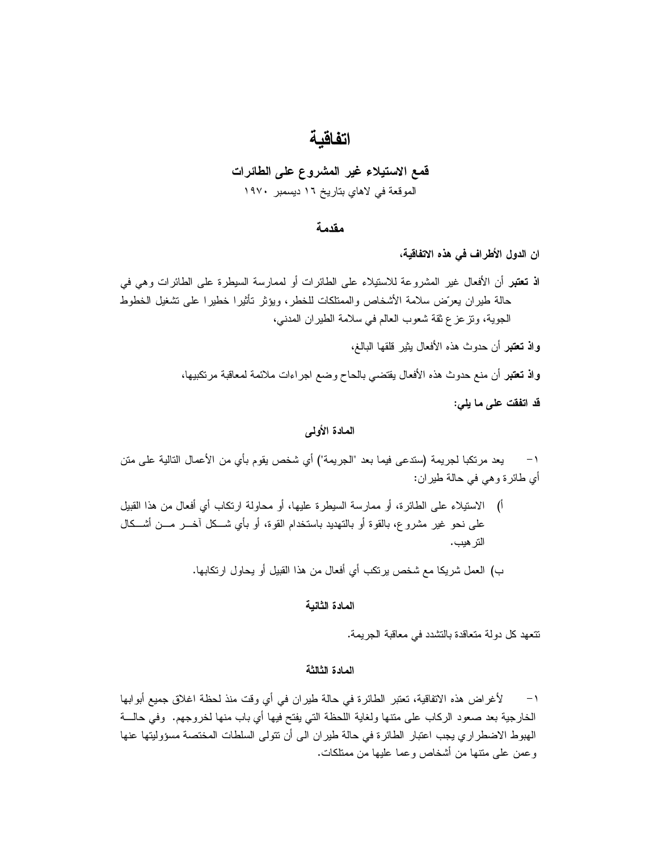# **اتفاقية**

## **قمع الاستيلاء غير المشروع على الطائرات**  الموقعة في لاهاي بتاريخ ١٦ ديسمبر ١٩٧٠

### **مقدمة**

**ان الدول الأطراف في هذه الاتفاقية،** 

**اذ تعتبر** أن الأفعال غير المشروعة للاستيلاء على الطائرات أو لممارسة السيطرة على الطائرات وهي في حالة طيران يعرّض سلامة الأشخاص والممتلكات للخطر، ويؤثر تأثيرا خطيرا على تشغيل الخطوط الجوية، وتزعزع ثقة شعوب العالم في سلامة الطيران المدني،

**واذ تعتبر** أن حدوث هذه الأفعال يثير قلقها البالغ،

**واذ تعتبر** أن منع حدوث هذه الأفعال يقتضي بالحاح وضع اجراءات ملائمة لمعاقبة مرتكبيها،

**قد اتفقت على ما يلي:** 

## **المادة الأولى**

١– يعد مرتكبا لجريمة (ستدعى فيما بعد "الجريمة") أي شخص يقوم بأي من الأعمال التالية على متن أي طائرة وهي في حالة طيران:

- أ) الاستيلاء على الطائرة، أو ممارسة السيطرة عليها، أو محاولة ارتكاب أي أفعال من هذا القبيل على نحو غير مشروع، بالقوة أو بالتهديد باستخدام القوة، أو بأي شــكل آخـــر مـــن أشـــكال الترهيب.
	- ب) العمل شريكا مع شخص يرتكب أي أفعال من هذا القبيل أو يحاول ارتكابها.

### **المادة الثانية**

تتعهد كل دولة متعاقدة بالتشدد في معاقبة الجريمة.

### **المادة الثالثة**

١– لأغراض هذه الاتفاقية، تعتبر الطائرة في حالة طيران في أي وقت منذ لحظة اغلاق جميع أبوابها الخارجية بعد صعود الركاب على منتها ولغاية اللحظة التي يفتح فيها أي باب منها لخروجهم. وفي حالــــة الهبوط الاضطراري يجب اعتبار الطائرة في حالة طيران الى أن تتولى السلطات المختصة مسؤوليتها عنها وعمن على متنها من أشخاص وعما عليها من ممتلكات.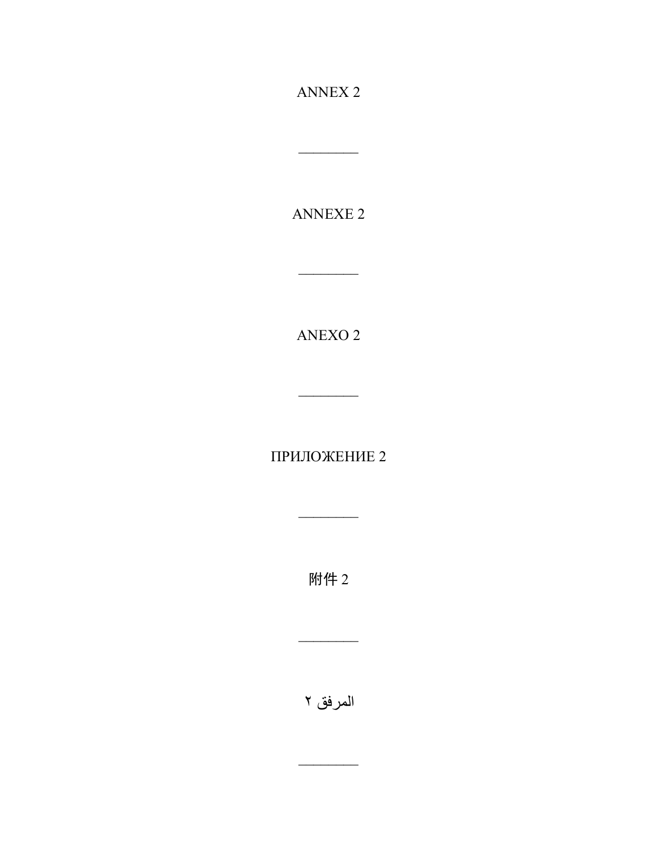ANNEX 2

\_\_\_\_\_\_\_\_

ANNEXE 2

 $\overline{\phantom{a}}$ 

ANEXO 2

 $\overline{\phantom{a}}$   $\overline{\phantom{a}}$ 

ПРИЛОЖЕНИЕ 2

 $\overline{\phantom{a}}$ 

附件 2

المرفق ٢

 $\overline{\phantom{a}}$ 

 $\overline{\phantom{a}}$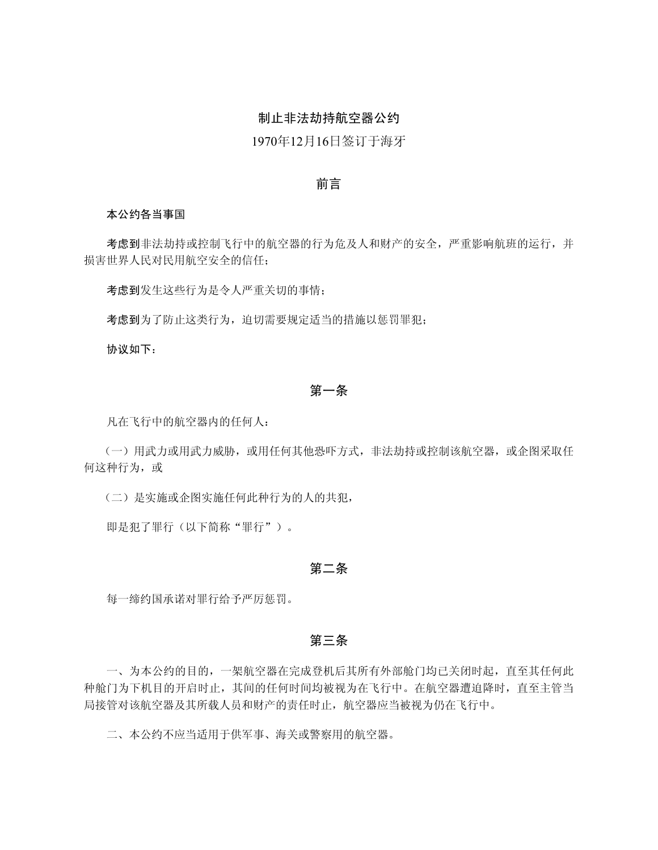# 制止非法劫持航空器公约

# 1970年12月16日签订于海牙

## 前言

#### 本公约各当事国

考虑到非法劫持或控制飞行中的航空器的行为危及人和财产的安全,严重影响航班的运行,并 损害世界人民对民用航空安全的信任;

考虑到发生这些行为是令人严重关切的事情;

考虑到为了防止这类行为,迫切需要规定适当的措施以惩罚罪犯;

协议如下:

# 第一条

凡在飞行中的航空器内的任何人:

(一)用武力或用武力威胁,或用任何其他恐吓方式,非法劫持或控制该航空器,或企图采取任 何这种行为,或

(二)是实施或企图实施任何此种行为的人的共犯,

即是犯了罪行(以下简称"罪行")。

### 第二条

每一缔约国承诺对罪行给予严厉惩罚。

# 第三条

一、为本公约的目的,一架航空器在完成登机后其所有外部舱门均已关闭时起,直至其任何此 种舱门为下机目的开启时止,其间的任何时间均被视为在飞行中。在航空器遭迫降时,直至主管当 局接管对该航空器及其所载人员和财产的责任时止,航空器应当被视为仍在飞行中。

二、本公约不应当适用于供军事、海关或警察用的航空器。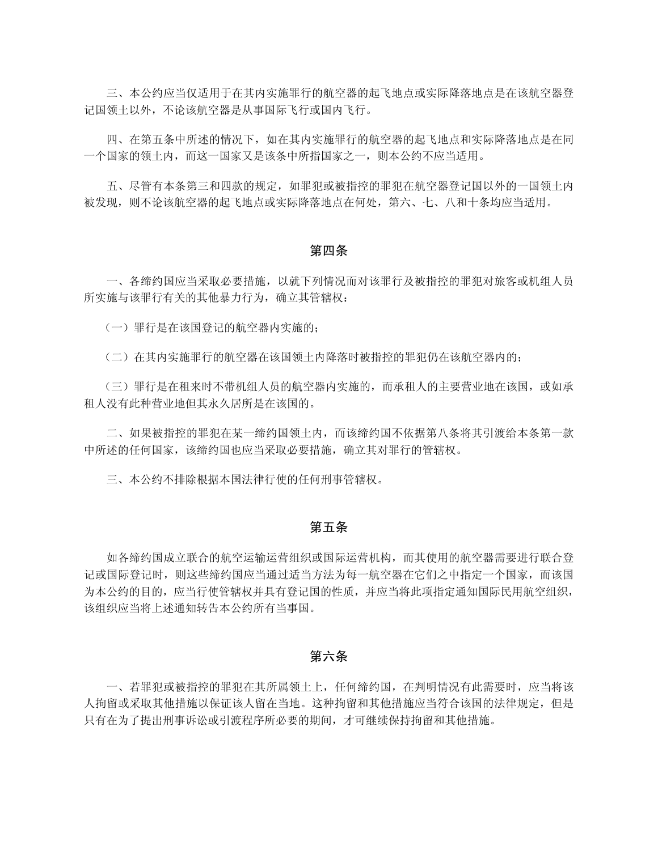三、本公约应当仅适用于在其内实施罪行的航空器的起飞地点或实际降落地点是在该航空器登 记国领土以外,不论该航空器是从事国际飞行或国内飞行。

四、在第五条中所述的情况下,如在其内实施罪行的航空器的起飞地点和实际降落地点是在同 一个国家的领土内,而这一国家又是该条中所指国家之一,则本公约不应当适用。

五、尽管有本条第三和四款的规定,如罪犯或被指控的罪犯在航空器登记国以外的一国领土内 被发现,则不论该航空器的起飞地点或实际降落地点在何处,第六、七、八和十条均应当适用。

#### 第四条

一、各缔约国应当采取必要措施,以就下列情况而对该罪行及被指控的罪犯对旅客或机组人员 所实施与该罪行有关的其他暴力行为,确立其管辖权:

(一)罪行是在该国登记的航空器内实施的;

(二)在其内实施罪行的航空器在该国领土内降落时被指控的罪犯仍在该航空器内的;

(三)罪行是在租来时不带机组人员的航空器内实施的,而承租人的主要营业地在该国,或如承 租人没有此种营业地但其永久居所是在该国的。

二、如果被指控的罪犯在某一缔约国领土内,而该缔约国不依据第八条将其引渡给本条第一款 中所述的任何国家,该缔约国也应当采取必要措施,确立其对罪行的管辖权。

三、本公约不排除根据本国法律行使的任何刑事管辖权。

### 第五条

如各缔约国成立联合的航空运输运营组织或国际运营机构,而其使用的航空器需要进行联合登 记或国际登记时,则这些缔约国应当通过适当方法为每一航空器在它们之中指定一个国家,而该国 为本公约的目的,应当行使管辖权并具有登记国的性质,并应当将此项指定通知国际民用航空组织, 该组织应当将上述通知转告本公约所有当事国。

### 第六条

一、若罪犯或被指控的罪犯在其所属领土上,任何缔约国,在判明情况有此需要时,应当将该 人拘留或采取其他措施以保证该人留在当地。这种拘留和其他措施应当符合该国的法律规定,但是 只有在为了提出刑事诉讼或引渡程序所必要的期间,才可继续保持拘留和其他措施。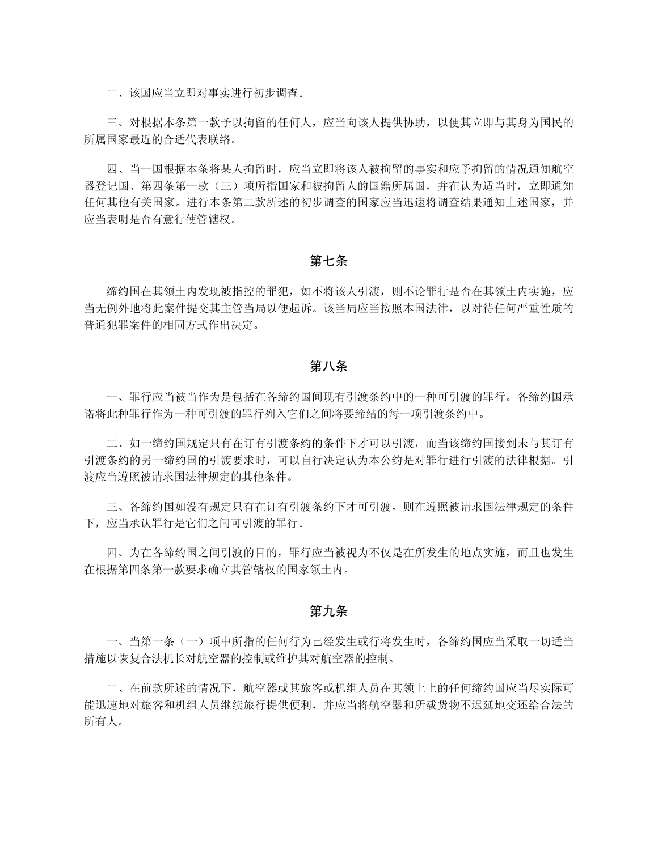二、该国应当立即对事实进行初步调查。

三、对根据本条第一款予以拘留的任何人,应当向该人提供协助,以便其立即与其身为国民的 所属国家最近的合适代表联络。

四、当一国根据本条将某人拘留时,应当立即将该人被拘留的事实和应予拘留的情况通知航空 器登记国、第四条第一款(三)项所指国家和被拘留人的国籍所属国,并在认为适当时,立即通知 任何其他有关国家。进行本条第二款所述的初步调查的国家应当迅速将调查结果通知上述国家,并 应当表明是否有意行使管辖权。

### 第七条

缔约国在其领土内发现被指控的罪犯,如不将该人引渡,则不论罪行是否在其领土内实施,应 当无例外地将此案件提交其主管当局以便起诉。该当局应当按照本国法律,以对待任何严重性质的 普通犯罪案件的相同方式作出决定。

## 第八条

一、罪行应当被当作为是包括在各缔约国间现有引渡条约中的一种可引渡的罪行。各缔约国承 诺将此种罪行作为一种可引渡的罪行列入它们之间将要缔结的每一项引渡条约中。

二、如一缔约国规定只有在订有引渡条约的条件下才可以引渡,而当该缔约国接到未与其订有 引渡条约的另一缔约国的引渡要求时,可以自行决定认为本公约是对罪行进行引渡的法律根据。引 渡应当遵照被请求国法律规定的其他条件。

三、各缔约国如没有规定只有在订有引渡条约下才可引渡,则在遵照被请求国法律规定的条件 下,应当承认罪行是它们之间可引渡的罪行。

四、为在各缔约国之间引渡的目的,罪行应当被视为不仅是在所发生的地点实施,而且也发生 在根据第四条第一款要求确立其管辖权的国家领土内。

## 第九条

一、当第一条(一)项中所指的任何行为已经发生或行将发生时,各缔约国应当采取一切适当 措施以恢复合法机长对航空器的控制或维护其对航空器的控制。

二、在前款所述的情况下,航空器或其旅客或机组人员在其领土上的任何缔约国应当尽实际可 能迅速地对旅客和机组人员继续旅行提供便利,并应当将航空器和所载货物不迟延地交还给合法的 所有人。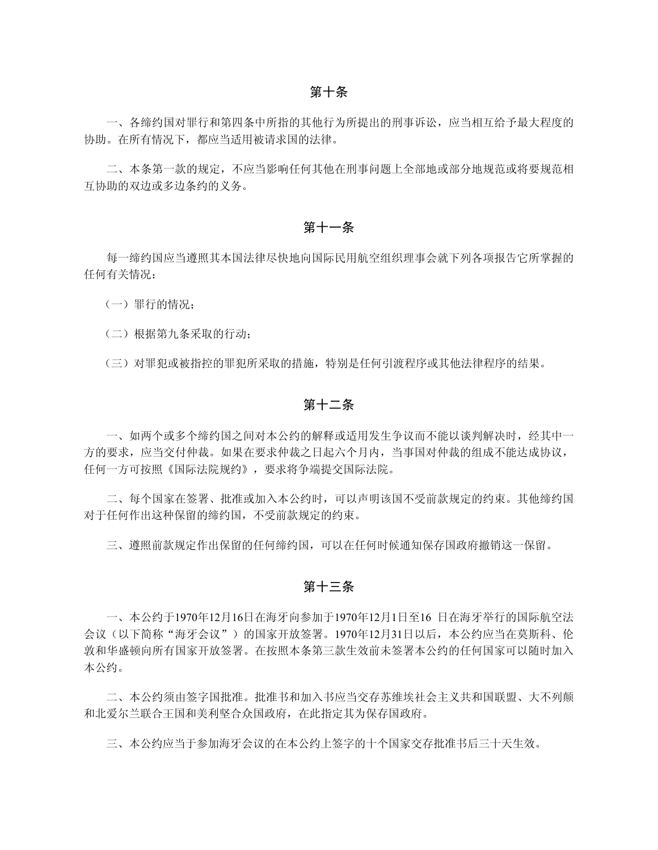一、各缔约国对罪行和第四条中所指的其他行为所提出的刑事诉讼,应当相互给予最大程度的 协助。在所有情况下,都应当适用被请求国的法律。

二、本条第一款的规定,不应当影响任何其他在刑事问题上全部地或部分地规范或将要规范相 互协助的双边或多边条约的义务。

#### 第十一条

每一缔约国应当遵照其本国法律尽快地向国际民用航空组织理事会就下列各项报告它所掌握的 任何有关情况:

(一)罪行的情况;

(二)根据第九条采取的行动;

(三)对罪犯或被指控的罪犯所采取的措施,特别是任何引渡程序或其他法律程序的结果。

## 第十二条

一、如两个或多个缔约国之间对本公约的解释或适用发生争议而不能以谈判解决时,经其中一 方的要求,应当交付仲裁。如果在要求仲裁之日起六个月内,当事国对仲裁的组成不能达成协议, 任何一方可按照《国际法院规约》,要求将争端提交国际法院。

二、每个国家在签署、批准或加入本公约时,可以声明该国不受前款规定的约束。其他缔约国 对于任何作出这种保留的缔约国,不受前款规定的约束。

三、遵照前款规定作出保留的任何缔约国,可以在任何时候通知保存国政府撤销这一保留。

# 第十三条

一、本公约于1970年12月16日在海牙向参加于1970年12月1日至16 日在海牙举行的国际航空法 会议(以下简称"海牙会议")的国家开放签署。1970年12月31日以后,本公约应当在莫斯科、伦 敦和华盛顿向所有国家开放签署。在按照本条第三款生效前未签署本公约的任何国家可以随时加入 本公约。

二、本公约须由签字国批准。批准书和加入书应当交存苏维埃社会主义共和国联盟、大不列颠 和北爱尔兰联合王国和美利坚合众国政府,在此指定其为保存国政府。

三、本公约应当于参加海牙会议的在本公约上签字的十个国家交存批准书后三十天生效。